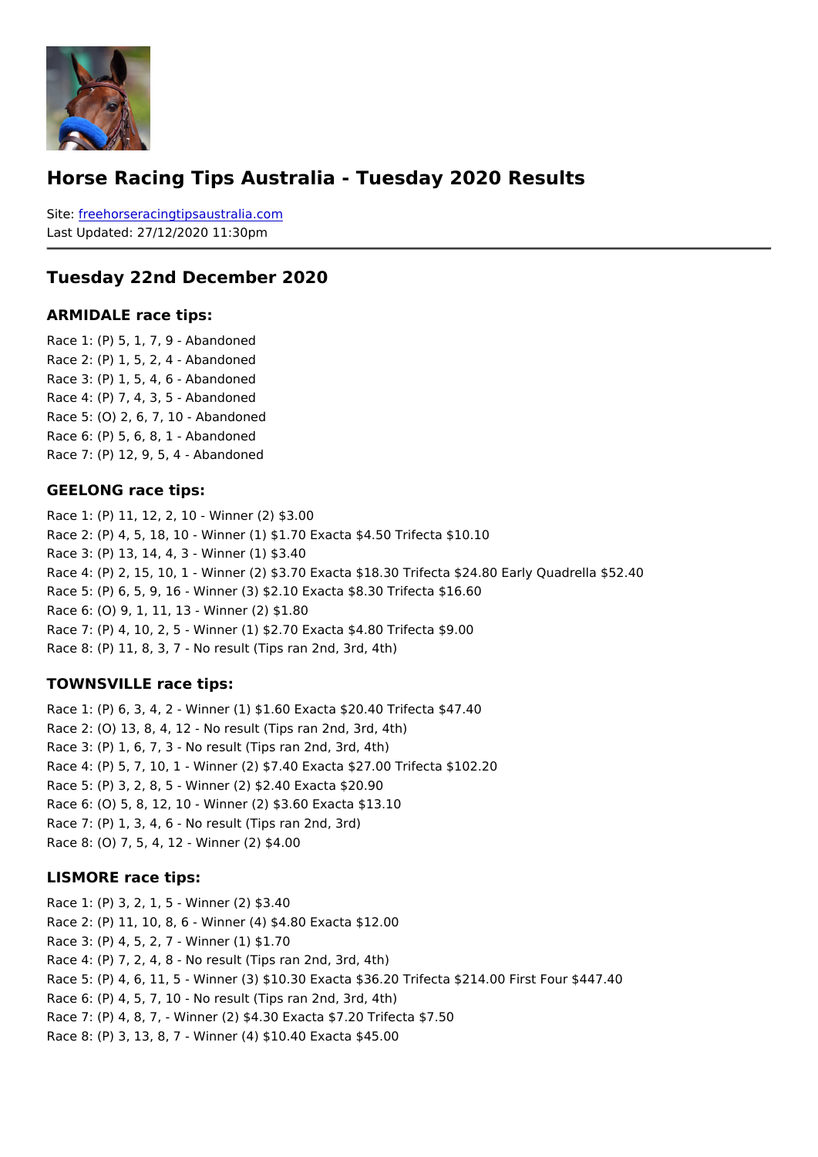#### Horse Racing Tips Australia - Tuesday 2020 Results

Sitefreehorseracingtipsaustralia.com Last Updated: 27/12/2020 11:30pm

Tuesday 22nd December 2020

ARMIDALE race tips:

Race 1: (P) 5, 1, 7, 9 - Abandoned Race 2: (P) 1, 5, 2, 4 - Abandoned Race 3: (P) 1, 5, 4, 6 - Abandoned Race 4: (P) 7, 4, 3, 5 - Abandoned Race 5: (O) 2, 6, 7, 10 - Abandoned Race 6: (P) 5, 6, 8, 1 - Abandoned Race 7: (P) 12, 9, 5, 4 - Abandoned

#### GEELONG race tips:

Race 1: (P) 11, 12, 2, 10 - Winner (2) \$3.00 Race 2: (P) 4, 5, 18, 10 - Winner (1) \$1.70 Exacta \$4.50 Trifecta \$10.10 Race 3: (P) 13, 14, 4, 3 - Winner (1) \$3.40 Race 4: (P) 2, 15, 10, 1 - Winner (2) \$3.70 Exacta \$18.30 Trifecta \$24.80 Early Quadre Race 5: (P) 6, 5, 9, 16 - Winner (3) \$2.10 Exacta \$8.30 Trifecta \$16.60 Race 6: (O) 9, 1, 11, 13 - Winner (2) \$1.80 Race 7: (P) 4, 10, 2, 5 - Winner (1) \$2.70 Exacta \$4.80 Trifecta \$9.00 Race 8: (P) 11, 8, 3, 7 - No result (Tips ran 2nd, 3rd, 4th)

#### TOWNSVILLE race tips:

Race 1: (P) 6, 3, 4, 2 - Winner (1) \$1.60 Exacta \$20.40 Trifecta \$47.40 Race 2: (O) 13, 8, 4, 12 - No result (Tips ran 2nd, 3rd, 4th) Race 3: (P) 1, 6, 7, 3 - No result (Tips ran 2nd, 3rd, 4th) Race 4: (P) 5, 7, 10, 1 - Winner (2) \$7.40 Exacta \$27.00 Trifecta \$102.20 Race 5: (P) 3, 2, 8, 5 - Winner (2) \$2.40 Exacta \$20.90 Race 6: (O) 5, 8, 12, 10 - Winner (2) \$3.60 Exacta \$13.10 Race 7: (P) 1, 3, 4, 6 - No result (Tips ran 2nd, 3rd) Race 8: (O) 7, 5, 4, 12 - Winner (2) \$4.00

#### LISMORE race tips:

```
Race 1: (P) 3, 2, 1, 5 - Winner (2) $3.40
Race 2: (P) 11, 10, 8, 6 - Winner (4) $4.80 Exacta $12.00
Race 3: (P) 4, 5, 2, 7 - Winner (1) $1.70
Race 4: (P) 7, 2, 4, 8 - No result (Tips ran 2nd, 3rd, 4th)
Race 5: (P) 4, 6, 11, 5 - Winner (3) $10.30 Exacta $36.20 Trifecta $214.00 First Four $
Race 6: (P) 4, 5, 7, 10 - No result (Tips ran 2nd, 3rd, 4th)
Race 7: (P) 4, 8, 7, - Winner (2) $4.30 Exacta $7.20 Trifecta $7.50
Race 8: (P) 3, 13, 8, 7 - Winner (4) $10.40 Exacta $45.00
```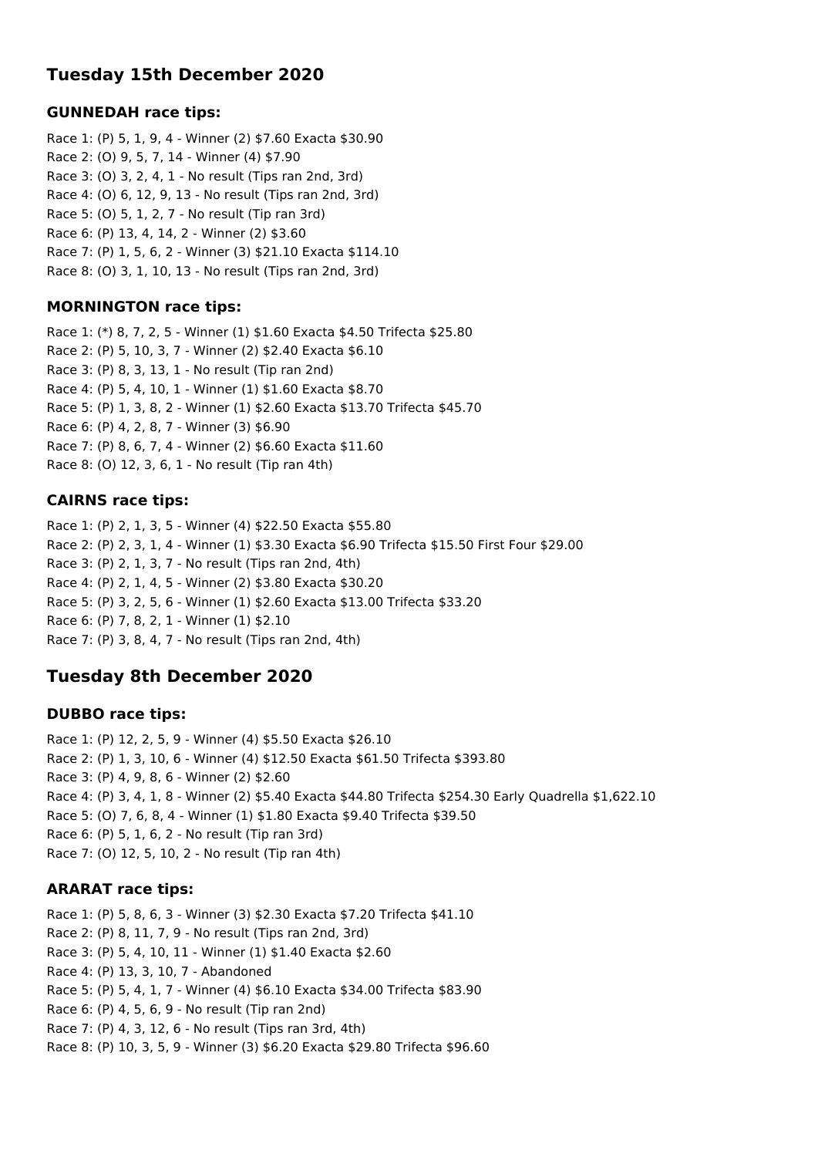## **Tuesday 15th December 2020**

### **GUNNEDAH race tips:**

Race 1: (P) 5, 1, 9, 4 - Winner (2) \$7.60 Exacta \$30.90 Race 2: (O) 9, 5, 7, 14 - Winner (4) \$7.90 Race 3: (O) 3, 2, 4, 1 - No result (Tips ran 2nd, 3rd) Race 4: (O) 6, 12, 9, 13 - No result (Tips ran 2nd, 3rd) Race 5: (O) 5, 1, 2, 7 - No result (Tip ran 3rd) Race 6: (P) 13, 4, 14, 2 - Winner (2) \$3.60 Race 7: (P) 1, 5, 6, 2 - Winner (3) \$21.10 Exacta \$114.10 Race 8: (O) 3, 1, 10, 13 - No result (Tips ran 2nd, 3rd)

### **MORNINGTON race tips:**

Race 1: (\*) 8, 7, 2, 5 - Winner (1) \$1.60 Exacta \$4.50 Trifecta \$25.80 Race 2: (P) 5, 10, 3, 7 - Winner (2) \$2.40 Exacta \$6.10 Race 3: (P) 8, 3, 13, 1 - No result (Tip ran 2nd) Race 4: (P) 5, 4, 10, 1 - Winner (1) \$1.60 Exacta \$8.70 Race 5: (P) 1, 3, 8, 2 - Winner (1) \$2.60 Exacta \$13.70 Trifecta \$45.70 Race 6: (P) 4, 2, 8, 7 - Winner (3) \$6.90 Race 7: (P) 8, 6, 7, 4 - Winner (2) \$6.60 Exacta \$11.60 Race 8: (O) 12, 3, 6, 1 - No result (Tip ran 4th)

### **CAIRNS race tips:**

Race 1: (P) 2, 1, 3, 5 - Winner (4) \$22.50 Exacta \$55.80 Race 2: (P) 2, 3, 1, 4 - Winner (1) \$3.30 Exacta \$6.90 Trifecta \$15.50 First Four \$29.00 Race 3: (P) 2, 1, 3, 7 - No result (Tips ran 2nd, 4th) Race 4: (P) 2, 1, 4, 5 - Winner (2) \$3.80 Exacta \$30.20 Race 5: (P) 3, 2, 5, 6 - Winner (1) \$2.60 Exacta \$13.00 Trifecta \$33.20 Race 6: (P) 7, 8, 2, 1 - Winner (1) \$2.10 Race 7: (P) 3, 8, 4, 7 - No result (Tips ran 2nd, 4th)

## **Tuesday 8th December 2020**

### **DUBBO race tips:**

Race 1: (P) 12, 2, 5, 9 - Winner (4) \$5.50 Exacta \$26.10 Race 2: (P) 1, 3, 10, 6 - Winner (4) \$12.50 Exacta \$61.50 Trifecta \$393.80 Race 3: (P) 4, 9, 8, 6 - Winner (2) \$2.60 Race 4: (P) 3, 4, 1, 8 - Winner (2) \$5.40 Exacta \$44.80 Trifecta \$254.30 Early Quadrella \$1,622.10 Race 5: (O) 7, 6, 8, 4 - Winner (1) \$1.80 Exacta \$9.40 Trifecta \$39.50 Race 6: (P) 5, 1, 6, 2 - No result (Tip ran 3rd) Race 7: (O) 12, 5, 10, 2 - No result (Tip ran 4th)

### **ARARAT race tips:**

Race 1: (P) 5, 8, 6, 3 - Winner (3) \$2.30 Exacta \$7.20 Trifecta \$41.10 Race 2: (P) 8, 11, 7, 9 - No result (Tips ran 2nd, 3rd) Race 3: (P) 5, 4, 10, 11 - Winner (1) \$1.40 Exacta \$2.60 Race 4: (P) 13, 3, 10, 7 - Abandoned Race 5: (P) 5, 4, 1, 7 - Winner (4) \$6.10 Exacta \$34.00 Trifecta \$83.90 Race 6: (P) 4, 5, 6, 9 - No result (Tip ran 2nd) Race 7: (P) 4, 3, 12, 6 - No result (Tips ran 3rd, 4th) Race 8: (P) 10, 3, 5, 9 - Winner (3) \$6.20 Exacta \$29.80 Trifecta \$96.60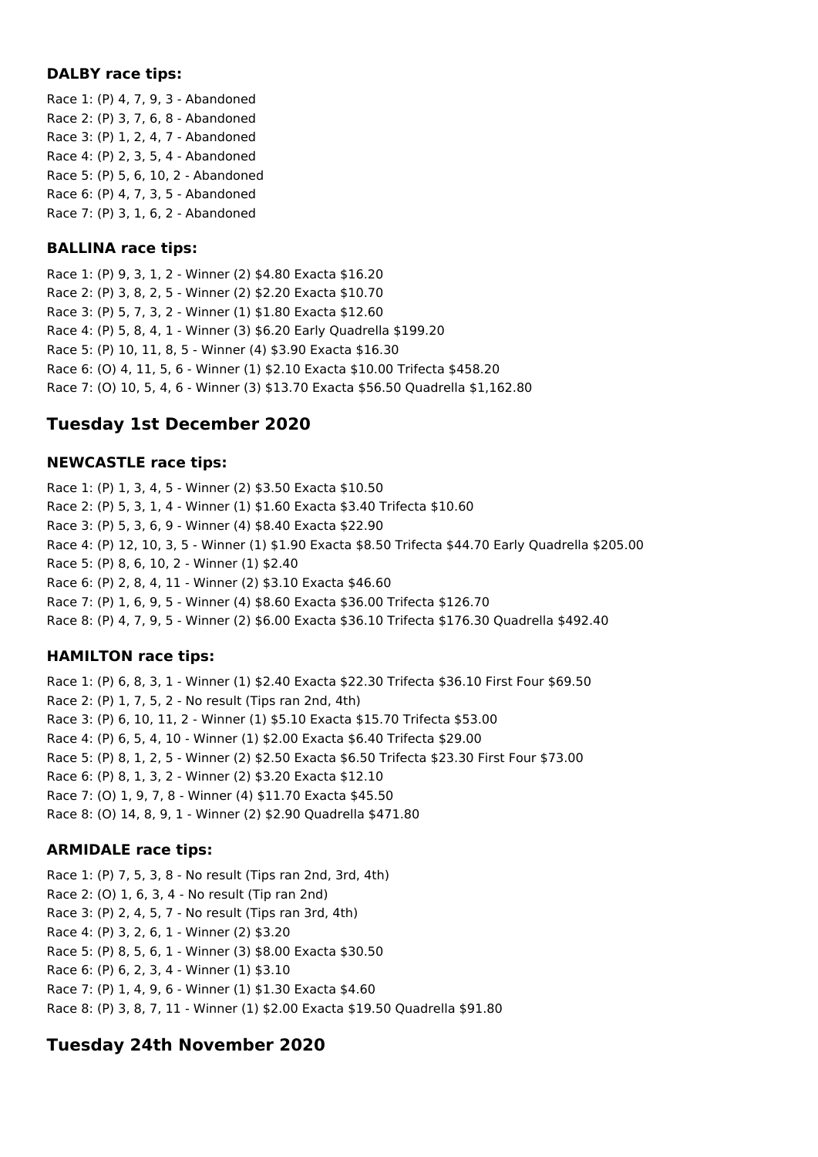#### **DALBY race tips:**

Race 1: (P) 4, 7, 9, 3 - Abandoned Race 2: (P) 3, 7, 6, 8 - Abandoned Race 3: (P) 1, 2, 4, 7 - Abandoned Race 4: (P) 2, 3, 5, 4 - Abandoned Race 5: (P) 5, 6, 10, 2 - Abandoned Race 6: (P) 4, 7, 3, 5 - Abandoned Race 7: (P) 3, 1, 6, 2 - Abandoned

### **BALLINA race tips:**

Race 1: (P) 9, 3, 1, 2 - Winner (2) \$4.80 Exacta \$16.20 Race 2: (P) 3, 8, 2, 5 - Winner (2) \$2.20 Exacta \$10.70 Race 3: (P) 5, 7, 3, 2 - Winner (1) \$1.80 Exacta \$12.60 Race 4: (P) 5, 8, 4, 1 - Winner (3) \$6.20 Early Quadrella \$199.20 Race 5: (P) 10, 11, 8, 5 - Winner (4) \$3.90 Exacta \$16.30 Race 6: (O) 4, 11, 5, 6 - Winner (1) \$2.10 Exacta \$10.00 Trifecta \$458.20 Race 7: (O) 10, 5, 4, 6 - Winner (3) \$13.70 Exacta \$56.50 Quadrella \$1,162.80

## **Tuesday 1st December 2020**

### **NEWCASTLE race tips:**

Race 1: (P) 1, 3, 4, 5 - Winner (2) \$3.50 Exacta \$10.50 Race 2: (P) 5, 3, 1, 4 - Winner (1) \$1.60 Exacta \$3.40 Trifecta \$10.60 Race 3: (P) 5, 3, 6, 9 - Winner (4) \$8.40 Exacta \$22.90 Race 4: (P) 12, 10, 3, 5 - Winner (1) \$1.90 Exacta \$8.50 Trifecta \$44.70 Early Quadrella \$205.00 Race 5: (P) 8, 6, 10, 2 - Winner (1) \$2.40 Race 6: (P) 2, 8, 4, 11 - Winner (2) \$3.10 Exacta \$46.60 Race 7: (P) 1, 6, 9, 5 - Winner (4) \$8.60 Exacta \$36.00 Trifecta \$126.70 Race 8: (P) 4, 7, 9, 5 - Winner (2) \$6.00 Exacta \$36.10 Trifecta \$176.30 Quadrella \$492.40

### **HAMILTON race tips:**

Race 1: (P) 6, 8, 3, 1 - Winner (1) \$2.40 Exacta \$22.30 Trifecta \$36.10 First Four \$69.50 Race 2: (P) 1, 7, 5, 2 - No result (Tips ran 2nd, 4th) Race 3: (P) 6, 10, 11, 2 - Winner (1) \$5.10 Exacta \$15.70 Trifecta \$53.00 Race 4: (P) 6, 5, 4, 10 - Winner (1) \$2.00 Exacta \$6.40 Trifecta \$29.00 Race 5: (P) 8, 1, 2, 5 - Winner (2) \$2.50 Exacta \$6.50 Trifecta \$23.30 First Four \$73.00 Race 6: (P) 8, 1, 3, 2 - Winner (2) \$3.20 Exacta \$12.10 Race 7: (O) 1, 9, 7, 8 - Winner (4) \$11.70 Exacta \$45.50 Race 8: (O) 14, 8, 9, 1 - Winner (2) \$2.90 Quadrella \$471.80

### **ARMIDALE race tips:**

Race 1: (P) 7, 5, 3, 8 - No result (Tips ran 2nd, 3rd, 4th) Race 2: (O) 1, 6, 3, 4 - No result (Tip ran 2nd) Race 3: (P) 2, 4, 5, 7 - No result (Tips ran 3rd, 4th) Race 4: (P) 3, 2, 6, 1 - Winner (2) \$3.20 Race 5: (P) 8, 5, 6, 1 - Winner (3) \$8.00 Exacta \$30.50 Race 6: (P) 6, 2, 3, 4 - Winner (1) \$3.10 Race 7: (P) 1, 4, 9, 6 - Winner (1) \$1.30 Exacta \$4.60 Race 8: (P) 3, 8, 7, 11 - Winner (1) \$2.00 Exacta \$19.50 Quadrella \$91.80

## **Tuesday 24th November 2020**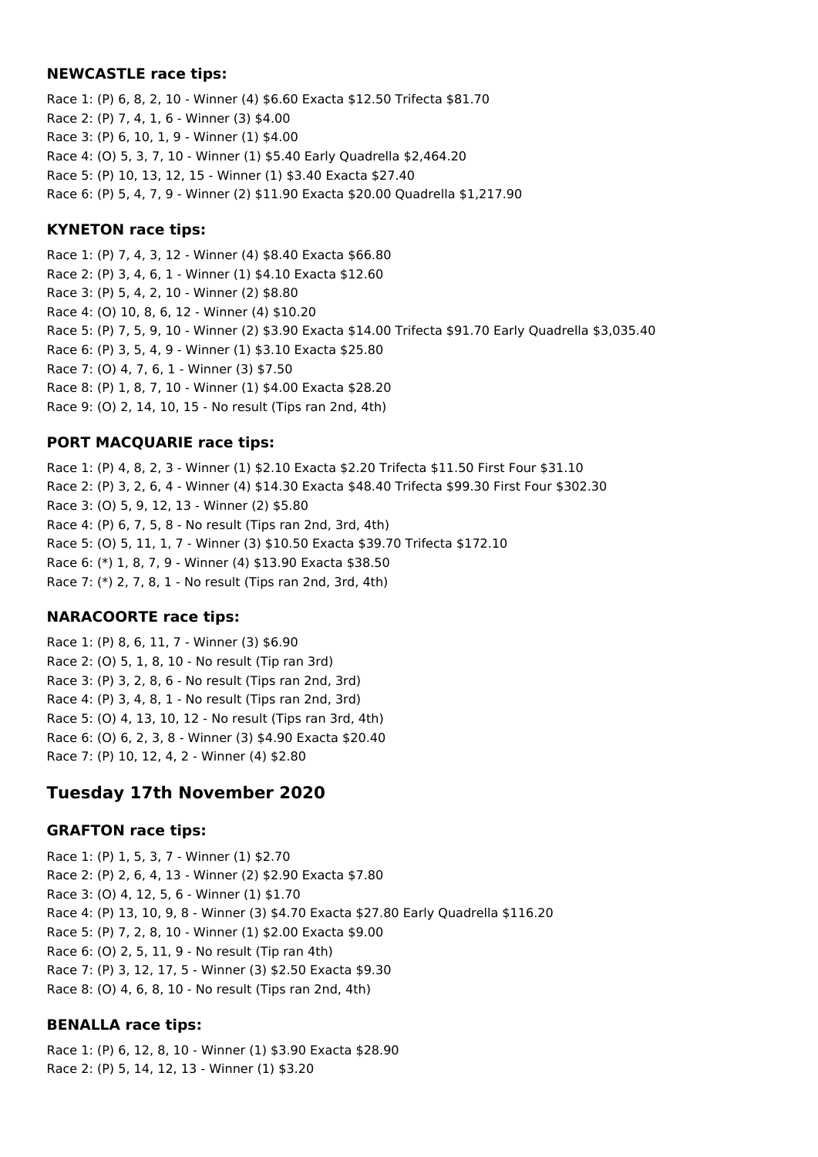#### **NEWCASTLE race tips:**

Race 1: (P) 6, 8, 2, 10 - Winner (4) \$6.60 Exacta \$12.50 Trifecta \$81.70 Race 2: (P) 7, 4, 1, 6 - Winner (3) \$4.00 Race 3: (P) 6, 10, 1, 9 - Winner (1) \$4.00 Race 4: (O) 5, 3, 7, 10 - Winner (1) \$5.40 Early Quadrella \$2,464.20 Race 5: (P) 10, 13, 12, 15 - Winner (1) \$3.40 Exacta \$27.40 Race 6: (P) 5, 4, 7, 9 - Winner (2) \$11.90 Exacta \$20.00 Quadrella \$1,217.90

### **KYNETON race tips:**

Race 1: (P) 7, 4, 3, 12 - Winner (4) \$8.40 Exacta \$66.80 Race 2: (P) 3, 4, 6, 1 - Winner (1) \$4.10 Exacta \$12.60 Race 3: (P) 5, 4, 2, 10 - Winner (2) \$8.80 Race 4: (O) 10, 8, 6, 12 - Winner (4) \$10.20 Race 5: (P) 7, 5, 9, 10 - Winner (2) \$3.90 Exacta \$14.00 Trifecta \$91.70 Early Quadrella \$3,035.40 Race 6: (P) 3, 5, 4, 9 - Winner (1) \$3.10 Exacta \$25.80 Race 7: (O) 4, 7, 6, 1 - Winner (3) \$7.50 Race 8: (P) 1, 8, 7, 10 - Winner (1) \$4.00 Exacta \$28.20 Race 9: (O) 2, 14, 10, 15 - No result (Tips ran 2nd, 4th)

### **PORT MACQUARIE race tips:**

Race 1: (P) 4, 8, 2, 3 - Winner (1) \$2.10 Exacta \$2.20 Trifecta \$11.50 First Four \$31.10 Race 2: (P) 3, 2, 6, 4 - Winner (4) \$14.30 Exacta \$48.40 Trifecta \$99.30 First Four \$302.30 Race 3: (O) 5, 9, 12, 13 - Winner (2) \$5.80 Race 4: (P) 6, 7, 5, 8 - No result (Tips ran 2nd, 3rd, 4th) Race 5: (O) 5, 11, 1, 7 - Winner (3) \$10.50 Exacta \$39.70 Trifecta \$172.10 Race 6: (\*) 1, 8, 7, 9 - Winner (4) \$13.90 Exacta \$38.50 Race 7: (\*) 2, 7, 8, 1 - No result (Tips ran 2nd, 3rd, 4th)

### **NARACOORTE race tips:**

Race 1: (P) 8, 6, 11, 7 - Winner (3) \$6.90 Race 2: (O) 5, 1, 8, 10 - No result (Tip ran 3rd) Race 3: (P) 3, 2, 8, 6 - No result (Tips ran 2nd, 3rd) Race 4: (P) 3, 4, 8, 1 - No result (Tips ran 2nd, 3rd) Race 5: (O) 4, 13, 10, 12 - No result (Tips ran 3rd, 4th) Race 6: (O) 6, 2, 3, 8 - Winner (3) \$4.90 Exacta \$20.40 Race 7: (P) 10, 12, 4, 2 - Winner (4) \$2.80

## **Tuesday 17th November 2020**

### **GRAFTON race tips:**

Race 1: (P) 1, 5, 3, 7 - Winner (1) \$2.70 Race 2: (P) 2, 6, 4, 13 - Winner (2) \$2.90 Exacta \$7.80 Race 3: (O) 4, 12, 5, 6 - Winner (1) \$1.70 Race 4: (P) 13, 10, 9, 8 - Winner (3) \$4.70 Exacta \$27.80 Early Quadrella \$116.20 Race 5: (P) 7, 2, 8, 10 - Winner (1) \$2.00 Exacta \$9.00 Race 6: (O) 2, 5, 11, 9 - No result (Tip ran 4th) Race 7: (P) 3, 12, 17, 5 - Winner (3) \$2.50 Exacta \$9.30 Race 8: (O) 4, 6, 8, 10 - No result (Tips ran 2nd, 4th)

### **BENALLA race tips:**

Race 1: (P) 6, 12, 8, 10 - Winner (1) \$3.90 Exacta \$28.90 Race 2: (P) 5, 14, 12, 13 - Winner (1) \$3.20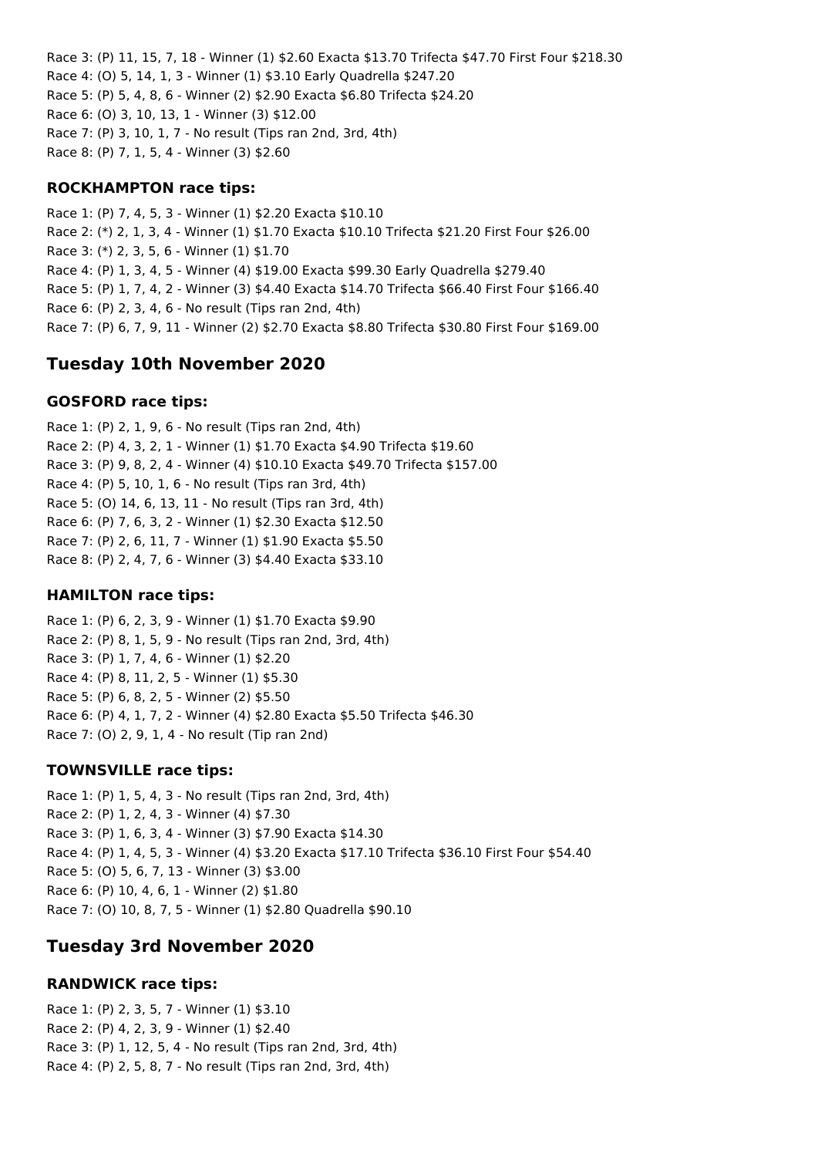Race 3: (P) 11, 15, 7, 18 - Winner (1) \$2.60 Exacta \$13.70 Trifecta \$47.70 First Four \$218.30 Race 4: (O) 5, 14, 1, 3 - Winner (1) \$3.10 Early Quadrella \$247.20 Race 5: (P) 5, 4, 8, 6 - Winner (2) \$2.90 Exacta \$6.80 Trifecta \$24.20 Race 6: (O) 3, 10, 13, 1 - Winner (3) \$12.00 Race 7: (P) 3, 10, 1, 7 - No result (Tips ran 2nd, 3rd, 4th) Race 8: (P) 7, 1, 5, 4 - Winner (3) \$2.60

### **ROCKHAMPTON race tips:**

Race 1: (P) 7, 4, 5, 3 - Winner (1) \$2.20 Exacta \$10.10 Race 2: (\*) 2, 1, 3, 4 - Winner (1) \$1.70 Exacta \$10.10 Trifecta \$21.20 First Four \$26.00 Race 3: (\*) 2, 3, 5, 6 - Winner (1) \$1.70 Race 4: (P) 1, 3, 4, 5 - Winner (4) \$19.00 Exacta \$99.30 Early Quadrella \$279.40 Race 5: (P) 1, 7, 4, 2 - Winner (3) \$4.40 Exacta \$14.70 Trifecta \$66.40 First Four \$166.40 Race 6: (P) 2, 3, 4, 6 - No result (Tips ran 2nd, 4th) Race 7: (P) 6, 7, 9, 11 - Winner (2) \$2.70 Exacta \$8.80 Trifecta \$30.80 First Four \$169.00

## **Tuesday 10th November 2020**

### **GOSFORD race tips:**

Race 1: (P) 2, 1, 9, 6 - No result (Tips ran 2nd, 4th) Race 2: (P) 4, 3, 2, 1 - Winner (1) \$1.70 Exacta \$4.90 Trifecta \$19.60 Race 3: (P) 9, 8, 2, 4 - Winner (4) \$10.10 Exacta \$49.70 Trifecta \$157.00 Race 4: (P) 5, 10, 1, 6 - No result (Tips ran 3rd, 4th) Race 5: (O) 14, 6, 13, 11 - No result (Tips ran 3rd, 4th) Race 6: (P) 7, 6, 3, 2 - Winner (1) \$2.30 Exacta \$12.50 Race 7: (P) 2, 6, 11, 7 - Winner (1) \$1.90 Exacta \$5.50 Race 8: (P) 2, 4, 7, 6 - Winner (3) \$4.40 Exacta \$33.10

### **HAMILTON race tips:**

Race 1: (P) 6, 2, 3, 9 - Winner (1) \$1.70 Exacta \$9.90 Race 2: (P) 8, 1, 5, 9 - No result (Tips ran 2nd, 3rd, 4th) Race 3: (P) 1, 7, 4, 6 - Winner (1) \$2.20 Race 4: (P) 8, 11, 2, 5 - Winner (1) \$5.30 Race 5: (P) 6, 8, 2, 5 - Winner (2) \$5.50 Race 6: (P) 4, 1, 7, 2 - Winner (4) \$2.80 Exacta \$5.50 Trifecta \$46.30 Race 7: (O) 2, 9, 1, 4 - No result (Tip ran 2nd)

## **TOWNSVILLE race tips:**

Race 1: (P) 1, 5, 4, 3 - No result (Tips ran 2nd, 3rd, 4th) Race 2: (P) 1, 2, 4, 3 - Winner (4) \$7.30 Race 3: (P) 1, 6, 3, 4 - Winner (3) \$7.90 Exacta \$14.30 Race 4: (P) 1, 4, 5, 3 - Winner (4) \$3.20 Exacta \$17.10 Trifecta \$36.10 First Four \$54.40 Race 5: (O) 5, 6, 7, 13 - Winner (3) \$3.00 Race 6: (P) 10, 4, 6, 1 - Winner (2) \$1.80 Race 7: (O) 10, 8, 7, 5 - Winner (1) \$2.80 Quadrella \$90.10

## **Tuesday 3rd November 2020**

### **RANDWICK race tips:**

Race 1: (P) 2, 3, 5, 7 - Winner (1) \$3.10 Race 2: (P) 4, 2, 3, 9 - Winner (1) \$2.40 Race 3: (P) 1, 12, 5, 4 - No result (Tips ran 2nd, 3rd, 4th) Race 4: (P) 2, 5, 8, 7 - No result (Tips ran 2nd, 3rd, 4th)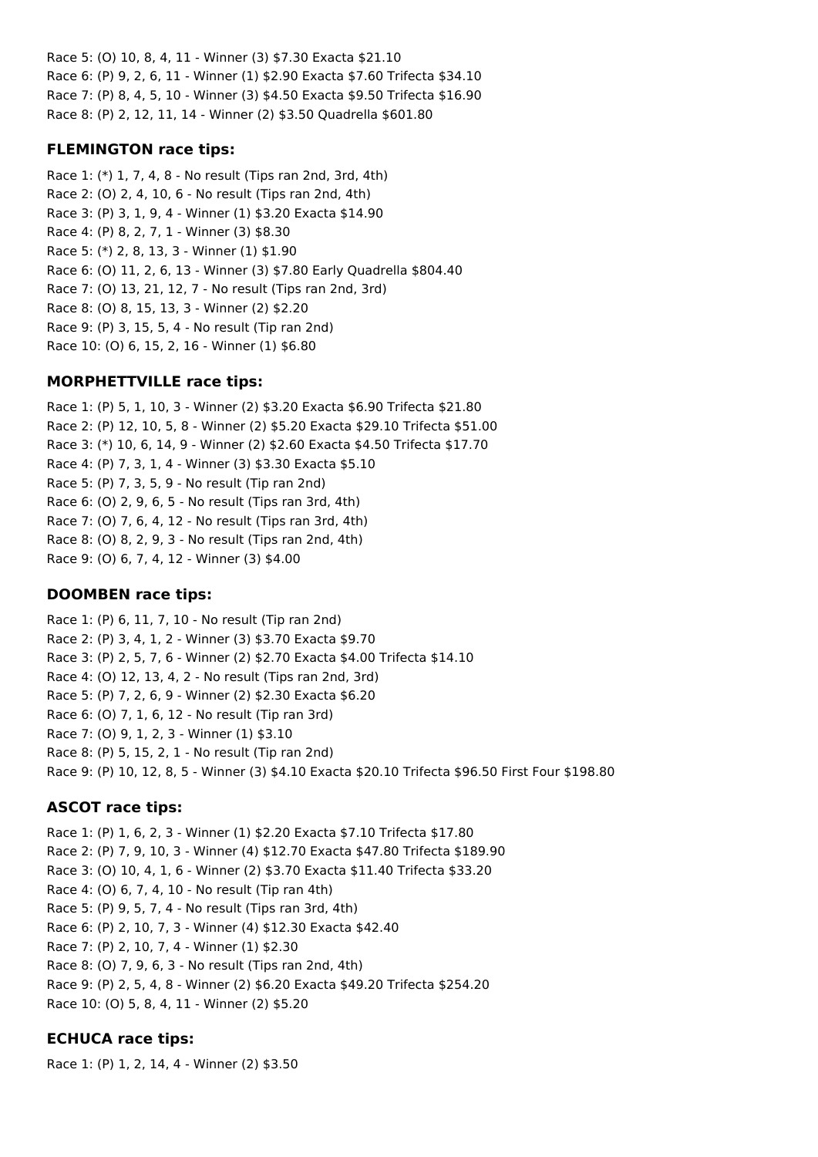Race 5: (O) 10, 8, 4, 11 - Winner (3) \$7.30 Exacta \$21.10 Race 6: (P) 9, 2, 6, 11 - Winner (1) \$2.90 Exacta \$7.60 Trifecta \$34.10 Race 7: (P) 8, 4, 5, 10 - Winner (3) \$4.50 Exacta \$9.50 Trifecta \$16.90 Race 8: (P) 2, 12, 11, 14 - Winner (2) \$3.50 Quadrella \$601.80

### **FLEMINGTON race tips:**

Race 1: (\*) 1, 7, 4, 8 - No result (Tips ran 2nd, 3rd, 4th) Race 2: (O) 2, 4, 10, 6 - No result (Tips ran 2nd, 4th) Race 3: (P) 3, 1, 9, 4 - Winner (1) \$3.20 Exacta \$14.90 Race 4: (P) 8, 2, 7, 1 - Winner (3) \$8.30 Race 5: (\*) 2, 8, 13, 3 - Winner (1) \$1.90 Race 6: (O) 11, 2, 6, 13 - Winner (3) \$7.80 Early Quadrella \$804.40 Race 7: (O) 13, 21, 12, 7 - No result (Tips ran 2nd, 3rd) Race 8: (O) 8, 15, 13, 3 - Winner (2) \$2.20 Race 9: (P) 3, 15, 5, 4 - No result (Tip ran 2nd) Race 10: (O) 6, 15, 2, 16 - Winner (1) \$6.80

### **MORPHETTVILLE race tips:**

Race 1: (P) 5, 1, 10, 3 - Winner (2) \$3.20 Exacta \$6.90 Trifecta \$21.80 Race 2: (P) 12, 10, 5, 8 - Winner (2) \$5.20 Exacta \$29.10 Trifecta \$51.00 Race 3: (\*) 10, 6, 14, 9 - Winner (2) \$2.60 Exacta \$4.50 Trifecta \$17.70 Race 4: (P) 7, 3, 1, 4 - Winner (3) \$3.30 Exacta \$5.10 Race 5: (P) 7, 3, 5, 9 - No result (Tip ran 2nd) Race 6: (O) 2, 9, 6, 5 - No result (Tips ran 3rd, 4th) Race 7: (O) 7, 6, 4, 12 - No result (Tips ran 3rd, 4th) Race 8: (O) 8, 2, 9, 3 - No result (Tips ran 2nd, 4th) Race 9: (O) 6, 7, 4, 12 - Winner (3) \$4.00

### **DOOMBEN race tips:**

Race 1: (P) 6, 11, 7, 10 - No result (Tip ran 2nd) Race 2: (P) 3, 4, 1, 2 - Winner (3) \$3.70 Exacta \$9.70 Race 3: (P) 2, 5, 7, 6 - Winner (2) \$2.70 Exacta \$4.00 Trifecta \$14.10 Race 4: (O) 12, 13, 4, 2 - No result (Tips ran 2nd, 3rd) Race 5: (P) 7, 2, 6, 9 - Winner (2) \$2.30 Exacta \$6.20 Race 6: (O) 7, 1, 6, 12 - No result (Tip ran 3rd) Race 7: (O) 9, 1, 2, 3 - Winner (1) \$3.10 Race 8: (P) 5, 15, 2, 1 - No result (Tip ran 2nd) Race 9: (P) 10, 12, 8, 5 - Winner (3) \$4.10 Exacta \$20.10 Trifecta \$96.50 First Four \$198.80

### **ASCOT race tips:**

Race 1: (P) 1, 6, 2, 3 - Winner (1) \$2.20 Exacta \$7.10 Trifecta \$17.80 Race 2: (P) 7, 9, 10, 3 - Winner (4) \$12.70 Exacta \$47.80 Trifecta \$189.90 Race 3: (O) 10, 4, 1, 6 - Winner (2) \$3.70 Exacta \$11.40 Trifecta \$33.20 Race 4: (O) 6, 7, 4, 10 - No result (Tip ran 4th) Race 5: (P) 9, 5, 7, 4 - No result (Tips ran 3rd, 4th) Race 6: (P) 2, 10, 7, 3 - Winner (4) \$12.30 Exacta \$42.40 Race 7: (P) 2, 10, 7, 4 - Winner (1) \$2.30 Race 8: (O) 7, 9, 6, 3 - No result (Tips ran 2nd, 4th) Race 9: (P) 2, 5, 4, 8 - Winner (2) \$6.20 Exacta \$49.20 Trifecta \$254.20 Race 10: (O) 5, 8, 4, 11 - Winner (2) \$5.20

### **ECHUCA race tips:**

Race 1: (P) 1, 2, 14, 4 - Winner (2) \$3.50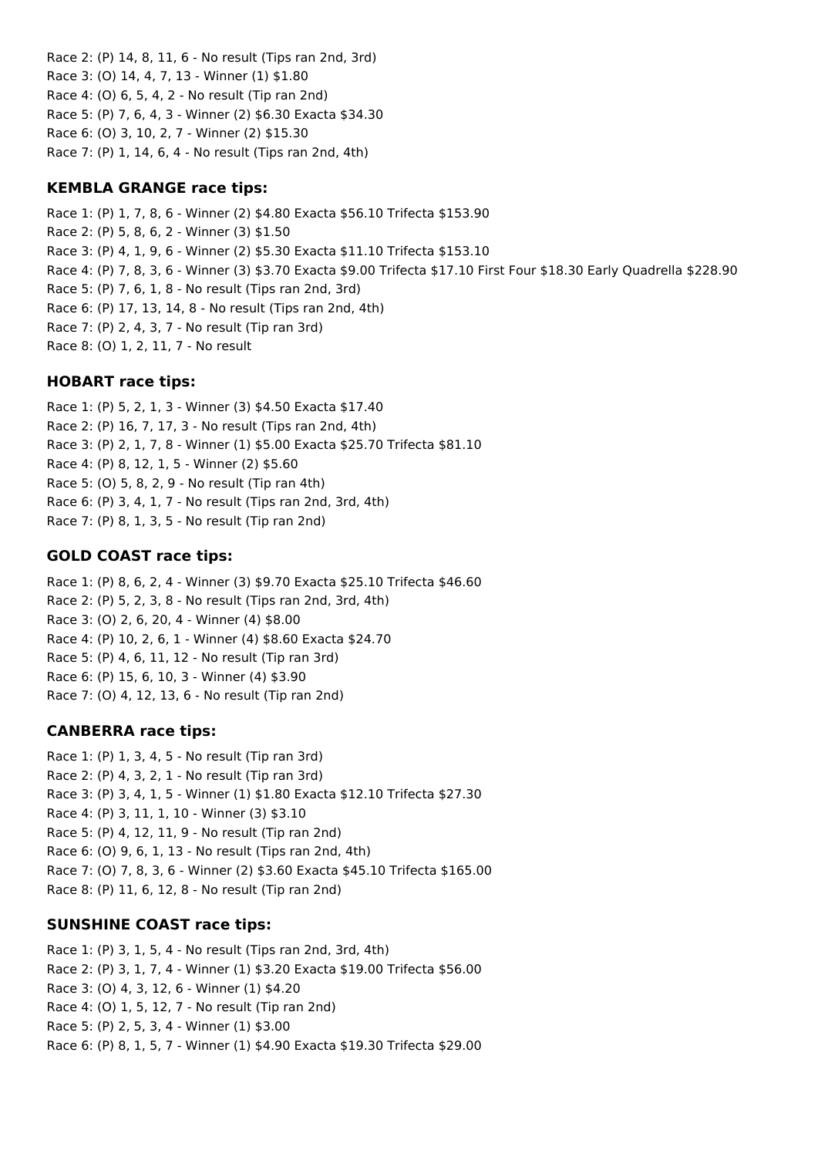Race 2: (P) 14, 8, 11, 6 - No result (Tips ran 2nd, 3rd) Race 3: (O) 14, 4, 7, 13 - Winner (1) \$1.80 Race 4: (O) 6, 5, 4, 2 - No result (Tip ran 2nd) Race 5: (P) 7, 6, 4, 3 - Winner (2) \$6.30 Exacta \$34.30 Race 6: (O) 3, 10, 2, 7 - Winner (2) \$15.30 Race 7: (P) 1, 14, 6, 4 - No result (Tips ran 2nd, 4th)

#### **KEMBLA GRANGE race tips:**

Race 1: (P) 1, 7, 8, 6 - Winner (2) \$4.80 Exacta \$56.10 Trifecta \$153.90 Race 2: (P) 5, 8, 6, 2 - Winner (3) \$1.50 Race 3: (P) 4, 1, 9, 6 - Winner (2) \$5.30 Exacta \$11.10 Trifecta \$153.10 Race 4: (P) 7, 8, 3, 6 - Winner (3) \$3.70 Exacta \$9.00 Trifecta \$17.10 First Four \$18.30 Early Quadrella \$228.90 Race 5: (P) 7, 6, 1, 8 - No result (Tips ran 2nd, 3rd) Race 6: (P) 17, 13, 14, 8 - No result (Tips ran 2nd, 4th) Race 7: (P) 2, 4, 3, 7 - No result (Tip ran 3rd) Race 8: (O) 1, 2, 11, 7 - No result

### **HOBART race tips:**

Race 1: (P) 5, 2, 1, 3 - Winner (3) \$4.50 Exacta \$17.40 Race 2: (P) 16, 7, 17, 3 - No result (Tips ran 2nd, 4th) Race 3: (P) 2, 1, 7, 8 - Winner (1) \$5.00 Exacta \$25.70 Trifecta \$81.10 Race 4: (P) 8, 12, 1, 5 - Winner (2) \$5.60 Race 5: (O) 5, 8, 2, 9 - No result (Tip ran 4th) Race 6: (P) 3, 4, 1, 7 - No result (Tips ran 2nd, 3rd, 4th) Race 7: (P) 8, 1, 3, 5 - No result (Tip ran 2nd)

### **GOLD COAST race tips:**

Race 1: (P) 8, 6, 2, 4 - Winner (3) \$9.70 Exacta \$25.10 Trifecta \$46.60 Race 2: (P) 5, 2, 3, 8 - No result (Tips ran 2nd, 3rd, 4th) Race 3: (O) 2, 6, 20, 4 - Winner (4) \$8.00 Race 4: (P) 10, 2, 6, 1 - Winner (4) \$8.60 Exacta \$24.70 Race 5: (P) 4, 6, 11, 12 - No result (Tip ran 3rd) Race 6: (P) 15, 6, 10, 3 - Winner (4) \$3.90 Race 7: (O) 4, 12, 13, 6 - No result (Tip ran 2nd)

#### **CANBERRA race tips:**

Race 1: (P) 1, 3, 4, 5 - No result (Tip ran 3rd) Race 2: (P) 4, 3, 2, 1 - No result (Tip ran 3rd) Race 3: (P) 3, 4, 1, 5 - Winner (1) \$1.80 Exacta \$12.10 Trifecta \$27.30 Race 4: (P) 3, 11, 1, 10 - Winner (3) \$3.10 Race 5: (P) 4, 12, 11, 9 - No result (Tip ran 2nd) Race 6: (O) 9, 6, 1, 13 - No result (Tips ran 2nd, 4th) Race 7: (O) 7, 8, 3, 6 - Winner (2) \$3.60 Exacta \$45.10 Trifecta \$165.00 Race 8: (P) 11, 6, 12, 8 - No result (Tip ran 2nd)

### **SUNSHINE COAST race tips:**

Race 1: (P) 3, 1, 5, 4 - No result (Tips ran 2nd, 3rd, 4th) Race 2: (P) 3, 1, 7, 4 - Winner (1) \$3.20 Exacta \$19.00 Trifecta \$56.00 Race 3: (O) 4, 3, 12, 6 - Winner (1) \$4.20 Race 4: (O) 1, 5, 12, 7 - No result (Tip ran 2nd) Race 5: (P) 2, 5, 3, 4 - Winner (1) \$3.00 Race 6: (P) 8, 1, 5, 7 - Winner (1) \$4.90 Exacta \$19.30 Trifecta \$29.00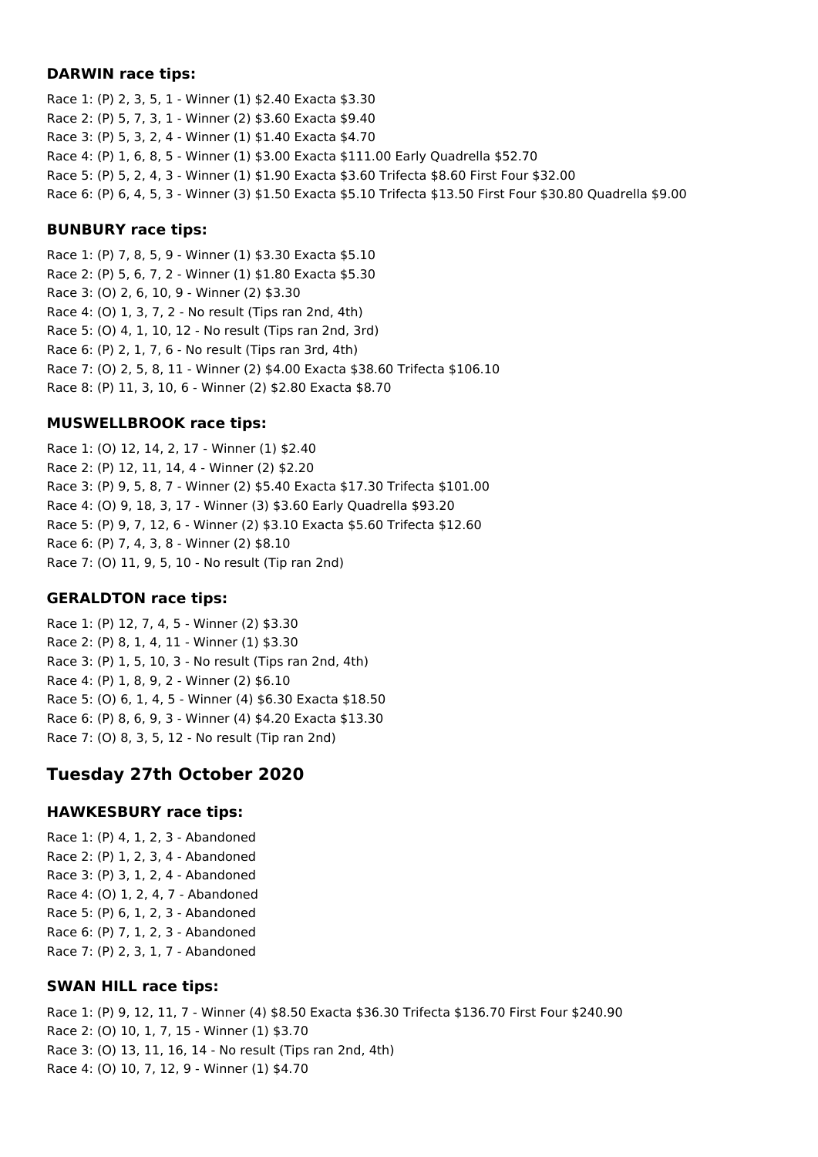#### **DARWIN race tips:**

Race 1: (P) 2, 3, 5, 1 - Winner (1) \$2.40 Exacta \$3.30 Race 2: (P) 5, 7, 3, 1 - Winner (2) \$3.60 Exacta \$9.40 Race 3: (P) 5, 3, 2, 4 - Winner (1) \$1.40 Exacta \$4.70 Race 4: (P) 1, 6, 8, 5 - Winner (1) \$3.00 Exacta \$111.00 Early Quadrella \$52.70 Race 5: (P) 5, 2, 4, 3 - Winner (1) \$1.90 Exacta \$3.60 Trifecta \$8.60 First Four \$32.00 Race 6: (P) 6, 4, 5, 3 - Winner (3) \$1.50 Exacta \$5.10 Trifecta \$13.50 First Four \$30.80 Quadrella \$9.00

#### **BUNBURY race tips:**

Race 1: (P) 7, 8, 5, 9 - Winner (1) \$3.30 Exacta \$5.10 Race 2: (P) 5, 6, 7, 2 - Winner (1) \$1.80 Exacta \$5.30 Race 3: (O) 2, 6, 10, 9 - Winner (2) \$3.30 Race 4: (O) 1, 3, 7, 2 - No result (Tips ran 2nd, 4th) Race 5: (O) 4, 1, 10, 12 - No result (Tips ran 2nd, 3rd) Race 6: (P) 2, 1, 7, 6 - No result (Tips ran 3rd, 4th) Race 7: (O) 2, 5, 8, 11 - Winner (2) \$4.00 Exacta \$38.60 Trifecta \$106.10 Race 8: (P) 11, 3, 10, 6 - Winner (2) \$2.80 Exacta \$8.70

#### **MUSWELLBROOK race tips:**

Race 1: (O) 12, 14, 2, 17 - Winner (1) \$2.40 Race 2: (P) 12, 11, 14, 4 - Winner (2) \$2.20 Race 3: (P) 9, 5, 8, 7 - Winner (2) \$5.40 Exacta \$17.30 Trifecta \$101.00 Race 4: (O) 9, 18, 3, 17 - Winner (3) \$3.60 Early Quadrella \$93.20 Race 5: (P) 9, 7, 12, 6 - Winner (2) \$3.10 Exacta \$5.60 Trifecta \$12.60 Race 6: (P) 7, 4, 3, 8 - Winner (2) \$8.10 Race 7: (O) 11, 9, 5, 10 - No result (Tip ran 2nd)

#### **GERALDTON race tips:**

Race 1: (P) 12, 7, 4, 5 - Winner (2) \$3.30 Race 2: (P) 8, 1, 4, 11 - Winner (1) \$3.30 Race 3: (P) 1, 5, 10, 3 - No result (Tips ran 2nd, 4th) Race 4: (P) 1, 8, 9, 2 - Winner (2) \$6.10 Race 5: (O) 6, 1, 4, 5 - Winner (4) \$6.30 Exacta \$18.50 Race 6: (P) 8, 6, 9, 3 - Winner (4) \$4.20 Exacta \$13.30 Race 7: (O) 8, 3, 5, 12 - No result (Tip ran 2nd)

### **Tuesday 27th October 2020**

#### **HAWKESBURY race tips:**

Race 1: (P) 4, 1, 2, 3 - Abandoned Race 2: (P) 1, 2, 3, 4 - Abandoned Race 3: (P) 3, 1, 2, 4 - Abandoned Race 4: (O) 1, 2, 4, 7 - Abandoned Race 5: (P) 6, 1, 2, 3 - Abandoned Race 6: (P) 7, 1, 2, 3 - Abandoned Race 7: (P) 2, 3, 1, 7 - Abandoned

#### **SWAN HILL race tips:**

Race 1: (P) 9, 12, 11, 7 - Winner (4) \$8.50 Exacta \$36.30 Trifecta \$136.70 First Four \$240.90 Race 2: (O) 10, 1, 7, 15 - Winner (1) \$3.70 Race 3: (O) 13, 11, 16, 14 - No result (Tips ran 2nd, 4th) Race 4: (O) 10, 7, 12, 9 - Winner (1) \$4.70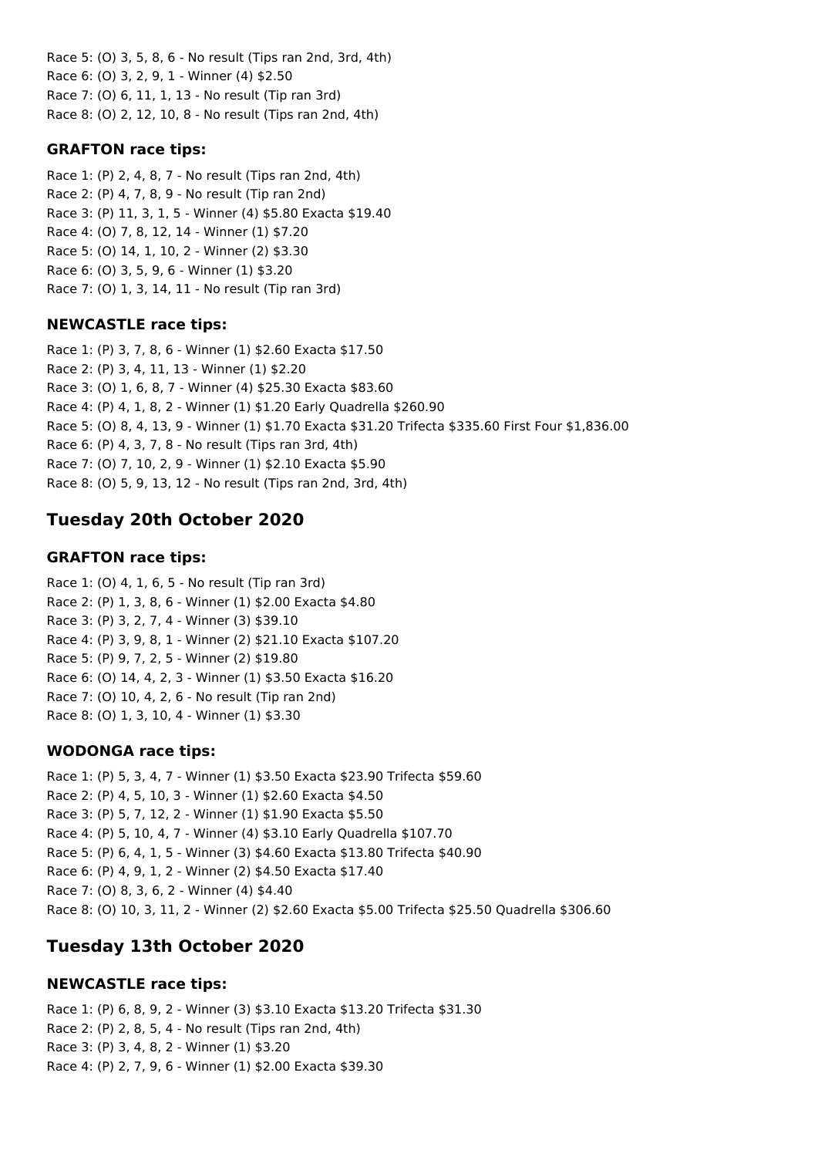Race 5: (O) 3, 5, 8, 6 - No result (Tips ran 2nd, 3rd, 4th) Race 6: (O) 3, 2, 9, 1 - Winner (4) \$2.50 Race 7: (O) 6, 11, 1, 13 - No result (Tip ran 3rd) Race 8: (O) 2, 12, 10, 8 - No result (Tips ran 2nd, 4th)

### **GRAFTON race tips:**

Race 1: (P) 2, 4, 8, 7 - No result (Tips ran 2nd, 4th) Race 2: (P) 4, 7, 8, 9 - No result (Tip ran 2nd) Race 3: (P) 11, 3, 1, 5 - Winner (4) \$5.80 Exacta \$19.40 Race 4: (O) 7, 8, 12, 14 - Winner (1) \$7.20 Race 5: (O) 14, 1, 10, 2 - Winner (2) \$3.30 Race 6: (O) 3, 5, 9, 6 - Winner (1) \$3.20 Race 7: (O) 1, 3, 14, 11 - No result (Tip ran 3rd)

### **NEWCASTLE race tips:**

Race 1: (P) 3, 7, 8, 6 - Winner (1) \$2.60 Exacta \$17.50 Race 2: (P) 3, 4, 11, 13 - Winner (1) \$2.20 Race 3: (O) 1, 6, 8, 7 - Winner (4) \$25.30 Exacta \$83.60 Race 4: (P) 4, 1, 8, 2 - Winner (1) \$1.20 Early Quadrella \$260.90 Race 5: (O) 8, 4, 13, 9 - Winner (1) \$1.70 Exacta \$31.20 Trifecta \$335.60 First Four \$1,836.00 Race 6: (P) 4, 3, 7, 8 - No result (Tips ran 3rd, 4th) Race 7: (O) 7, 10, 2, 9 - Winner (1) \$2.10 Exacta \$5.90 Race 8: (O) 5, 9, 13, 12 - No result (Tips ran 2nd, 3rd, 4th)

# **Tuesday 20th October 2020**

### **GRAFTON race tips:**

Race 1: (O) 4, 1, 6, 5 - No result (Tip ran 3rd) Race 2: (P) 1, 3, 8, 6 - Winner (1) \$2.00 Exacta \$4.80 Race 3: (P) 3, 2, 7, 4 - Winner (3) \$39.10 Race 4: (P) 3, 9, 8, 1 - Winner (2) \$21.10 Exacta \$107.20 Race 5: (P) 9, 7, 2, 5 - Winner (2) \$19.80 Race 6: (O) 14, 4, 2, 3 - Winner (1) \$3.50 Exacta \$16.20 Race 7: (O) 10, 4, 2, 6 - No result (Tip ran 2nd) Race 8: (O) 1, 3, 10, 4 - Winner (1) \$3.30

### **WODONGA race tips:**

Race 1: (P) 5, 3, 4, 7 - Winner (1) \$3.50 Exacta \$23.90 Trifecta \$59.60 Race 2: (P) 4, 5, 10, 3 - Winner (1) \$2.60 Exacta \$4.50 Race 3: (P) 5, 7, 12, 2 - Winner (1) \$1.90 Exacta \$5.50 Race 4: (P) 5, 10, 4, 7 - Winner (4) \$3.10 Early Quadrella \$107.70 Race 5: (P) 6, 4, 1, 5 - Winner (3) \$4.60 Exacta \$13.80 Trifecta \$40.90 Race 6: (P) 4, 9, 1, 2 - Winner (2) \$4.50 Exacta \$17.40 Race 7: (O) 8, 3, 6, 2 - Winner (4) \$4.40 Race 8: (O) 10, 3, 11, 2 - Winner (2) \$2.60 Exacta \$5.00 Trifecta \$25.50 Quadrella \$306.60

## **Tuesday 13th October 2020**

### **NEWCASTLE race tips:**

Race 1: (P) 6, 8, 9, 2 - Winner (3) \$3.10 Exacta \$13.20 Trifecta \$31.30 Race 2: (P) 2, 8, 5, 4 - No result (Tips ran 2nd, 4th) Race 3: (P) 3, 4, 8, 2 - Winner (1) \$3.20 Race 4: (P) 2, 7, 9, 6 - Winner (1) \$2.00 Exacta \$39.30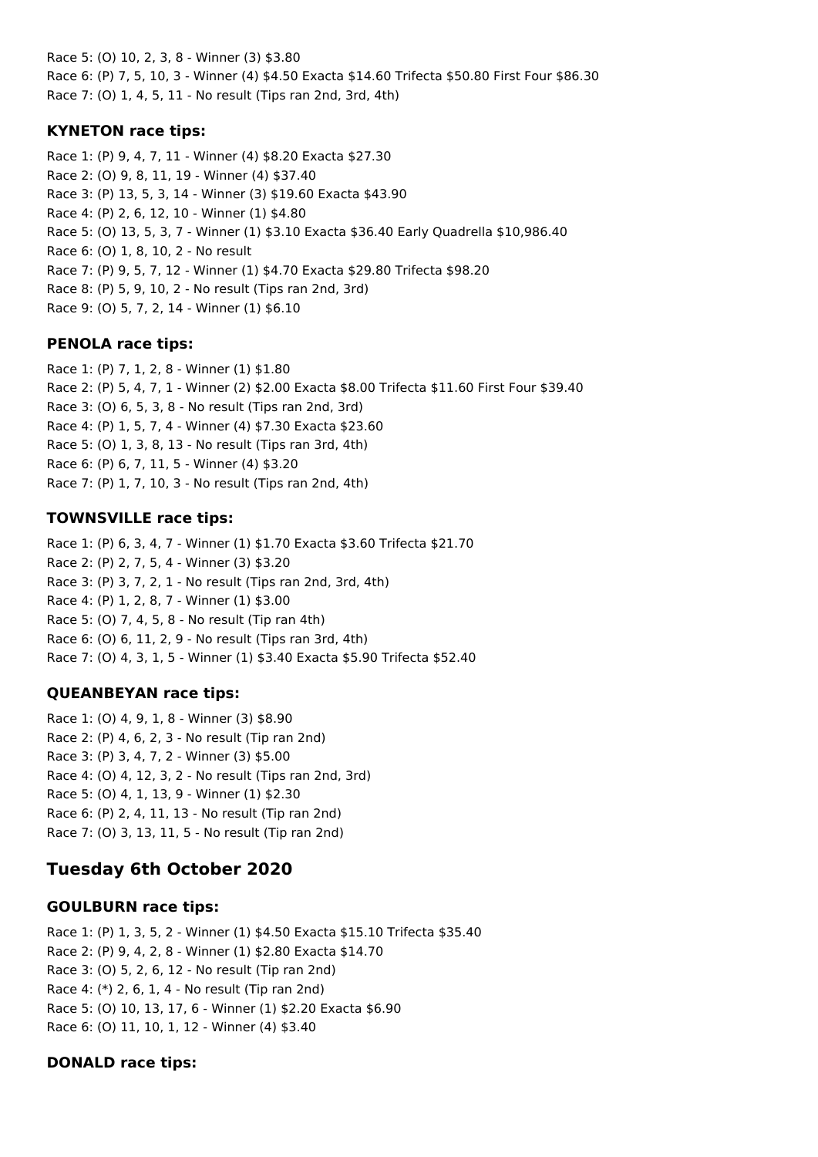Race 5: (O) 10, 2, 3, 8 - Winner (3) \$3.80 Race 6: (P) 7, 5, 10, 3 - Winner (4) \$4.50 Exacta \$14.60 Trifecta \$50.80 First Four \$86.30 Race 7: (O) 1, 4, 5, 11 - No result (Tips ran 2nd, 3rd, 4th)

#### **KYNETON race tips:**

Race 1: (P) 9, 4, 7, 11 - Winner (4) \$8.20 Exacta \$27.30 Race 2: (O) 9, 8, 11, 19 - Winner (4) \$37.40 Race 3: (P) 13, 5, 3, 14 - Winner (3) \$19.60 Exacta \$43.90 Race 4: (P) 2, 6, 12, 10 - Winner (1) \$4.80 Race 5: (O) 13, 5, 3, 7 - Winner (1) \$3.10 Exacta \$36.40 Early Quadrella \$10,986.40 Race 6: (O) 1, 8, 10, 2 - No result Race 7: (P) 9, 5, 7, 12 - Winner (1) \$4.70 Exacta \$29.80 Trifecta \$98.20 Race 8: (P) 5, 9, 10, 2 - No result (Tips ran 2nd, 3rd) Race 9: (O) 5, 7, 2, 14 - Winner (1) \$6.10

#### **PENOLA race tips:**

Race 1: (P) 7, 1, 2, 8 - Winner (1) \$1.80 Race 2: (P) 5, 4, 7, 1 - Winner (2) \$2.00 Exacta \$8.00 Trifecta \$11.60 First Four \$39.40 Race 3: (O) 6, 5, 3, 8 - No result (Tips ran 2nd, 3rd) Race 4: (P) 1, 5, 7, 4 - Winner (4) \$7.30 Exacta \$23.60 Race 5: (O) 1, 3, 8, 13 - No result (Tips ran 3rd, 4th) Race 6: (P) 6, 7, 11, 5 - Winner (4) \$3.20 Race 7: (P) 1, 7, 10, 3 - No result (Tips ran 2nd, 4th)

### **TOWNSVILLE race tips:**

Race 1: (P) 6, 3, 4, 7 - Winner (1) \$1.70 Exacta \$3.60 Trifecta \$21.70 Race 2: (P) 2, 7, 5, 4 - Winner (3) \$3.20 Race 3: (P) 3, 7, 2, 1 - No result (Tips ran 2nd, 3rd, 4th) Race 4: (P) 1, 2, 8, 7 - Winner (1) \$3.00 Race 5: (O) 7, 4, 5, 8 - No result (Tip ran 4th) Race 6: (O) 6, 11, 2, 9 - No result (Tips ran 3rd, 4th) Race 7: (O) 4, 3, 1, 5 - Winner (1) \$3.40 Exacta \$5.90 Trifecta \$52.40

### **QUEANBEYAN race tips:**

Race 1: (O) 4, 9, 1, 8 - Winner (3) \$8.90 Race 2: (P) 4, 6, 2, 3 - No result (Tip ran 2nd) Race 3: (P) 3, 4, 7, 2 - Winner (3) \$5.00 Race 4: (O) 4, 12, 3, 2 - No result (Tips ran 2nd, 3rd) Race 5: (O) 4, 1, 13, 9 - Winner (1) \$2.30 Race 6: (P) 2, 4, 11, 13 - No result (Tip ran 2nd) Race 7: (O) 3, 13, 11, 5 - No result (Tip ran 2nd)

## **Tuesday 6th October 2020**

### **GOULBURN race tips:**

Race 1: (P) 1, 3, 5, 2 - Winner (1) \$4.50 Exacta \$15.10 Trifecta \$35.40 Race 2: (P) 9, 4, 2, 8 - Winner (1) \$2.80 Exacta \$14.70 Race 3: (O) 5, 2, 6, 12 - No result (Tip ran 2nd) Race 4: (\*) 2, 6, 1, 4 - No result (Tip ran 2nd) Race 5: (O) 10, 13, 17, 6 - Winner (1) \$2.20 Exacta \$6.90 Race 6: (O) 11, 10, 1, 12 - Winner (4) \$3.40

### **DONALD race tips:**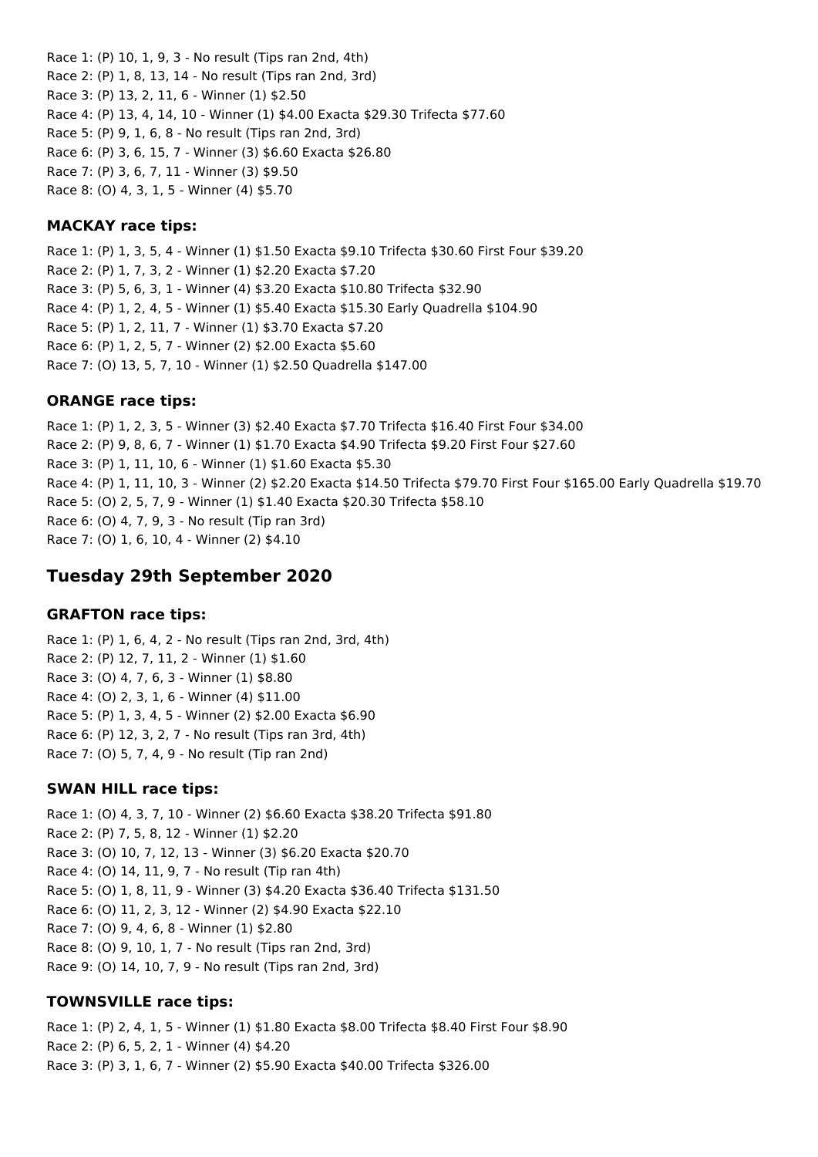Race 1: (P) 10, 1, 9, 3 - No result (Tips ran 2nd, 4th) Race 2: (P) 1, 8, 13, 14 - No result (Tips ran 2nd, 3rd) Race 3: (P) 13, 2, 11, 6 - Winner (1) \$2.50 Race 4: (P) 13, 4, 14, 10 - Winner (1) \$4.00 Exacta \$29.30 Trifecta \$77.60 Race 5: (P) 9, 1, 6, 8 - No result (Tips ran 2nd, 3rd) Race 6: (P) 3, 6, 15, 7 - Winner (3) \$6.60 Exacta \$26.80 Race 7: (P) 3, 6, 7, 11 - Winner (3) \$9.50 Race 8: (O) 4, 3, 1, 5 - Winner (4) \$5.70

### **MACKAY race tips:**

Race 1: (P) 1, 3, 5, 4 - Winner (1) \$1.50 Exacta \$9.10 Trifecta \$30.60 First Four \$39.20 Race 2: (P) 1, 7, 3, 2 - Winner (1) \$2.20 Exacta \$7.20 Race 3: (P) 5, 6, 3, 1 - Winner (4) \$3.20 Exacta \$10.80 Trifecta \$32.90 Race 4: (P) 1, 2, 4, 5 - Winner (1) \$5.40 Exacta \$15.30 Early Quadrella \$104.90 Race 5: (P) 1, 2, 11, 7 - Winner (1) \$3.70 Exacta \$7.20 Race 6: (P) 1, 2, 5, 7 - Winner (2) \$2.00 Exacta \$5.60 Race 7: (O) 13, 5, 7, 10 - Winner (1) \$2.50 Quadrella \$147.00

### **ORANGE race tips:**

Race 1: (P) 1, 2, 3, 5 - Winner (3) \$2.40 Exacta \$7.70 Trifecta \$16.40 First Four \$34.00 Race 2: (P) 9, 8, 6, 7 - Winner (1) \$1.70 Exacta \$4.90 Trifecta \$9.20 First Four \$27.60 Race 3: (P) 1, 11, 10, 6 - Winner (1) \$1.60 Exacta \$5.30 Race 4: (P) 1, 11, 10, 3 - Winner (2) \$2.20 Exacta \$14.50 Trifecta \$79.70 First Four \$165.00 Early Quadrella \$19.70 Race 5: (O) 2, 5, 7, 9 - Winner (1) \$1.40 Exacta \$20.30 Trifecta \$58.10 Race 6: (O) 4, 7, 9, 3 - No result (Tip ran 3rd) Race 7: (O) 1, 6, 10, 4 - Winner (2) \$4.10

## **Tuesday 29th September 2020**

### **GRAFTON race tips:**

Race 1: (P) 1, 6, 4, 2 - No result (Tips ran 2nd, 3rd, 4th) Race 2: (P) 12, 7, 11, 2 - Winner (1) \$1.60 Race 3: (O) 4, 7, 6, 3 - Winner (1) \$8.80 Race 4: (O) 2, 3, 1, 6 - Winner (4) \$11.00 Race 5: (P) 1, 3, 4, 5 - Winner (2) \$2.00 Exacta \$6.90 Race 6: (P) 12, 3, 2, 7 - No result (Tips ran 3rd, 4th) Race 7: (O) 5, 7, 4, 9 - No result (Tip ran 2nd)

### **SWAN HILL race tips:**

Race 1: (O) 4, 3, 7, 10 - Winner (2) \$6.60 Exacta \$38.20 Trifecta \$91.80 Race 2: (P) 7, 5, 8, 12 - Winner (1) \$2.20 Race 3: (O) 10, 7, 12, 13 - Winner (3) \$6.20 Exacta \$20.70 Race 4: (O) 14, 11, 9, 7 - No result (Tip ran 4th) Race 5: (O) 1, 8, 11, 9 - Winner (3) \$4.20 Exacta \$36.40 Trifecta \$131.50 Race 6: (O) 11, 2, 3, 12 - Winner (2) \$4.90 Exacta \$22.10 Race 7: (O) 9, 4, 6, 8 - Winner (1) \$2.80 Race 8: (O) 9, 10, 1, 7 - No result (Tips ran 2nd, 3rd) Race 9: (O) 14, 10, 7, 9 - No result (Tips ran 2nd, 3rd)

### **TOWNSVILLE race tips:**

Race 1: (P) 2, 4, 1, 5 - Winner (1) \$1.80 Exacta \$8.00 Trifecta \$8.40 First Four \$8.90 Race 2: (P) 6, 5, 2, 1 - Winner (4) \$4.20 Race 3: (P) 3, 1, 6, 7 - Winner (2) \$5.90 Exacta \$40.00 Trifecta \$326.00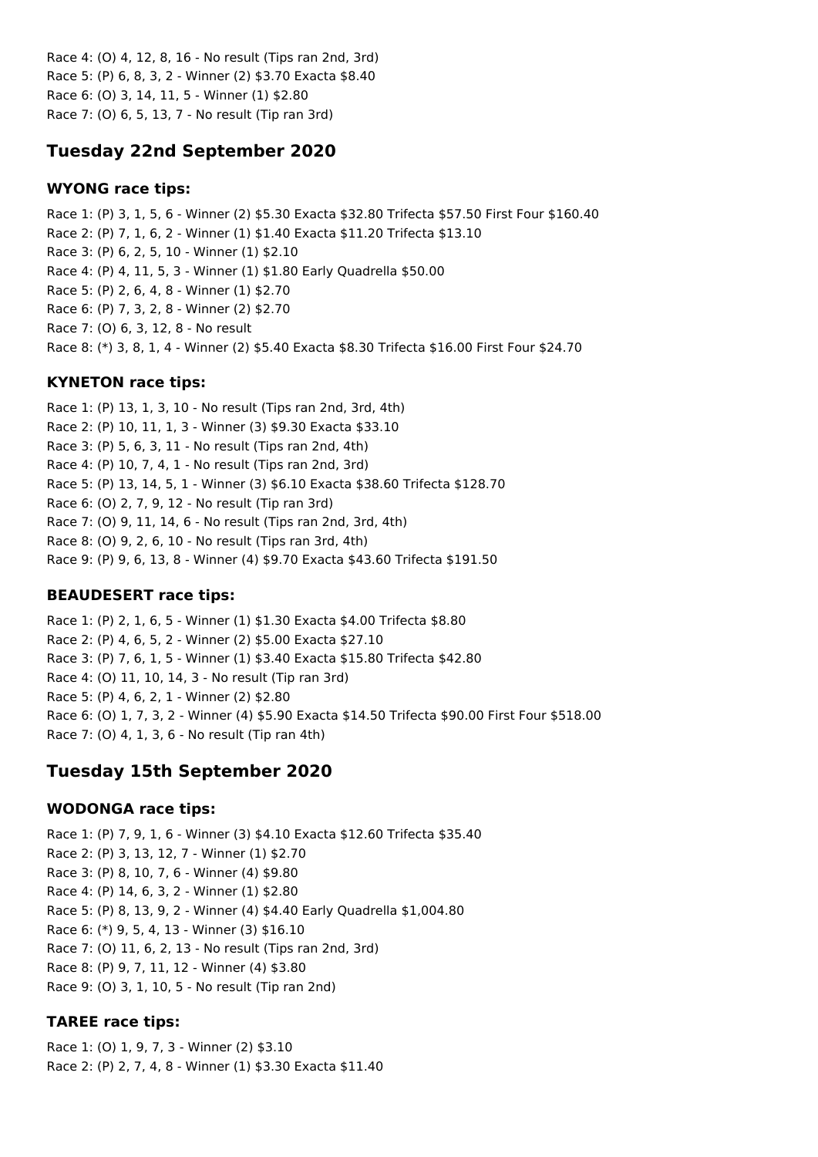Race 4: (O) 4, 12, 8, 16 - No result (Tips ran 2nd, 3rd) Race 5: (P) 6, 8, 3, 2 - Winner (2) \$3.70 Exacta \$8.40 Race 6: (O) 3, 14, 11, 5 - Winner (1) \$2.80 Race 7: (O) 6, 5, 13, 7 - No result (Tip ran 3rd)

### **Tuesday 22nd September 2020**

#### **WYONG race tips:**

Race 1: (P) 3, 1, 5, 6 - Winner (2) \$5.30 Exacta \$32.80 Trifecta \$57.50 First Four \$160.40 Race 2: (P) 7, 1, 6, 2 - Winner (1) \$1.40 Exacta \$11.20 Trifecta \$13.10 Race 3: (P) 6, 2, 5, 10 - Winner (1) \$2.10 Race 4: (P) 4, 11, 5, 3 - Winner (1) \$1.80 Early Quadrella \$50.00 Race 5: (P) 2, 6, 4, 8 - Winner (1) \$2.70 Race 6: (P) 7, 3, 2, 8 - Winner (2) \$2.70 Race 7: (O) 6, 3, 12, 8 - No result Race 8: (\*) 3, 8, 1, 4 - Winner (2) \$5.40 Exacta \$8.30 Trifecta \$16.00 First Four \$24.70

#### **KYNETON race tips:**

Race 1: (P) 13, 1, 3, 10 - No result (Tips ran 2nd, 3rd, 4th) Race 2: (P) 10, 11, 1, 3 - Winner (3) \$9.30 Exacta \$33.10 Race 3: (P) 5, 6, 3, 11 - No result (Tips ran 2nd, 4th) Race 4: (P) 10, 7, 4, 1 - No result (Tips ran 2nd, 3rd) Race 5: (P) 13, 14, 5, 1 - Winner (3) \$6.10 Exacta \$38.60 Trifecta \$128.70 Race 6: (O) 2, 7, 9, 12 - No result (Tip ran 3rd) Race 7: (O) 9, 11, 14, 6 - No result (Tips ran 2nd, 3rd, 4th) Race 8: (O) 9, 2, 6, 10 - No result (Tips ran 3rd, 4th) Race 9: (P) 9, 6, 13, 8 - Winner (4) \$9.70 Exacta \$43.60 Trifecta \$191.50

#### **BEAUDESERT race tips:**

Race 1: (P) 2, 1, 6, 5 - Winner (1) \$1.30 Exacta \$4.00 Trifecta \$8.80 Race 2: (P) 4, 6, 5, 2 - Winner (2) \$5.00 Exacta \$27.10 Race 3: (P) 7, 6, 1, 5 - Winner (1) \$3.40 Exacta \$15.80 Trifecta \$42.80 Race 4: (O) 11, 10, 14, 3 - No result (Tip ran 3rd) Race 5: (P) 4, 6, 2, 1 - Winner (2) \$2.80 Race 6: (O) 1, 7, 3, 2 - Winner (4) \$5.90 Exacta \$14.50 Trifecta \$90.00 First Four \$518.00 Race 7: (O) 4, 1, 3, 6 - No result (Tip ran 4th)

### **Tuesday 15th September 2020**

#### **WODONGA race tips:**

Race 1: (P) 7, 9, 1, 6 - Winner (3) \$4.10 Exacta \$12.60 Trifecta \$35.40 Race 2: (P) 3, 13, 12, 7 - Winner (1) \$2.70 Race 3: (P) 8, 10, 7, 6 - Winner (4) \$9.80 Race 4: (P) 14, 6, 3, 2 - Winner (1) \$2.80 Race 5: (P) 8, 13, 9, 2 - Winner (4) \$4.40 Early Quadrella \$1,004.80 Race 6: (\*) 9, 5, 4, 13 - Winner (3) \$16.10 Race 7: (O) 11, 6, 2, 13 - No result (Tips ran 2nd, 3rd) Race 8: (P) 9, 7, 11, 12 - Winner (4) \$3.80 Race 9: (O) 3, 1, 10, 5 - No result (Tip ran 2nd)

#### **TAREE race tips:**

Race 1: (O) 1, 9, 7, 3 - Winner (2) \$3.10 Race 2: (P) 2, 7, 4, 8 - Winner (1) \$3.30 Exacta \$11.40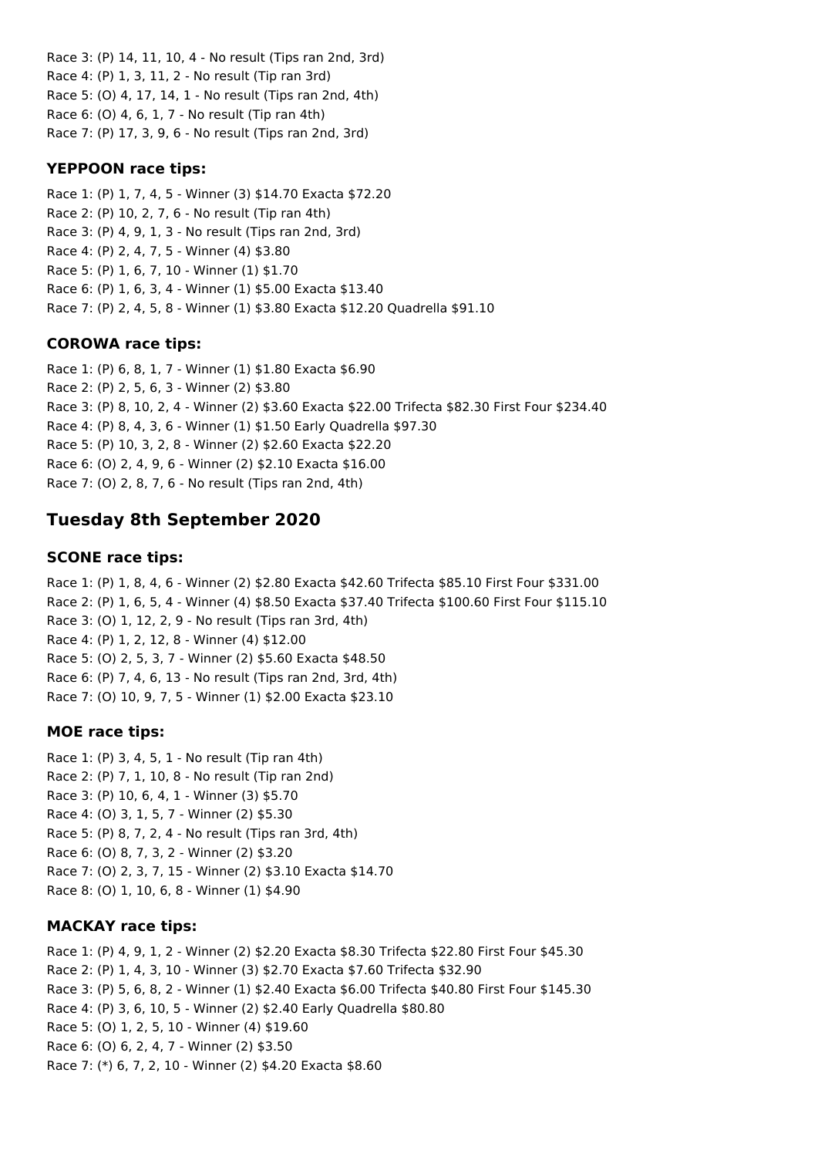Race 3: (P) 14, 11, 10, 4 - No result (Tips ran 2nd, 3rd) Race 4: (P) 1, 3, 11, 2 - No result (Tip ran 3rd) Race 5: (O) 4, 17, 14, 1 - No result (Tips ran 2nd, 4th) Race 6: (O) 4, 6, 1, 7 - No result (Tip ran 4th) Race 7: (P) 17, 3, 9, 6 - No result (Tips ran 2nd, 3rd)

#### **YEPPOON race tips:**

Race 1: (P) 1, 7, 4, 5 - Winner (3) \$14.70 Exacta \$72.20 Race 2: (P) 10, 2, 7, 6 - No result (Tip ran 4th) Race 3: (P) 4, 9, 1, 3 - No result (Tips ran 2nd, 3rd) Race 4: (P) 2, 4, 7, 5 - Winner (4) \$3.80 Race 5: (P) 1, 6, 7, 10 - Winner (1) \$1.70 Race 6: (P) 1, 6, 3, 4 - Winner (1) \$5.00 Exacta \$13.40 Race 7: (P) 2, 4, 5, 8 - Winner (1) \$3.80 Exacta \$12.20 Quadrella \$91.10

#### **COROWA race tips:**

Race 1: (P) 6, 8, 1, 7 - Winner (1) \$1.80 Exacta \$6.90 Race 2: (P) 2, 5, 6, 3 - Winner (2) \$3.80 Race 3: (P) 8, 10, 2, 4 - Winner (2) \$3.60 Exacta \$22.00 Trifecta \$82.30 First Four \$234.40 Race 4: (P) 8, 4, 3, 6 - Winner (1) \$1.50 Early Quadrella \$97.30 Race 5: (P) 10, 3, 2, 8 - Winner (2) \$2.60 Exacta \$22.20 Race 6: (O) 2, 4, 9, 6 - Winner (2) \$2.10 Exacta \$16.00 Race 7: (O) 2, 8, 7, 6 - No result (Tips ran 2nd, 4th)

## **Tuesday 8th September 2020**

#### **SCONE race tips:**

Race 1: (P) 1, 8, 4, 6 - Winner (2) \$2.80 Exacta \$42.60 Trifecta \$85.10 First Four \$331.00 Race 2: (P) 1, 6, 5, 4 - Winner (4) \$8.50 Exacta \$37.40 Trifecta \$100.60 First Four \$115.10 Race 3: (O) 1, 12, 2, 9 - No result (Tips ran 3rd, 4th) Race 4: (P) 1, 2, 12, 8 - Winner (4) \$12.00 Race 5: (O) 2, 5, 3, 7 - Winner (2) \$5.60 Exacta \$48.50 Race 6: (P) 7, 4, 6, 13 - No result (Tips ran 2nd, 3rd, 4th) Race 7: (O) 10, 9, 7, 5 - Winner (1) \$2.00 Exacta \$23.10

### **MOE race tips:**

Race 1: (P) 3, 4, 5, 1 - No result (Tip ran 4th) Race 2: (P) 7, 1, 10, 8 - No result (Tip ran 2nd) Race 3: (P) 10, 6, 4, 1 - Winner (3) \$5.70 Race 4: (O) 3, 1, 5, 7 - Winner (2) \$5.30 Race 5: (P) 8, 7, 2, 4 - No result (Tips ran 3rd, 4th) Race 6: (O) 8, 7, 3, 2 - Winner (2) \$3.20 Race 7: (O) 2, 3, 7, 15 - Winner (2) \$3.10 Exacta \$14.70 Race 8: (O) 1, 10, 6, 8 - Winner (1) \$4.90

### **MACKAY race tips:**

Race 1: (P) 4, 9, 1, 2 - Winner (2) \$2.20 Exacta \$8.30 Trifecta \$22.80 First Four \$45.30 Race 2: (P) 1, 4, 3, 10 - Winner (3) \$2.70 Exacta \$7.60 Trifecta \$32.90 Race 3: (P) 5, 6, 8, 2 - Winner (1) \$2.40 Exacta \$6.00 Trifecta \$40.80 First Four \$145.30 Race 4: (P) 3, 6, 10, 5 - Winner (2) \$2.40 Early Quadrella \$80.80 Race 5: (O) 1, 2, 5, 10 - Winner (4) \$19.60 Race 6: (O) 6, 2, 4, 7 - Winner (2) \$3.50 Race 7: (\*) 6, 7, 2, 10 - Winner (2) \$4.20 Exacta \$8.60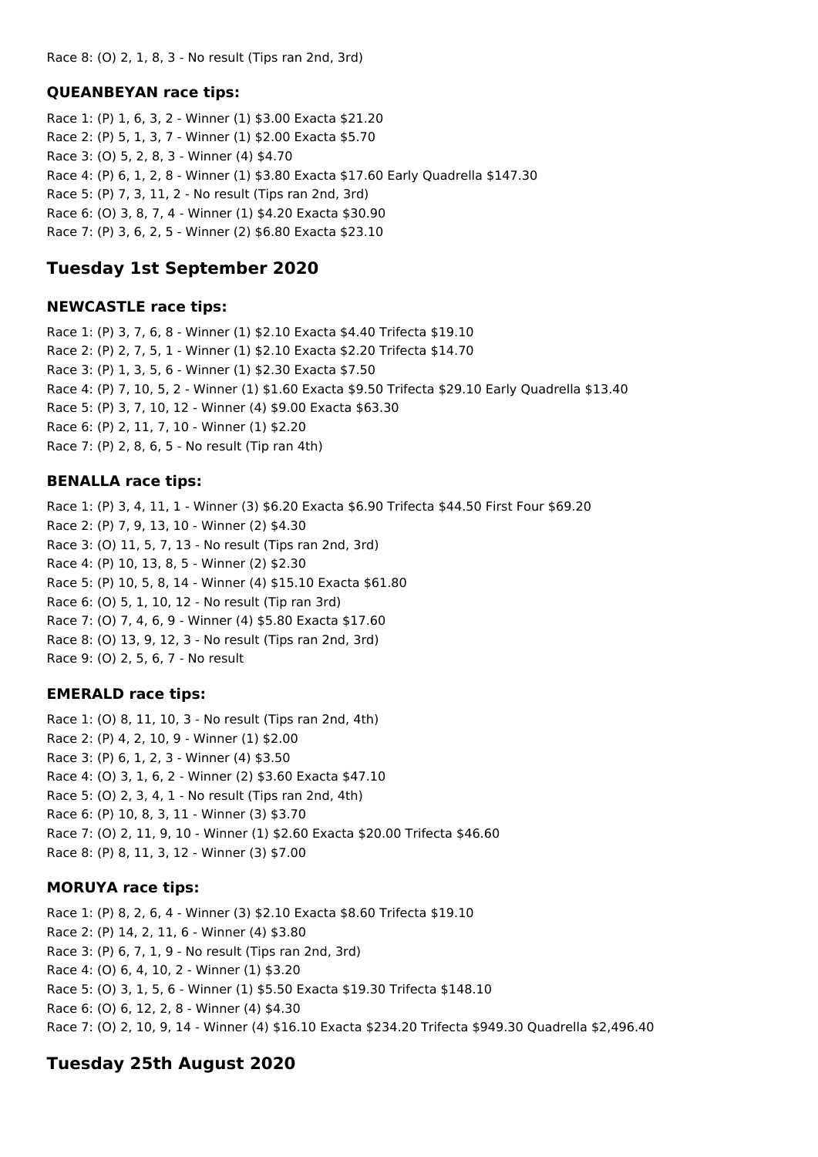Race 8: (O) 2, 1, 8, 3 - No result (Tips ran 2nd, 3rd)

### **QUEANBEYAN race tips:**

Race 1: (P) 1, 6, 3, 2 - Winner (1) \$3.00 Exacta \$21.20 Race 2: (P) 5, 1, 3, 7 - Winner (1) \$2.00 Exacta \$5.70 Race 3: (O) 5, 2, 8, 3 - Winner (4) \$4.70 Race 4: (P) 6, 1, 2, 8 - Winner (1) \$3.80 Exacta \$17.60 Early Quadrella \$147.30 Race 5: (P) 7, 3, 11, 2 - No result (Tips ran 2nd, 3rd) Race 6: (O) 3, 8, 7, 4 - Winner (1) \$4.20 Exacta \$30.90 Race 7: (P) 3, 6, 2, 5 - Winner (2) \$6.80 Exacta \$23.10

## **Tuesday 1st September 2020**

#### **NEWCASTLE race tips:**

Race 1: (P) 3, 7, 6, 8 - Winner (1) \$2.10 Exacta \$4.40 Trifecta \$19.10 Race 2: (P) 2, 7, 5, 1 - Winner (1) \$2.10 Exacta \$2.20 Trifecta \$14.70 Race 3: (P) 1, 3, 5, 6 - Winner (1) \$2.30 Exacta \$7.50 Race 4: (P) 7, 10, 5, 2 - Winner (1) \$1.60 Exacta \$9.50 Trifecta \$29.10 Early Quadrella \$13.40 Race 5: (P) 3, 7, 10, 12 - Winner (4) \$9.00 Exacta \$63.30 Race 6: (P) 2, 11, 7, 10 - Winner (1) \$2.20 Race 7: (P) 2, 8, 6, 5 - No result (Tip ran 4th)

### **BENALLA race tips:**

Race 1: (P) 3, 4, 11, 1 - Winner (3) \$6.20 Exacta \$6.90 Trifecta \$44.50 First Four \$69.20 Race 2: (P) 7, 9, 13, 10 - Winner (2) \$4.30 Race 3: (O) 11, 5, 7, 13 - No result (Tips ran 2nd, 3rd) Race 4: (P) 10, 13, 8, 5 - Winner (2) \$2.30 Race 5: (P) 10, 5, 8, 14 - Winner (4) \$15.10 Exacta \$61.80 Race 6: (O) 5, 1, 10, 12 - No result (Tip ran 3rd) Race 7: (O) 7, 4, 6, 9 - Winner (4) \$5.80 Exacta \$17.60 Race 8: (O) 13, 9, 12, 3 - No result (Tips ran 2nd, 3rd) Race 9: (O) 2, 5, 6, 7 - No result

### **EMERALD race tips:**

Race 1: (O) 8, 11, 10, 3 - No result (Tips ran 2nd, 4th) Race 2: (P) 4, 2, 10, 9 - Winner (1) \$2.00 Race 3: (P) 6, 1, 2, 3 - Winner (4) \$3.50 Race 4: (O) 3, 1, 6, 2 - Winner (2) \$3.60 Exacta \$47.10 Race 5: (O) 2, 3, 4, 1 - No result (Tips ran 2nd, 4th) Race 6: (P) 10, 8, 3, 11 - Winner (3) \$3.70 Race 7: (O) 2, 11, 9, 10 - Winner (1) \$2.60 Exacta \$20.00 Trifecta \$46.60 Race 8: (P) 8, 11, 3, 12 - Winner (3) \$7.00

### **MORUYA race tips:**

Race 1: (P) 8, 2, 6, 4 - Winner (3) \$2.10 Exacta \$8.60 Trifecta \$19.10 Race 2: (P) 14, 2, 11, 6 - Winner (4) \$3.80 Race 3: (P) 6, 7, 1, 9 - No result (Tips ran 2nd, 3rd) Race 4: (O) 6, 4, 10, 2 - Winner (1) \$3.20 Race 5: (O) 3, 1, 5, 6 - Winner (1) \$5.50 Exacta \$19.30 Trifecta \$148.10 Race 6: (O) 6, 12, 2, 8 - Winner (4) \$4.30 Race 7: (O) 2, 10, 9, 14 - Winner (4) \$16.10 Exacta \$234.20 Trifecta \$949.30 Quadrella \$2,496.40

## **Tuesday 25th August 2020**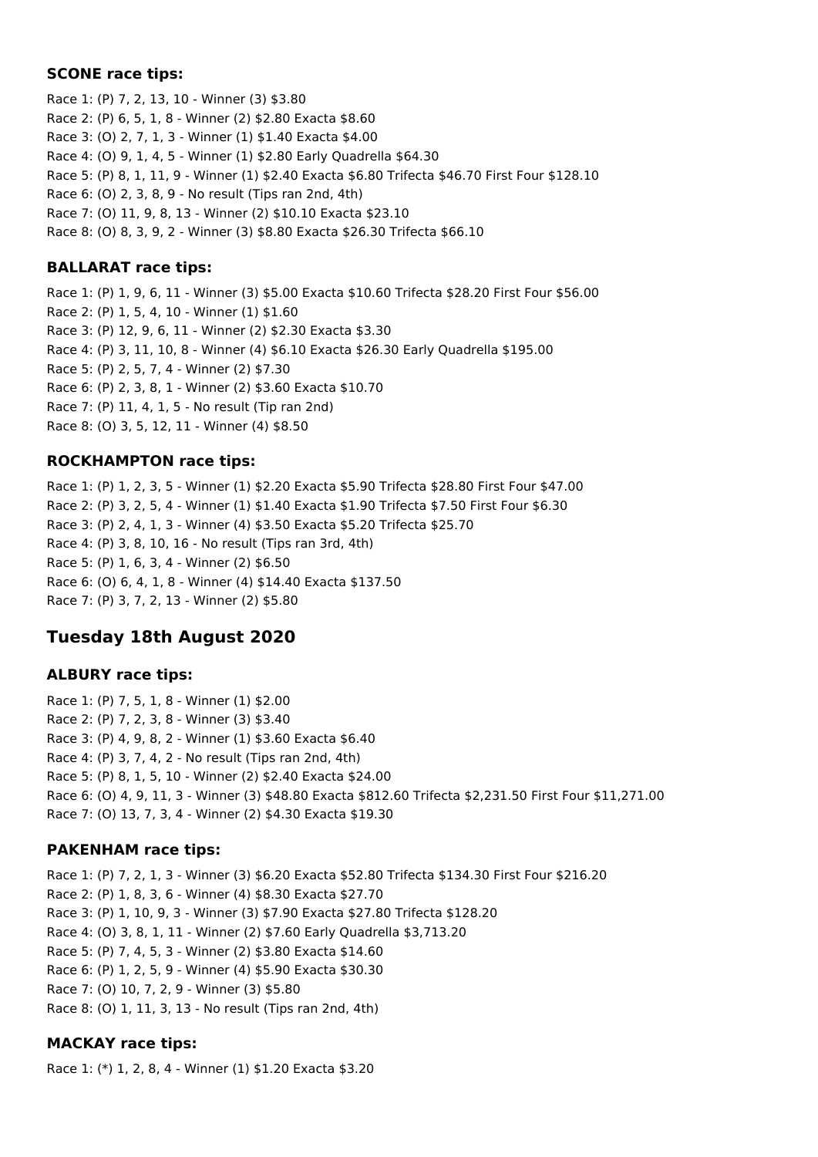### **SCONE race tips:**

Race 1: (P) 7, 2, 13, 10 - Winner (3) \$3.80 Race 2: (P) 6, 5, 1, 8 - Winner (2) \$2.80 Exacta \$8.60 Race 3: (O) 2, 7, 1, 3 - Winner (1) \$1.40 Exacta \$4.00 Race 4: (O) 9, 1, 4, 5 - Winner (1) \$2.80 Early Quadrella \$64.30 Race 5: (P) 8, 1, 11, 9 - Winner (1) \$2.40 Exacta \$6.80 Trifecta \$46.70 First Four \$128.10 Race 6: (O) 2, 3, 8, 9 - No result (Tips ran 2nd, 4th) Race 7: (O) 11, 9, 8, 13 - Winner (2) \$10.10 Exacta \$23.10 Race 8: (O) 8, 3, 9, 2 - Winner (3) \$8.80 Exacta \$26.30 Trifecta \$66.10

### **BALLARAT race tips:**

Race 1: (P) 1, 9, 6, 11 - Winner (3) \$5.00 Exacta \$10.60 Trifecta \$28.20 First Four \$56.00 Race 2: (P) 1, 5, 4, 10 - Winner (1) \$1.60 Race 3: (P) 12, 9, 6, 11 - Winner (2) \$2.30 Exacta \$3.30 Race 4: (P) 3, 11, 10, 8 - Winner (4) \$6.10 Exacta \$26.30 Early Quadrella \$195.00 Race 5: (P) 2, 5, 7, 4 - Winner (2) \$7.30 Race 6: (P) 2, 3, 8, 1 - Winner (2) \$3.60 Exacta \$10.70 Race 7: (P) 11, 4, 1, 5 - No result (Tip ran 2nd) Race 8: (O) 3, 5, 12, 11 - Winner (4) \$8.50

### **ROCKHAMPTON race tips:**

Race 1: (P) 1, 2, 3, 5 - Winner (1) \$2.20 Exacta \$5.90 Trifecta \$28.80 First Four \$47.00 Race 2: (P) 3, 2, 5, 4 - Winner (1) \$1.40 Exacta \$1.90 Trifecta \$7.50 First Four \$6.30 Race 3: (P) 2, 4, 1, 3 - Winner (4) \$3.50 Exacta \$5.20 Trifecta \$25.70 Race 4: (P) 3, 8, 10, 16 - No result (Tips ran 3rd, 4th) Race 5: (P) 1, 6, 3, 4 - Winner (2) \$6.50 Race 6: (O) 6, 4, 1, 8 - Winner (4) \$14.40 Exacta \$137.50 Race 7: (P) 3, 7, 2, 13 - Winner (2) \$5.80

## **Tuesday 18th August 2020**

### **ALBURY race tips:**

Race 1: (P) 7, 5, 1, 8 - Winner (1) \$2.00 Race 2: (P) 7, 2, 3, 8 - Winner (3) \$3.40 Race 3: (P) 4, 9, 8, 2 - Winner (1) \$3.60 Exacta \$6.40 Race 4: (P) 3, 7, 4, 2 - No result (Tips ran 2nd, 4th) Race 5: (P) 8, 1, 5, 10 - Winner (2) \$2.40 Exacta \$24.00 Race 6: (O) 4, 9, 11, 3 - Winner (3) \$48.80 Exacta \$812.60 Trifecta \$2,231.50 First Four \$11,271.00 Race 7: (O) 13, 7, 3, 4 - Winner (2) \$4.30 Exacta \$19.30

### **PAKENHAM race tips:**

Race 1: (P) 7, 2, 1, 3 - Winner (3) \$6.20 Exacta \$52.80 Trifecta \$134.30 First Four \$216.20 Race 2: (P) 1, 8, 3, 6 - Winner (4) \$8.30 Exacta \$27.70 Race 3: (P) 1, 10, 9, 3 - Winner (3) \$7.90 Exacta \$27.80 Trifecta \$128.20 Race 4: (O) 3, 8, 1, 11 - Winner (2) \$7.60 Early Quadrella \$3,713.20 Race 5: (P) 7, 4, 5, 3 - Winner (2) \$3.80 Exacta \$14.60 Race 6: (P) 1, 2, 5, 9 - Winner (4) \$5.90 Exacta \$30.30 Race 7: (O) 10, 7, 2, 9 - Winner (3) \$5.80 Race 8: (O) 1, 11, 3, 13 - No result (Tips ran 2nd, 4th)

### **MACKAY race tips:**

Race 1: (\*) 1, 2, 8, 4 - Winner (1) \$1.20 Exacta \$3.20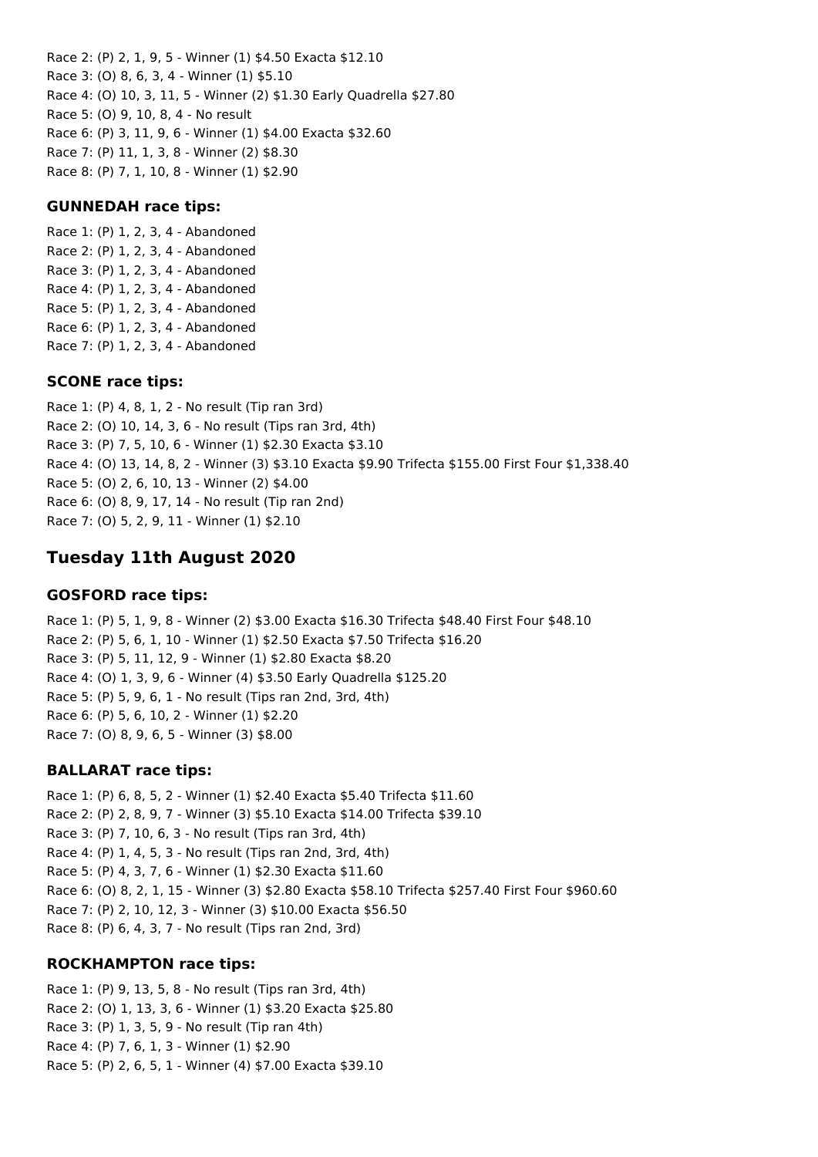Race 2: (P) 2, 1, 9, 5 - Winner (1) \$4.50 Exacta \$12.10 Race 3: (O) 8, 6, 3, 4 - Winner (1) \$5.10 Race 4: (O) 10, 3, 11, 5 - Winner (2) \$1.30 Early Quadrella \$27.80 Race 5: (O) 9, 10, 8, 4 - No result Race 6: (P) 3, 11, 9, 6 - Winner (1) \$4.00 Exacta \$32.60 Race 7: (P) 11, 1, 3, 8 - Winner (2) \$8.30 Race 8: (P) 7, 1, 10, 8 - Winner (1) \$2.90

#### **GUNNEDAH race tips:**

Race 1: (P) 1, 2, 3, 4 - Abandoned Race 2: (P) 1, 2, 3, 4 - Abandoned Race 3: (P) 1, 2, 3, 4 - Abandoned Race 4: (P) 1, 2, 3, 4 - Abandoned Race 5: (P) 1, 2, 3, 4 - Abandoned Race 6: (P) 1, 2, 3, 4 - Abandoned Race 7: (P) 1, 2, 3, 4 - Abandoned

#### **SCONE race tips:**

Race 1: (P) 4, 8, 1, 2 - No result (Tip ran 3rd) Race 2: (O) 10, 14, 3, 6 - No result (Tips ran 3rd, 4th) Race 3: (P) 7, 5, 10, 6 - Winner (1) \$2.30 Exacta \$3.10 Race 4: (O) 13, 14, 8, 2 - Winner (3) \$3.10 Exacta \$9.90 Trifecta \$155.00 First Four \$1,338.40 Race 5: (O) 2, 6, 10, 13 - Winner (2) \$4.00 Race 6: (O) 8, 9, 17, 14 - No result (Tip ran 2nd) Race 7: (O) 5, 2, 9, 11 - Winner (1) \$2.10

## **Tuesday 11th August 2020**

#### **GOSFORD race tips:**

Race 1: (P) 5, 1, 9, 8 - Winner (2) \$3.00 Exacta \$16.30 Trifecta \$48.40 First Four \$48.10 Race 2: (P) 5, 6, 1, 10 - Winner (1) \$2.50 Exacta \$7.50 Trifecta \$16.20 Race 3: (P) 5, 11, 12, 9 - Winner (1) \$2.80 Exacta \$8.20 Race 4: (O) 1, 3, 9, 6 - Winner (4) \$3.50 Early Quadrella \$125.20 Race 5: (P) 5, 9, 6, 1 - No result (Tips ran 2nd, 3rd, 4th) Race 6: (P) 5, 6, 10, 2 - Winner (1) \$2.20 Race 7: (O) 8, 9, 6, 5 - Winner (3) \$8.00

#### **BALLARAT race tips:**

Race 1: (P) 6, 8, 5, 2 - Winner (1) \$2.40 Exacta \$5.40 Trifecta \$11.60 Race 2: (P) 2, 8, 9, 7 - Winner (3) \$5.10 Exacta \$14.00 Trifecta \$39.10 Race 3: (P) 7, 10, 6, 3 - No result (Tips ran 3rd, 4th) Race 4: (P) 1, 4, 5, 3 - No result (Tips ran 2nd, 3rd, 4th) Race 5: (P) 4, 3, 7, 6 - Winner (1) \$2.30 Exacta \$11.60 Race 6: (O) 8, 2, 1, 15 - Winner (3) \$2.80 Exacta \$58.10 Trifecta \$257.40 First Four \$960.60 Race 7: (P) 2, 10, 12, 3 - Winner (3) \$10.00 Exacta \$56.50 Race 8: (P) 6, 4, 3, 7 - No result (Tips ran 2nd, 3rd)

### **ROCKHAMPTON race tips:**

Race 1: (P) 9, 13, 5, 8 - No result (Tips ran 3rd, 4th) Race 2: (O) 1, 13, 3, 6 - Winner (1) \$3.20 Exacta \$25.80 Race 3: (P) 1, 3, 5, 9 - No result (Tip ran 4th) Race 4: (P) 7, 6, 1, 3 - Winner (1) \$2.90 Race 5: (P) 2, 6, 5, 1 - Winner (4) \$7.00 Exacta \$39.10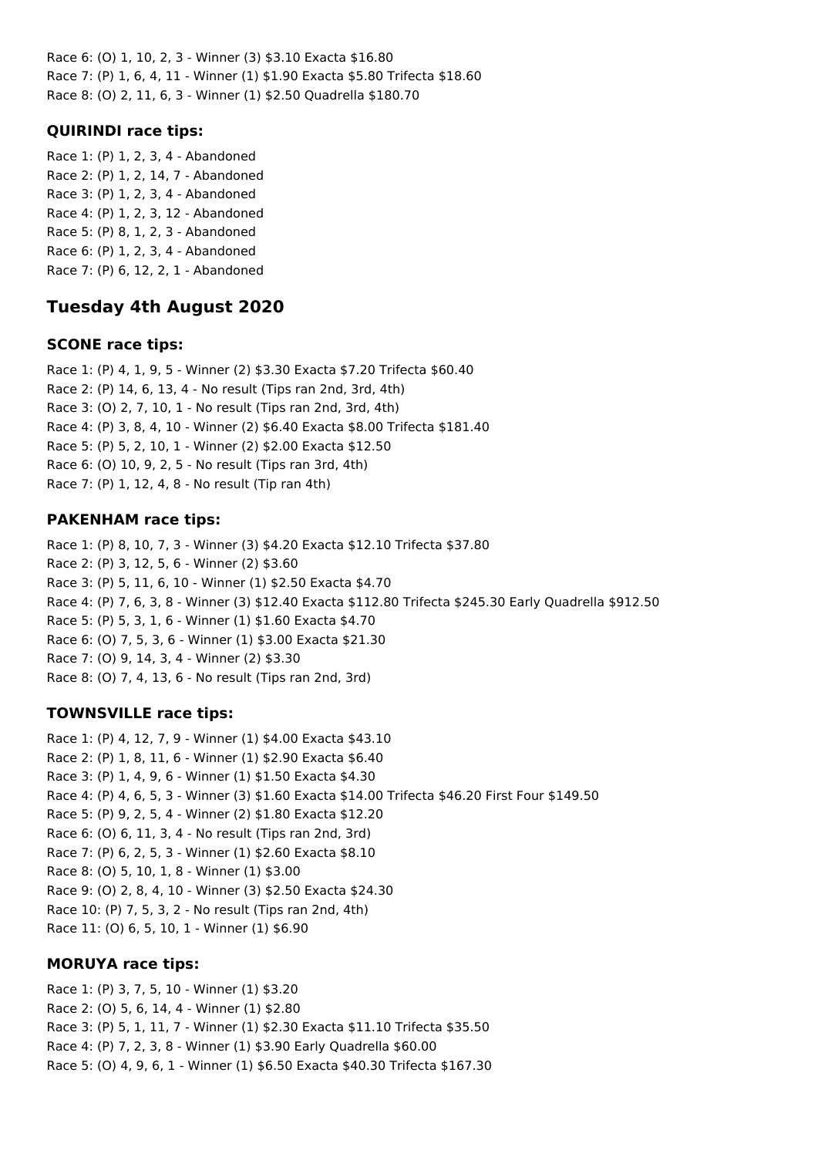Race 6: (O) 1, 10, 2, 3 - Winner (3) \$3.10 Exacta \$16.80 Race 7: (P) 1, 6, 4, 11 - Winner (1) \$1.90 Exacta \$5.80 Trifecta \$18.60 Race 8: (O) 2, 11, 6, 3 - Winner (1) \$2.50 Quadrella \$180.70

### **QUIRINDI race tips:**

Race 1: (P) 1, 2, 3, 4 - Abandoned Race 2: (P) 1, 2, 14, 7 - Abandoned Race 3: (P) 1, 2, 3, 4 - Abandoned Race 4: (P) 1, 2, 3, 12 - Abandoned Race 5: (P) 8, 1, 2, 3 - Abandoned Race 6: (P) 1, 2, 3, 4 - Abandoned Race 7: (P) 6, 12, 2, 1 - Abandoned

## **Tuesday 4th August 2020**

### **SCONE race tips:**

Race 1: (P) 4, 1, 9, 5 - Winner (2) \$3.30 Exacta \$7.20 Trifecta \$60.40 Race 2: (P) 14, 6, 13, 4 - No result (Tips ran 2nd, 3rd, 4th) Race 3: (O) 2, 7, 10, 1 - No result (Tips ran 2nd, 3rd, 4th) Race 4: (P) 3, 8, 4, 10 - Winner (2) \$6.40 Exacta \$8.00 Trifecta \$181.40 Race 5: (P) 5, 2, 10, 1 - Winner (2) \$2.00 Exacta \$12.50 Race 6: (O) 10, 9, 2, 5 - No result (Tips ran 3rd, 4th) Race 7: (P) 1, 12, 4, 8 - No result (Tip ran 4th)

### **PAKENHAM race tips:**

Race 1: (P) 8, 10, 7, 3 - Winner (3) \$4.20 Exacta \$12.10 Trifecta \$37.80 Race 2: (P) 3, 12, 5, 6 - Winner (2) \$3.60 Race 3: (P) 5, 11, 6, 10 - Winner (1) \$2.50 Exacta \$4.70 Race 4: (P) 7, 6, 3, 8 - Winner (3) \$12.40 Exacta \$112.80 Trifecta \$245.30 Early Quadrella \$912.50 Race 5: (P) 5, 3, 1, 6 - Winner (1) \$1.60 Exacta \$4.70 Race 6: (O) 7, 5, 3, 6 - Winner (1) \$3.00 Exacta \$21.30 Race 7: (O) 9, 14, 3, 4 - Winner (2) \$3.30 Race 8: (O) 7, 4, 13, 6 - No result (Tips ran 2nd, 3rd)

### **TOWNSVILLE race tips:**

Race 1: (P) 4, 12, 7, 9 - Winner (1) \$4.00 Exacta \$43.10 Race 2: (P) 1, 8, 11, 6 - Winner (1) \$2.90 Exacta \$6.40 Race 3: (P) 1, 4, 9, 6 - Winner (1) \$1.50 Exacta \$4.30 Race 4: (P) 4, 6, 5, 3 - Winner (3) \$1.60 Exacta \$14.00 Trifecta \$46.20 First Four \$149.50 Race 5: (P) 9, 2, 5, 4 - Winner (2) \$1.80 Exacta \$12.20 Race 6: (O) 6, 11, 3, 4 - No result (Tips ran 2nd, 3rd) Race 7: (P) 6, 2, 5, 3 - Winner (1) \$2.60 Exacta \$8.10 Race 8: (O) 5, 10, 1, 8 - Winner (1) \$3.00 Race 9: (O) 2, 8, 4, 10 - Winner (3) \$2.50 Exacta \$24.30 Race 10: (P) 7, 5, 3, 2 - No result (Tips ran 2nd, 4th) Race 11: (O) 6, 5, 10, 1 - Winner (1) \$6.90

### **MORUYA race tips:**

Race 1: (P) 3, 7, 5, 10 - Winner (1) \$3.20 Race 2: (O) 5, 6, 14, 4 - Winner (1) \$2.80 Race 3: (P) 5, 1, 11, 7 - Winner (1) \$2.30 Exacta \$11.10 Trifecta \$35.50 Race 4: (P) 7, 2, 3, 8 - Winner (1) \$3.90 Early Quadrella \$60.00 Race 5: (O) 4, 9, 6, 1 - Winner (1) \$6.50 Exacta \$40.30 Trifecta \$167.30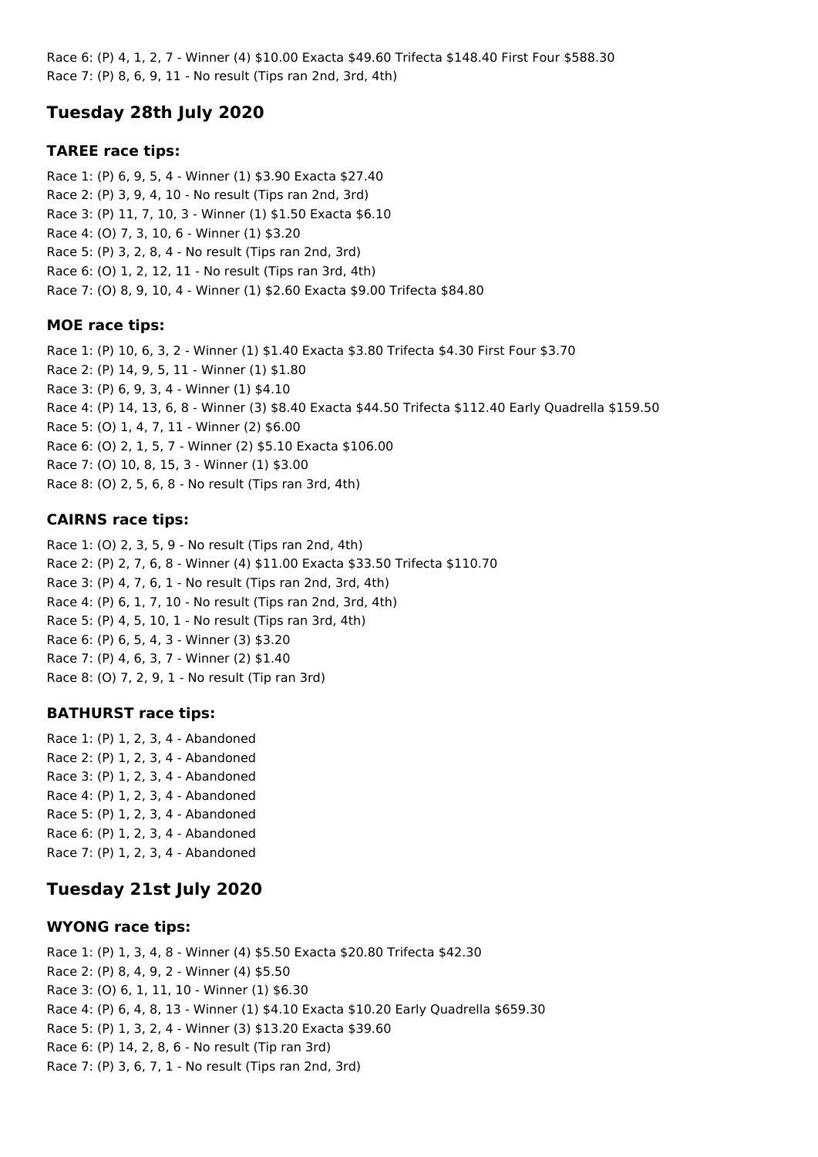Race 6: (P) 4, 1, 2, 7 - Winner (4) \$10.00 Exacta \$49.60 Trifecta \$148.40 First Four \$588.30 Race 7: (P) 8, 6, 9, 11 - No result (Tips ran 2nd, 3rd, 4th)

# **Tuesday 28th July 2020**

### **TAREE race tips:**

Race 1: (P) 6, 9, 5, 4 - Winner (1) \$3.90 Exacta \$27.40 Race 2: (P) 3, 9, 4, 10 - No result (Tips ran 2nd, 3rd) Race 3: (P) 11, 7, 10, 3 - Winner (1) \$1.50 Exacta \$6.10 Race 4: (O) 7, 3, 10, 6 - Winner (1) \$3.20 Race 5: (P) 3, 2, 8, 4 - No result (Tips ran 2nd, 3rd) Race 6: (O) 1, 2, 12, 11 - No result (Tips ran 3rd, 4th) Race 7: (O) 8, 9, 10, 4 - Winner (1) \$2.60 Exacta \$9.00 Trifecta \$84.80

### **MOE race tips:**

Race 1: (P) 10, 6, 3, 2 - Winner (1) \$1.40 Exacta \$3.80 Trifecta \$4.30 First Four \$3.70 Race 2: (P) 14, 9, 5, 11 - Winner (1) \$1.80 Race 3: (P) 6, 9, 3, 4 - Winner (1) \$4.10 Race 4: (P) 14, 13, 6, 8 - Winner (3) \$8.40 Exacta \$44.50 Trifecta \$112.40 Early Quadrella \$159.50 Race 5: (O) 1, 4, 7, 11 - Winner (2) \$6.00 Race 6: (O) 2, 1, 5, 7 - Winner (2) \$5.10 Exacta \$106.00 Race 7: (O) 10, 8, 15, 3 - Winner (1) \$3.00 Race 8: (O) 2, 5, 6, 8 - No result (Tips ran 3rd, 4th)

## **CAIRNS race tips:**

Race 1: (O) 2, 3, 5, 9 - No result (Tips ran 2nd, 4th) Race 2: (P) 2, 7, 6, 8 - Winner (4) \$11.00 Exacta \$33.50 Trifecta \$110.70 Race 3: (P) 4, 7, 6, 1 - No result (Tips ran 2nd, 3rd, 4th) Race 4: (P) 6, 1, 7, 10 - No result (Tips ran 2nd, 3rd, 4th) Race 5: (P) 4, 5, 10, 1 - No result (Tips ran 3rd, 4th) Race 6: (P) 6, 5, 4, 3 - Winner (3) \$3.20 Race 7: (P) 4, 6, 3, 7 - Winner (2) \$1.40 Race 8: (O) 7, 2, 9, 1 - No result (Tip ran 3rd)

### **BATHURST race tips:**

Race 1: (P) 1, 2, 3, 4 - Abandoned Race 2: (P) 1, 2, 3, 4 - Abandoned Race 3: (P) 1, 2, 3, 4 - Abandoned Race 4: (P) 1, 2, 3, 4 - Abandoned Race 5: (P) 1, 2, 3, 4 - Abandoned Race 6: (P) 1, 2, 3, 4 - Abandoned Race 7: (P) 1, 2, 3, 4 - Abandoned

# **Tuesday 21st July 2020**

### **WYONG race tips:**

Race 1: (P) 1, 3, 4, 8 - Winner (4) \$5.50 Exacta \$20.80 Trifecta \$42.30 Race 2: (P) 8, 4, 9, 2 - Winner (4) \$5.50 Race 3: (O) 6, 1, 11, 10 - Winner (1) \$6.30 Race 4: (P) 6, 4, 8, 13 - Winner (1) \$4.10 Exacta \$10.20 Early Quadrella \$659.30 Race 5: (P) 1, 3, 2, 4 - Winner (3) \$13.20 Exacta \$39.60 Race 6: (P) 14, 2, 8, 6 - No result (Tip ran 3rd) Race 7: (P) 3, 6, 7, 1 - No result (Tips ran 2nd, 3rd)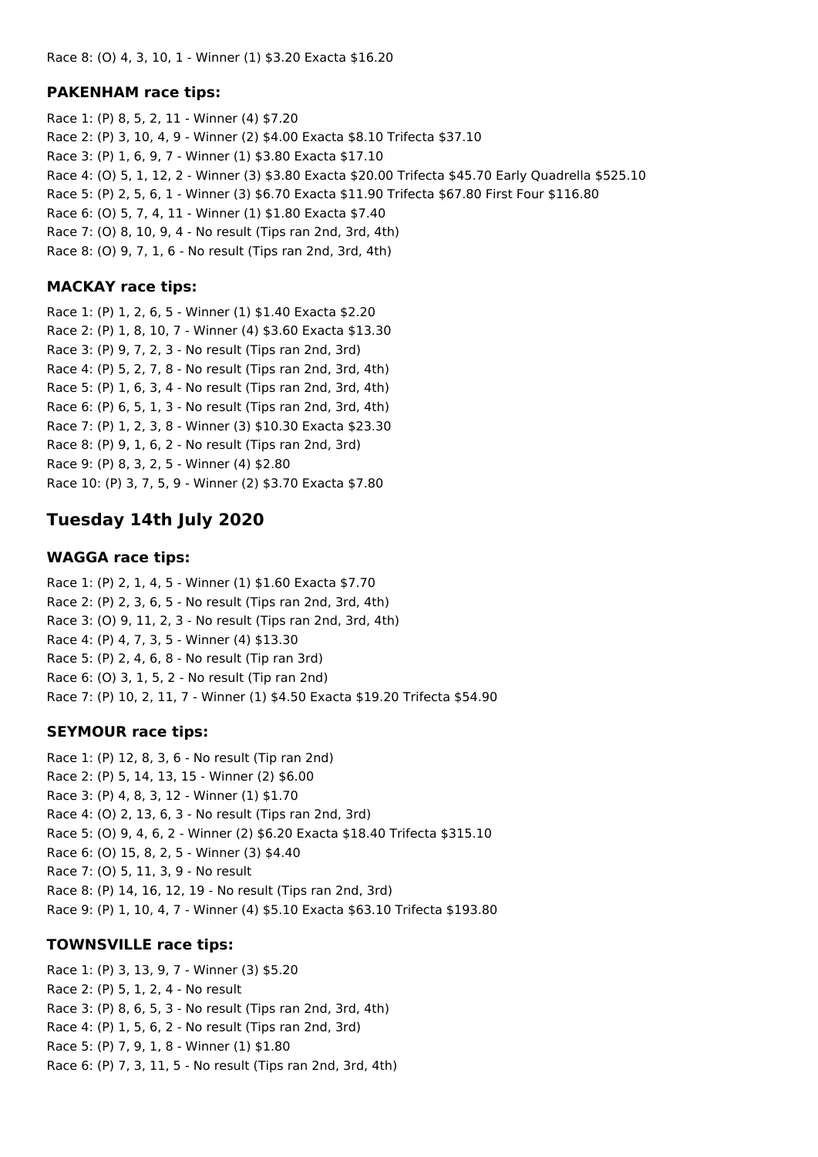#### **PAKENHAM race tips:**

Race 1: (P) 8, 5, 2, 11 - Winner (4) \$7.20 Race 2: (P) 3, 10, 4, 9 - Winner (2) \$4.00 Exacta \$8.10 Trifecta \$37.10 Race 3: (P) 1, 6, 9, 7 - Winner (1) \$3.80 Exacta \$17.10 Race 4: (O) 5, 1, 12, 2 - Winner (3) \$3.80 Exacta \$20.00 Trifecta \$45.70 Early Quadrella \$525.10 Race 5: (P) 2, 5, 6, 1 - Winner (3) \$6.70 Exacta \$11.90 Trifecta \$67.80 First Four \$116.80 Race 6: (O) 5, 7, 4, 11 - Winner (1) \$1.80 Exacta \$7.40 Race 7: (O) 8, 10, 9, 4 - No result (Tips ran 2nd, 3rd, 4th) Race 8: (O) 9, 7, 1, 6 - No result (Tips ran 2nd, 3rd, 4th)

### **MACKAY race tips:**

Race 1: (P) 1, 2, 6, 5 - Winner (1) \$1.40 Exacta \$2.20 Race 2: (P) 1, 8, 10, 7 - Winner (4) \$3.60 Exacta \$13.30 Race 3: (P) 9, 7, 2, 3 - No result (Tips ran 2nd, 3rd) Race 4: (P) 5, 2, 7, 8 - No result (Tips ran 2nd, 3rd, 4th) Race 5: (P) 1, 6, 3, 4 - No result (Tips ran 2nd, 3rd, 4th) Race 6: (P) 6, 5, 1, 3 - No result (Tips ran 2nd, 3rd, 4th) Race 7: (P) 1, 2, 3, 8 - Winner (3) \$10.30 Exacta \$23.30 Race 8: (P) 9, 1, 6, 2 - No result (Tips ran 2nd, 3rd) Race 9: (P) 8, 3, 2, 5 - Winner (4) \$2.80 Race 10: (P) 3, 7, 5, 9 - Winner (2) \$3.70 Exacta \$7.80

## **Tuesday 14th July 2020**

#### **WAGGA race tips:**

Race 1: (P) 2, 1, 4, 5 - Winner (1) \$1.60 Exacta \$7.70 Race 2: (P) 2, 3, 6, 5 - No result (Tips ran 2nd, 3rd, 4th) Race 3: (O) 9, 11, 2, 3 - No result (Tips ran 2nd, 3rd, 4th) Race 4: (P) 4, 7, 3, 5 - Winner (4) \$13.30 Race 5: (P) 2, 4, 6, 8 - No result (Tip ran 3rd) Race 6: (O) 3, 1, 5, 2 - No result (Tip ran 2nd) Race 7: (P) 10, 2, 11, 7 - Winner (1) \$4.50 Exacta \$19.20 Trifecta \$54.90

### **SEYMOUR race tips:**

Race 1: (P) 12, 8, 3, 6 - No result (Tip ran 2nd) Race 2: (P) 5, 14, 13, 15 - Winner (2) \$6.00 Race 3: (P) 4, 8, 3, 12 - Winner (1) \$1.70 Race 4: (O) 2, 13, 6, 3 - No result (Tips ran 2nd, 3rd) Race 5: (O) 9, 4, 6, 2 - Winner (2) \$6.20 Exacta \$18.40 Trifecta \$315.10 Race 6: (O) 15, 8, 2, 5 - Winner (3) \$4.40 Race 7: (O) 5, 11, 3, 9 - No result Race 8: (P) 14, 16, 12, 19 - No result (Tips ran 2nd, 3rd) Race 9: (P) 1, 10, 4, 7 - Winner (4) \$5.10 Exacta \$63.10 Trifecta \$193.80

### **TOWNSVILLE race tips:**

Race 1: (P) 3, 13, 9, 7 - Winner (3) \$5.20 Race 2: (P) 5, 1, 2, 4 - No result Race 3: (P) 8, 6, 5, 3 - No result (Tips ran 2nd, 3rd, 4th) Race 4: (P) 1, 5, 6, 2 - No result (Tips ran 2nd, 3rd) Race 5: (P) 7, 9, 1, 8 - Winner (1) \$1.80 Race 6: (P) 7, 3, 11, 5 - No result (Tips ran 2nd, 3rd, 4th)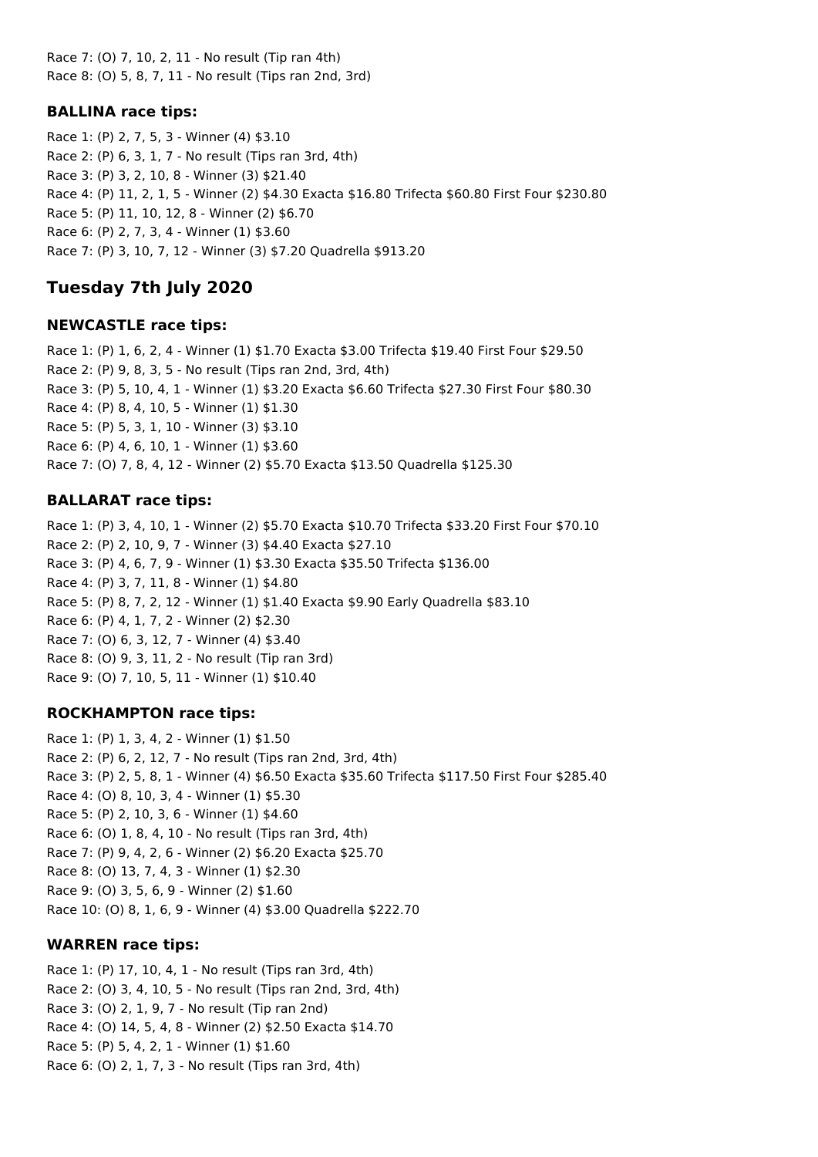Race 7: (O) 7, 10, 2, 11 - No result (Tip ran 4th) Race 8: (O) 5, 8, 7, 11 - No result (Tips ran 2nd, 3rd)

### **BALLINA race tips:**

Race 1: (P) 2, 7, 5, 3 - Winner (4) \$3.10 Race 2: (P) 6, 3, 1, 7 - No result (Tips ran 3rd, 4th) Race 3: (P) 3, 2, 10, 8 - Winner (3) \$21.40 Race 4: (P) 11, 2, 1, 5 - Winner (2) \$4.30 Exacta \$16.80 Trifecta \$60.80 First Four \$230.80 Race 5: (P) 11, 10, 12, 8 - Winner (2) \$6.70 Race 6: (P) 2, 7, 3, 4 - Winner (1) \$3.60 Race 7: (P) 3, 10, 7, 12 - Winner (3) \$7.20 Quadrella \$913.20

## **Tuesday 7th July 2020**

### **NEWCASTLE race tips:**

Race 1: (P) 1, 6, 2, 4 - Winner (1) \$1.70 Exacta \$3.00 Trifecta \$19.40 First Four \$29.50 Race 2: (P) 9, 8, 3, 5 - No result (Tips ran 2nd, 3rd, 4th) Race 3: (P) 5, 10, 4, 1 - Winner (1) \$3.20 Exacta \$6.60 Trifecta \$27.30 First Four \$80.30 Race 4: (P) 8, 4, 10, 5 - Winner (1) \$1.30 Race 5: (P) 5, 3, 1, 10 - Winner (3) \$3.10 Race 6: (P) 4, 6, 10, 1 - Winner (1) \$3.60 Race 7: (O) 7, 8, 4, 12 - Winner (2) \$5.70 Exacta \$13.50 Quadrella \$125.30

### **BALLARAT race tips:**

Race 1: (P) 3, 4, 10, 1 - Winner (2) \$5.70 Exacta \$10.70 Trifecta \$33.20 First Four \$70.10 Race 2: (P) 2, 10, 9, 7 - Winner (3) \$4.40 Exacta \$27.10 Race 3: (P) 4, 6, 7, 9 - Winner (1) \$3.30 Exacta \$35.50 Trifecta \$136.00 Race 4: (P) 3, 7, 11, 8 - Winner (1) \$4.80 Race 5: (P) 8, 7, 2, 12 - Winner (1) \$1.40 Exacta \$9.90 Early Quadrella \$83.10 Race 6: (P) 4, 1, 7, 2 - Winner (2) \$2.30 Race 7: (O) 6, 3, 12, 7 - Winner (4) \$3.40 Race 8: (O) 9, 3, 11, 2 - No result (Tip ran 3rd) Race 9: (O) 7, 10, 5, 11 - Winner (1) \$10.40

### **ROCKHAMPTON race tips:**

Race 1: (P) 1, 3, 4, 2 - Winner (1) \$1.50 Race 2: (P) 6, 2, 12, 7 - No result (Tips ran 2nd, 3rd, 4th) Race 3: (P) 2, 5, 8, 1 - Winner (4) \$6.50 Exacta \$35.60 Trifecta \$117.50 First Four \$285.40 Race 4: (O) 8, 10, 3, 4 - Winner (1) \$5.30 Race 5: (P) 2, 10, 3, 6 - Winner (1) \$4.60 Race 6: (O) 1, 8, 4, 10 - No result (Tips ran 3rd, 4th) Race 7: (P) 9, 4, 2, 6 - Winner (2) \$6.20 Exacta \$25.70 Race 8: (O) 13, 7, 4, 3 - Winner (1) \$2.30 Race 9: (O) 3, 5, 6, 9 - Winner (2) \$1.60 Race 10: (O) 8, 1, 6, 9 - Winner (4) \$3.00 Quadrella \$222.70

### **WARREN race tips:**

Race 1: (P) 17, 10, 4, 1 - No result (Tips ran 3rd, 4th) Race 2: (O) 3, 4, 10, 5 - No result (Tips ran 2nd, 3rd, 4th) Race 3: (O) 2, 1, 9, 7 - No result (Tip ran 2nd) Race 4: (O) 14, 5, 4, 8 - Winner (2) \$2.50 Exacta \$14.70 Race 5: (P) 5, 4, 2, 1 - Winner (1) \$1.60 Race 6: (O) 2, 1, 7, 3 - No result (Tips ran 3rd, 4th)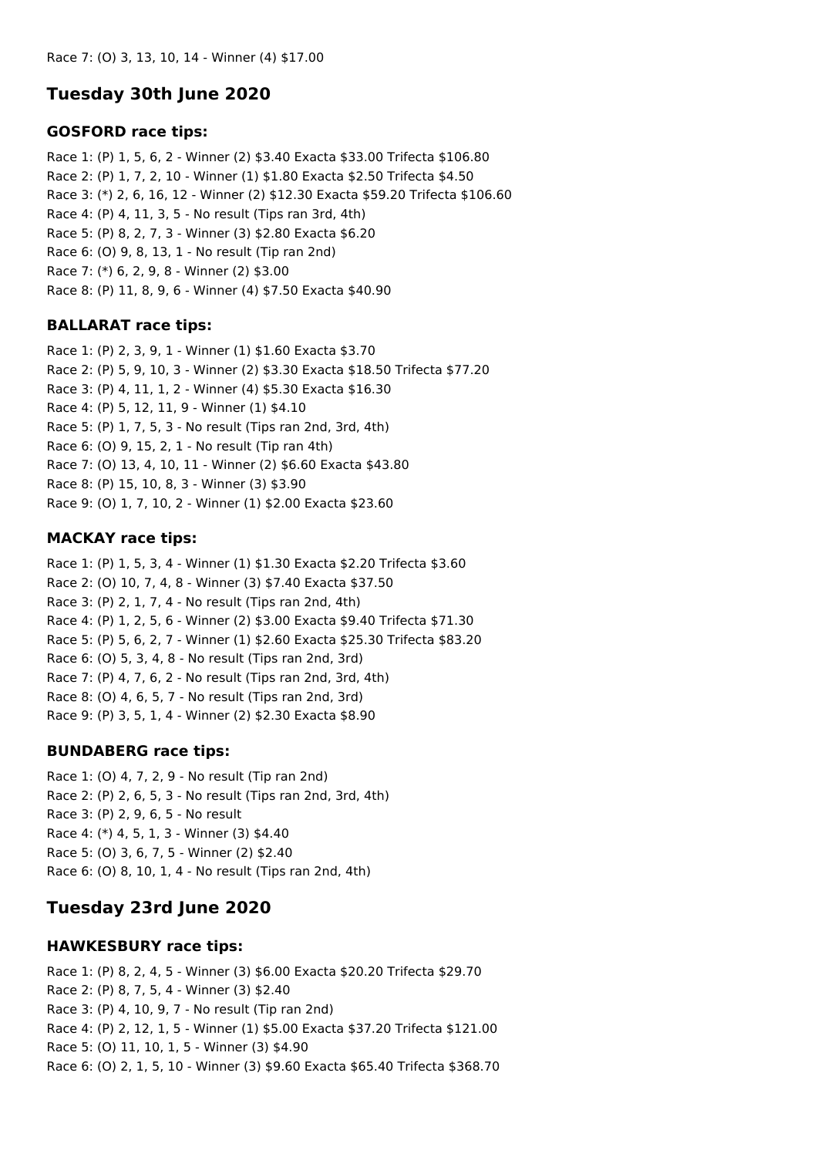## **Tuesday 30th June 2020**

#### **GOSFORD race tips:**

Race 1: (P) 1, 5, 6, 2 - Winner (2) \$3.40 Exacta \$33.00 Trifecta \$106.80 Race 2: (P) 1, 7, 2, 10 - Winner (1) \$1.80 Exacta \$2.50 Trifecta \$4.50 Race 3: (\*) 2, 6, 16, 12 - Winner (2) \$12.30 Exacta \$59.20 Trifecta \$106.60 Race 4: (P) 4, 11, 3, 5 - No result (Tips ran 3rd, 4th) Race 5: (P) 8, 2, 7, 3 - Winner (3) \$2.80 Exacta \$6.20 Race 6: (O) 9, 8, 13, 1 - No result (Tip ran 2nd) Race 7: (\*) 6, 2, 9, 8 - Winner (2) \$3.00 Race 8: (P) 11, 8, 9, 6 - Winner (4) \$7.50 Exacta \$40.90

### **BALLARAT race tips:**

Race 1: (P) 2, 3, 9, 1 - Winner (1) \$1.60 Exacta \$3.70 Race 2: (P) 5, 9, 10, 3 - Winner (2) \$3.30 Exacta \$18.50 Trifecta \$77.20 Race 3: (P) 4, 11, 1, 2 - Winner (4) \$5.30 Exacta \$16.30 Race 4: (P) 5, 12, 11, 9 - Winner (1) \$4.10 Race 5: (P) 1, 7, 5, 3 - No result (Tips ran 2nd, 3rd, 4th) Race 6: (O) 9, 15, 2, 1 - No result (Tip ran 4th) Race 7: (O) 13, 4, 10, 11 - Winner (2) \$6.60 Exacta \$43.80 Race 8: (P) 15, 10, 8, 3 - Winner (3) \$3.90 Race 9: (O) 1, 7, 10, 2 - Winner (1) \$2.00 Exacta \$23.60

### **MACKAY race tips:**

Race 1: (P) 1, 5, 3, 4 - Winner (1) \$1.30 Exacta \$2.20 Trifecta \$3.60 Race 2: (O) 10, 7, 4, 8 - Winner (3) \$7.40 Exacta \$37.50 Race 3: (P) 2, 1, 7, 4 - No result (Tips ran 2nd, 4th) Race 4: (P) 1, 2, 5, 6 - Winner (2) \$3.00 Exacta \$9.40 Trifecta \$71.30 Race 5: (P) 5, 6, 2, 7 - Winner (1) \$2.60 Exacta \$25.30 Trifecta \$83.20 Race 6: (O) 5, 3, 4, 8 - No result (Tips ran 2nd, 3rd) Race 7: (P) 4, 7, 6, 2 - No result (Tips ran 2nd, 3rd, 4th) Race 8: (O) 4, 6, 5, 7 - No result (Tips ran 2nd, 3rd) Race 9: (P) 3, 5, 1, 4 - Winner (2) \$2.30 Exacta \$8.90

### **BUNDABERG race tips:**

Race 1: (O) 4, 7, 2, 9 - No result (Tip ran 2nd) Race 2: (P) 2, 6, 5, 3 - No result (Tips ran 2nd, 3rd, 4th) Race 3: (P) 2, 9, 6, 5 - No result Race 4: (\*) 4, 5, 1, 3 - Winner (3) \$4.40 Race 5: (O) 3, 6, 7, 5 - Winner (2) \$2.40 Race 6: (O) 8, 10, 1, 4 - No result (Tips ran 2nd, 4th)

## **Tuesday 23rd June 2020**

### **HAWKESBURY race tips:**

Race 1: (P) 8, 2, 4, 5 - Winner (3) \$6.00 Exacta \$20.20 Trifecta \$29.70 Race 2: (P) 8, 7, 5, 4 - Winner (3) \$2.40 Race 3: (P) 4, 10, 9, 7 - No result (Tip ran 2nd) Race 4: (P) 2, 12, 1, 5 - Winner (1) \$5.00 Exacta \$37.20 Trifecta \$121.00 Race 5: (O) 11, 10, 1, 5 - Winner (3) \$4.90 Race 6: (O) 2, 1, 5, 10 - Winner (3) \$9.60 Exacta \$65.40 Trifecta \$368.70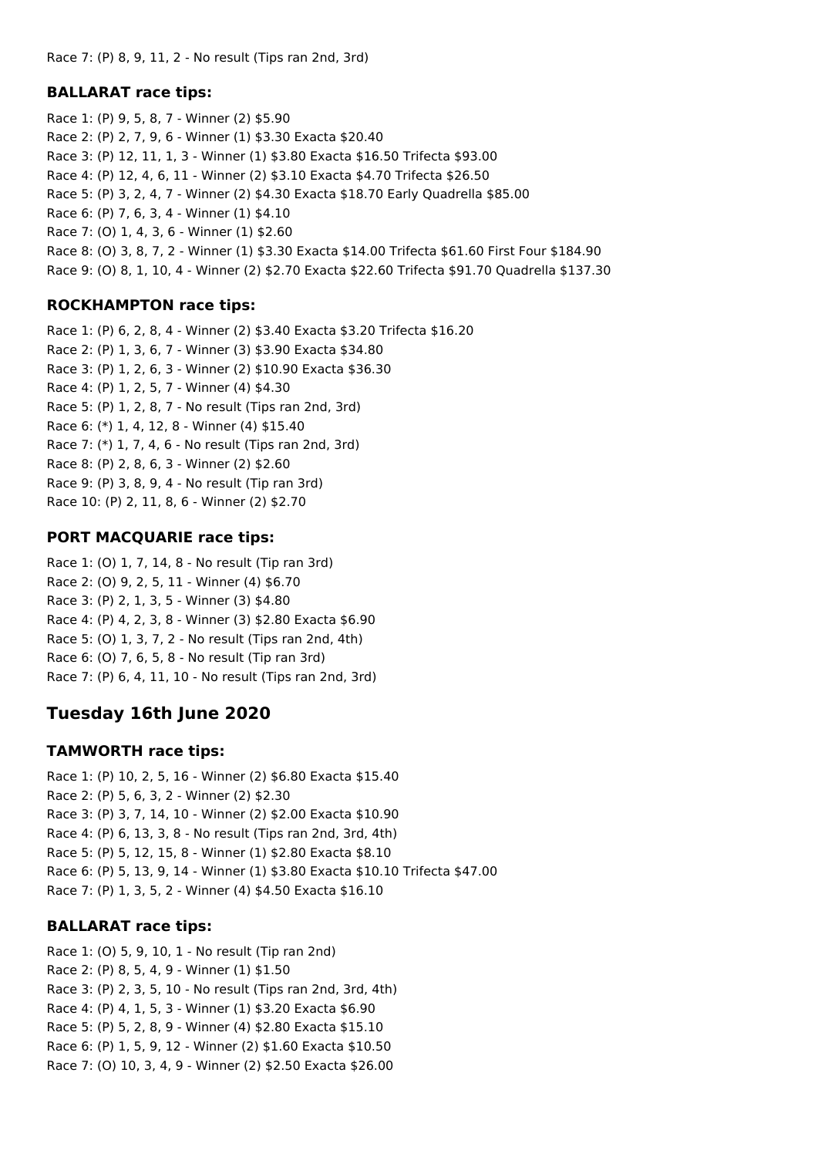### **BALLARAT race tips:**

Race 1: (P) 9, 5, 8, 7 - Winner (2) \$5.90 Race 2: (P) 2, 7, 9, 6 - Winner (1) \$3.30 Exacta \$20.40 Race 3: (P) 12, 11, 1, 3 - Winner (1) \$3.80 Exacta \$16.50 Trifecta \$93.00 Race 4: (P) 12, 4, 6, 11 - Winner (2) \$3.10 Exacta \$4.70 Trifecta \$26.50 Race 5: (P) 3, 2, 4, 7 - Winner (2) \$4.30 Exacta \$18.70 Early Quadrella \$85.00 Race 6: (P) 7, 6, 3, 4 - Winner (1) \$4.10 Race 7: (O) 1, 4, 3, 6 - Winner (1) \$2.60 Race 8: (O) 3, 8, 7, 2 - Winner (1) \$3.30 Exacta \$14.00 Trifecta \$61.60 First Four \$184.90 Race 9: (O) 8, 1, 10, 4 - Winner (2) \$2.70 Exacta \$22.60 Trifecta \$91.70 Quadrella \$137.30

### **ROCKHAMPTON race tips:**

Race 1: (P) 6, 2, 8, 4 - Winner (2) \$3.40 Exacta \$3.20 Trifecta \$16.20 Race 2: (P) 1, 3, 6, 7 - Winner (3) \$3.90 Exacta \$34.80 Race 3: (P) 1, 2, 6, 3 - Winner (2) \$10.90 Exacta \$36.30 Race 4: (P) 1, 2, 5, 7 - Winner (4) \$4.30 Race 5: (P) 1, 2, 8, 7 - No result (Tips ran 2nd, 3rd) Race 6: (\*) 1, 4, 12, 8 - Winner (4) \$15.40 Race 7: (\*) 1, 7, 4, 6 - No result (Tips ran 2nd, 3rd) Race 8: (P) 2, 8, 6, 3 - Winner (2) \$2.60 Race 9: (P) 3, 8, 9, 4 - No result (Tip ran 3rd) Race 10: (P) 2, 11, 8, 6 - Winner (2) \$2.70

### **PORT MACQUARIE race tips:**

Race 1: (O) 1, 7, 14, 8 - No result (Tip ran 3rd) Race 2: (O) 9, 2, 5, 11 - Winner (4) \$6.70 Race 3: (P) 2, 1, 3, 5 - Winner (3) \$4.80 Race 4: (P) 4, 2, 3, 8 - Winner (3) \$2.80 Exacta \$6.90 Race 5: (O) 1, 3, 7, 2 - No result (Tips ran 2nd, 4th) Race 6: (O) 7, 6, 5, 8 - No result (Tip ran 3rd) Race 7: (P) 6, 4, 11, 10 - No result (Tips ran 2nd, 3rd)

## **Tuesday 16th June 2020**

### **TAMWORTH race tips:**

Race 1: (P) 10, 2, 5, 16 - Winner (2) \$6.80 Exacta \$15.40 Race 2: (P) 5, 6, 3, 2 - Winner (2) \$2.30 Race 3: (P) 3, 7, 14, 10 - Winner (2) \$2.00 Exacta \$10.90 Race 4: (P) 6, 13, 3, 8 - No result (Tips ran 2nd, 3rd, 4th) Race 5: (P) 5, 12, 15, 8 - Winner (1) \$2.80 Exacta \$8.10 Race 6: (P) 5, 13, 9, 14 - Winner (1) \$3.80 Exacta \$10.10 Trifecta \$47.00 Race 7: (P) 1, 3, 5, 2 - Winner (4) \$4.50 Exacta \$16.10

### **BALLARAT race tips:**

Race 1: (O) 5, 9, 10, 1 - No result (Tip ran 2nd) Race 2: (P) 8, 5, 4, 9 - Winner (1) \$1.50 Race 3: (P) 2, 3, 5, 10 - No result (Tips ran 2nd, 3rd, 4th) Race 4: (P) 4, 1, 5, 3 - Winner (1) \$3.20 Exacta \$6.90 Race 5: (P) 5, 2, 8, 9 - Winner (4) \$2.80 Exacta \$15.10 Race 6: (P) 1, 5, 9, 12 - Winner (2) \$1.60 Exacta \$10.50 Race 7: (O) 10, 3, 4, 9 - Winner (2) \$2.50 Exacta \$26.00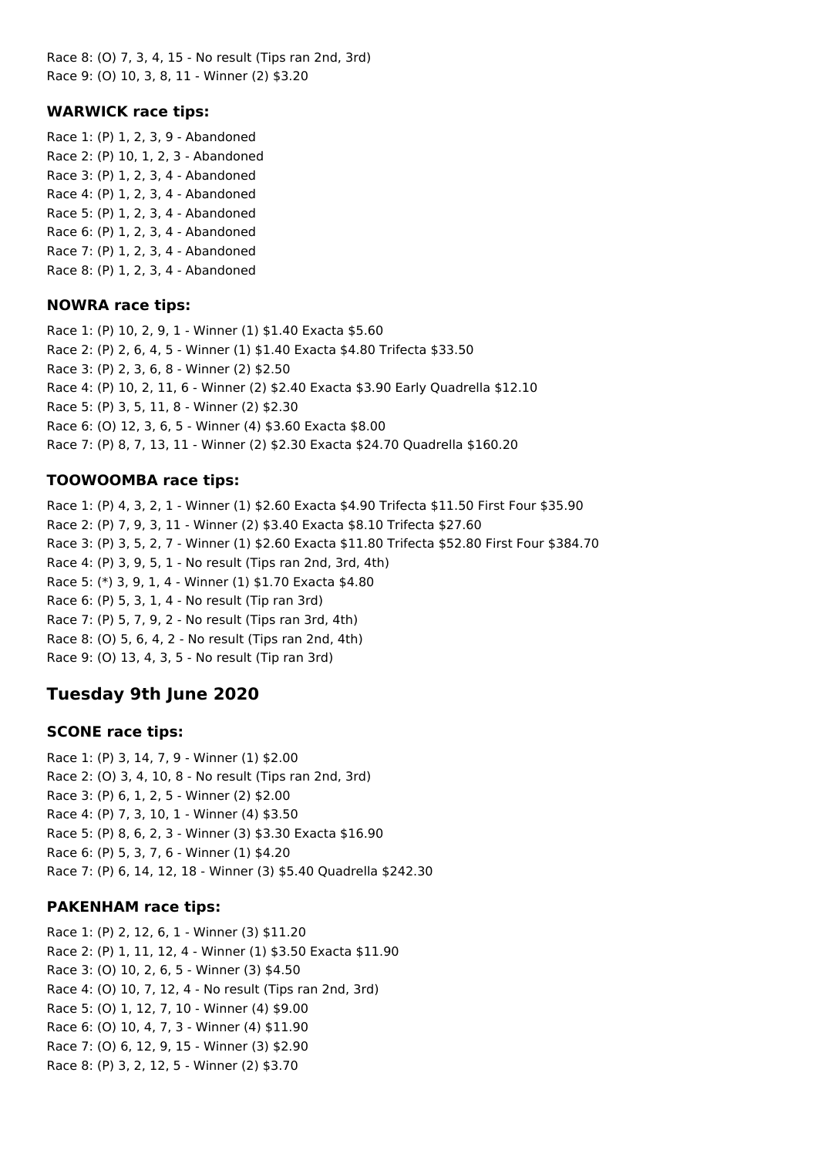Race 8: (O) 7, 3, 4, 15 - No result (Tips ran 2nd, 3rd) Race 9: (O) 10, 3, 8, 11 - Winner (2) \$3.20

#### **WARWICK race tips:**

Race 1: (P) 1, 2, 3, 9 - Abandoned Race 2: (P) 10, 1, 2, 3 - Abandoned Race 3: (P) 1, 2, 3, 4 - Abandoned Race 4: (P) 1, 2, 3, 4 - Abandoned Race 5: (P) 1, 2, 3, 4 - Abandoned Race 6: (P) 1, 2, 3, 4 - Abandoned Race 7: (P) 1, 2, 3, 4 - Abandoned Race 8: (P) 1, 2, 3, 4 - Abandoned

#### **NOWRA race tips:**

Race 1: (P) 10, 2, 9, 1 - Winner (1) \$1.40 Exacta \$5.60 Race 2: (P) 2, 6, 4, 5 - Winner (1) \$1.40 Exacta \$4.80 Trifecta \$33.50 Race 3: (P) 2, 3, 6, 8 - Winner (2) \$2.50 Race 4: (P) 10, 2, 11, 6 - Winner (2) \$2.40 Exacta \$3.90 Early Quadrella \$12.10 Race 5: (P) 3, 5, 11, 8 - Winner (2) \$2.30 Race 6: (O) 12, 3, 6, 5 - Winner (4) \$3.60 Exacta \$8.00 Race 7: (P) 8, 7, 13, 11 - Winner (2) \$2.30 Exacta \$24.70 Quadrella \$160.20

#### **TOOWOOMBA race tips:**

Race 1: (P) 4, 3, 2, 1 - Winner (1) \$2.60 Exacta \$4.90 Trifecta \$11.50 First Four \$35.90 Race 2: (P) 7, 9, 3, 11 - Winner (2) \$3.40 Exacta \$8.10 Trifecta \$27.60 Race 3: (P) 3, 5, 2, 7 - Winner (1) \$2.60 Exacta \$11.80 Trifecta \$52.80 First Four \$384.70 Race 4: (P) 3, 9, 5, 1 - No result (Tips ran 2nd, 3rd, 4th) Race 5: (\*) 3, 9, 1, 4 - Winner (1) \$1.70 Exacta \$4.80 Race 6: (P) 5, 3, 1, 4 - No result (Tip ran 3rd) Race 7: (P) 5, 7, 9, 2 - No result (Tips ran 3rd, 4th) Race 8: (O) 5, 6, 4, 2 - No result (Tips ran 2nd, 4th) Race 9: (O) 13, 4, 3, 5 - No result (Tip ran 3rd)

### **Tuesday 9th June 2020**

### **SCONE race tips:**

Race 1: (P) 3, 14, 7, 9 - Winner (1) \$2.00 Race 2: (O) 3, 4, 10, 8 - No result (Tips ran 2nd, 3rd) Race 3: (P) 6, 1, 2, 5 - Winner (2) \$2.00 Race 4: (P) 7, 3, 10, 1 - Winner (4) \$3.50 Race 5: (P) 8, 6, 2, 3 - Winner (3) \$3.30 Exacta \$16.90 Race 6: (P) 5, 3, 7, 6 - Winner (1) \$4.20 Race 7: (P) 6, 14, 12, 18 - Winner (3) \$5.40 Quadrella \$242.30

### **PAKENHAM race tips:**

Race 1: (P) 2, 12, 6, 1 - Winner (3) \$11.20 Race 2: (P) 1, 11, 12, 4 - Winner (1) \$3.50 Exacta \$11.90 Race 3: (O) 10, 2, 6, 5 - Winner (3) \$4.50 Race 4: (O) 10, 7, 12, 4 - No result (Tips ran 2nd, 3rd) Race 5: (O) 1, 12, 7, 10 - Winner (4) \$9.00 Race 6: (O) 10, 4, 7, 3 - Winner (4) \$11.90 Race 7: (O) 6, 12, 9, 15 - Winner (3) \$2.90 Race 8: (P) 3, 2, 12, 5 - Winner (2) \$3.70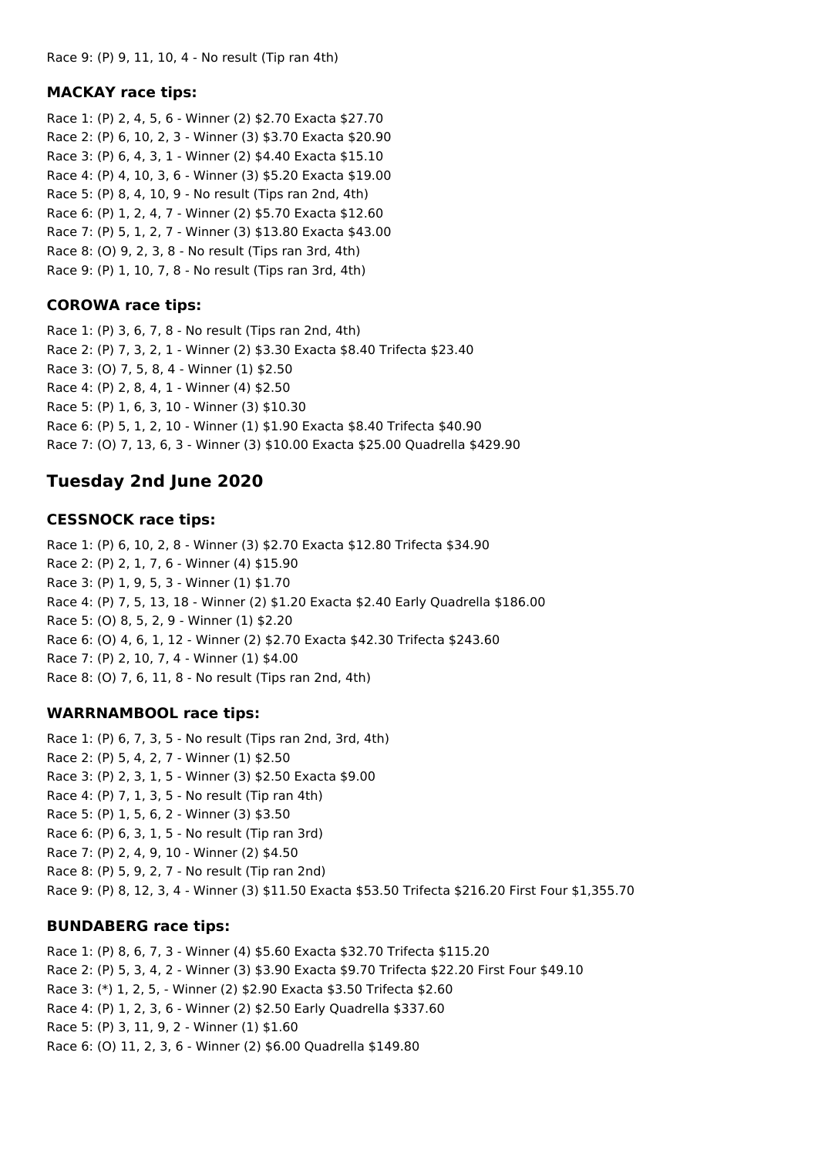### **MACKAY race tips:**

Race 1: (P) 2, 4, 5, 6 - Winner (2) \$2.70 Exacta \$27.70 Race 2: (P) 6, 10, 2, 3 - Winner (3) \$3.70 Exacta \$20.90 Race 3: (P) 6, 4, 3, 1 - Winner (2) \$4.40 Exacta \$15.10 Race 4: (P) 4, 10, 3, 6 - Winner (3) \$5.20 Exacta \$19.00 Race 5: (P) 8, 4, 10, 9 - No result (Tips ran 2nd, 4th) Race 6: (P) 1, 2, 4, 7 - Winner (2) \$5.70 Exacta \$12.60 Race 7: (P) 5, 1, 2, 7 - Winner (3) \$13.80 Exacta \$43.00 Race 8: (O) 9, 2, 3, 8 - No result (Tips ran 3rd, 4th) Race 9: (P) 1, 10, 7, 8 - No result (Tips ran 3rd, 4th)

### **COROWA race tips:**

Race 1: (P) 3, 6, 7, 8 - No result (Tips ran 2nd, 4th) Race 2: (P) 7, 3, 2, 1 - Winner (2) \$3.30 Exacta \$8.40 Trifecta \$23.40 Race 3: (O) 7, 5, 8, 4 - Winner (1) \$2.50 Race 4: (P) 2, 8, 4, 1 - Winner (4) \$2.50 Race 5: (P) 1, 6, 3, 10 - Winner (3) \$10.30 Race 6: (P) 5, 1, 2, 10 - Winner (1) \$1.90 Exacta \$8.40 Trifecta \$40.90 Race 7: (O) 7, 13, 6, 3 - Winner (3) \$10.00 Exacta \$25.00 Quadrella \$429.90

# **Tuesday 2nd June 2020**

### **CESSNOCK race tips:**

Race 1: (P) 6, 10, 2, 8 - Winner (3) \$2.70 Exacta \$12.80 Trifecta \$34.90 Race 2: (P) 2, 1, 7, 6 - Winner (4) \$15.90 Race 3: (P) 1, 9, 5, 3 - Winner (1) \$1.70 Race 4: (P) 7, 5, 13, 18 - Winner (2) \$1.20 Exacta \$2.40 Early Quadrella \$186.00 Race 5: (O) 8, 5, 2, 9 - Winner (1) \$2.20 Race 6: (O) 4, 6, 1, 12 - Winner (2) \$2.70 Exacta \$42.30 Trifecta \$243.60 Race 7: (P) 2, 10, 7, 4 - Winner (1) \$4.00 Race 8: (O) 7, 6, 11, 8 - No result (Tips ran 2nd, 4th)

### **WARRNAMBOOL race tips:**

Race 1: (P) 6, 7, 3, 5 - No result (Tips ran 2nd, 3rd, 4th) Race 2: (P) 5, 4, 2, 7 - Winner (1) \$2.50 Race 3: (P) 2, 3, 1, 5 - Winner (3) \$2.50 Exacta \$9.00 Race 4: (P) 7, 1, 3, 5 - No result (Tip ran 4th) Race 5: (P) 1, 5, 6, 2 - Winner (3) \$3.50 Race 6: (P) 6, 3, 1, 5 - No result (Tip ran 3rd) Race 7: (P) 2, 4, 9, 10 - Winner (2) \$4.50 Race 8: (P) 5, 9, 2, 7 - No result (Tip ran 2nd) Race 9: (P) 8, 12, 3, 4 - Winner (3) \$11.50 Exacta \$53.50 Trifecta \$216.20 First Four \$1,355.70

### **BUNDABERG race tips:**

Race 1: (P) 8, 6, 7, 3 - Winner (4) \$5.60 Exacta \$32.70 Trifecta \$115.20 Race 2: (P) 5, 3, 4, 2 - Winner (3) \$3.90 Exacta \$9.70 Trifecta \$22.20 First Four \$49.10 Race 3: (\*) 1, 2, 5, - Winner (2) \$2.90 Exacta \$3.50 Trifecta \$2.60 Race 4: (P) 1, 2, 3, 6 - Winner (2) \$2.50 Early Quadrella \$337.60 Race 5: (P) 3, 11, 9, 2 - Winner (1) \$1.60 Race 6: (O) 11, 2, 3, 6 - Winner (2) \$6.00 Quadrella \$149.80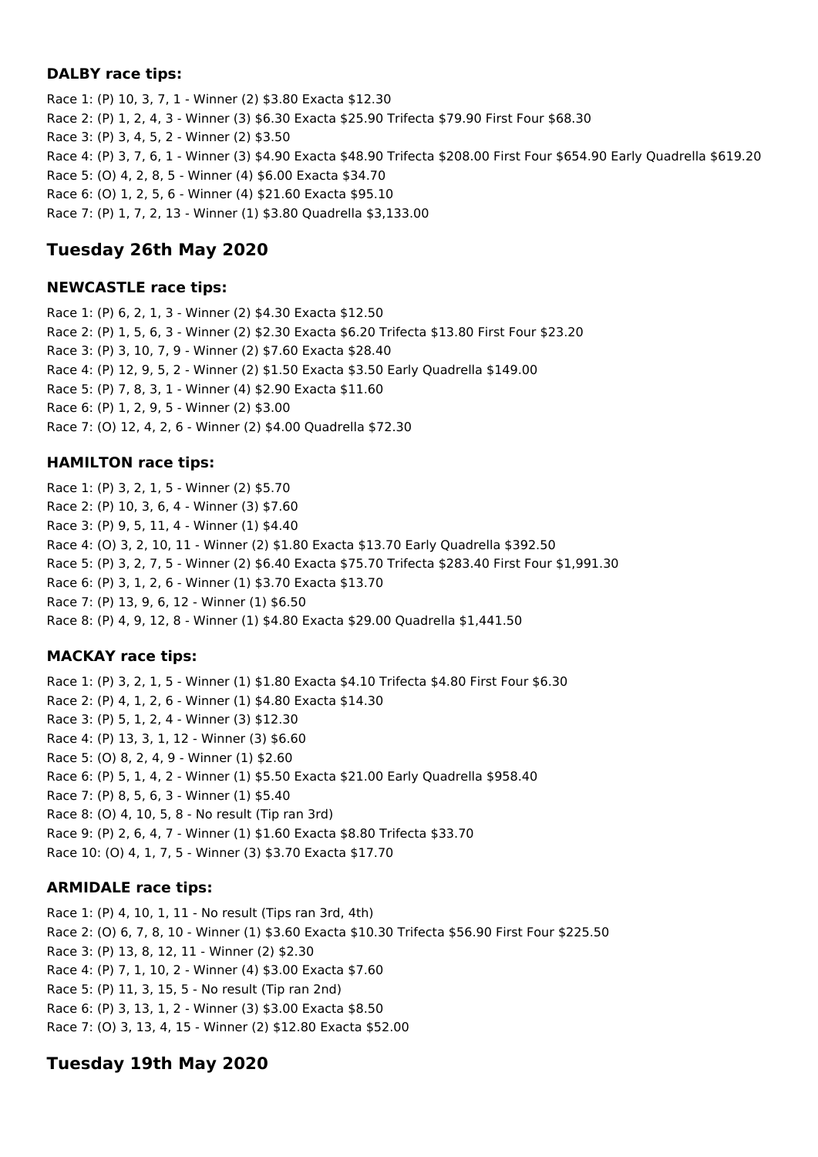#### **DALBY race tips:**

Race 1: (P) 10, 3, 7, 1 - Winner (2) \$3.80 Exacta \$12.30 Race 2: (P) 1, 2, 4, 3 - Winner (3) \$6.30 Exacta \$25.90 Trifecta \$79.90 First Four \$68.30 Race 3: (P) 3, 4, 5, 2 - Winner (2) \$3.50 Race 4: (P) 3, 7, 6, 1 - Winner (3) \$4.90 Exacta \$48.90 Trifecta \$208.00 First Four \$654.90 Early Quadrella \$619.20 Race 5: (O) 4, 2, 8, 5 - Winner (4) \$6.00 Exacta \$34.70 Race 6: (O) 1, 2, 5, 6 - Winner (4) \$21.60 Exacta \$95.10 Race 7: (P) 1, 7, 2, 13 - Winner (1) \$3.80 Quadrella \$3,133.00

## **Tuesday 26th May 2020**

### **NEWCASTLE race tips:**

Race 1: (P) 6, 2, 1, 3 - Winner (2) \$4.30 Exacta \$12.50 Race 2: (P) 1, 5, 6, 3 - Winner (2) \$2.30 Exacta \$6.20 Trifecta \$13.80 First Four \$23.20 Race 3: (P) 3, 10, 7, 9 - Winner (2) \$7.60 Exacta \$28.40 Race 4: (P) 12, 9, 5, 2 - Winner (2) \$1.50 Exacta \$3.50 Early Quadrella \$149.00 Race 5: (P) 7, 8, 3, 1 - Winner (4) \$2.90 Exacta \$11.60 Race 6: (P) 1, 2, 9, 5 - Winner (2) \$3.00 Race 7: (O) 12, 4, 2, 6 - Winner (2) \$4.00 Quadrella \$72.30

### **HAMILTON race tips:**

Race 1: (P) 3, 2, 1, 5 - Winner (2) \$5.70 Race 2: (P) 10, 3, 6, 4 - Winner (3) \$7.60 Race 3: (P) 9, 5, 11, 4 - Winner (1) \$4.40 Race 4: (O) 3, 2, 10, 11 - Winner (2) \$1.80 Exacta \$13.70 Early Quadrella \$392.50 Race 5: (P) 3, 2, 7, 5 - Winner (2) \$6.40 Exacta \$75.70 Trifecta \$283.40 First Four \$1,991.30 Race 6: (P) 3, 1, 2, 6 - Winner (1) \$3.70 Exacta \$13.70 Race 7: (P) 13, 9, 6, 12 - Winner (1) \$6.50 Race 8: (P) 4, 9, 12, 8 - Winner (1) \$4.80 Exacta \$29.00 Quadrella \$1,441.50

### **MACKAY race tips:**

Race 1: (P) 3, 2, 1, 5 - Winner (1) \$1.80 Exacta \$4.10 Trifecta \$4.80 First Four \$6.30 Race 2: (P) 4, 1, 2, 6 - Winner (1) \$4.80 Exacta \$14.30 Race 3: (P) 5, 1, 2, 4 - Winner (3) \$12.30 Race 4: (P) 13, 3, 1, 12 - Winner (3) \$6.60 Race 5: (O) 8, 2, 4, 9 - Winner (1) \$2.60 Race 6: (P) 5, 1, 4, 2 - Winner (1) \$5.50 Exacta \$21.00 Early Quadrella \$958.40 Race 7: (P) 8, 5, 6, 3 - Winner (1) \$5.40 Race 8: (O) 4, 10, 5, 8 - No result (Tip ran 3rd) Race 9: (P) 2, 6, 4, 7 - Winner (1) \$1.60 Exacta \$8.80 Trifecta \$33.70 Race 10: (O) 4, 1, 7, 5 - Winner (3) \$3.70 Exacta \$17.70

### **ARMIDALE race tips:**

Race 1: (P) 4, 10, 1, 11 - No result (Tips ran 3rd, 4th) Race 2: (O) 6, 7, 8, 10 - Winner (1) \$3.60 Exacta \$10.30 Trifecta \$56.90 First Four \$225.50 Race 3: (P) 13, 8, 12, 11 - Winner (2) \$2.30 Race 4: (P) 7, 1, 10, 2 - Winner (4) \$3.00 Exacta \$7.60 Race 5: (P) 11, 3, 15, 5 - No result (Tip ran 2nd) Race 6: (P) 3, 13, 1, 2 - Winner (3) \$3.00 Exacta \$8.50 Race 7: (O) 3, 13, 4, 15 - Winner (2) \$12.80 Exacta \$52.00

## **Tuesday 19th May 2020**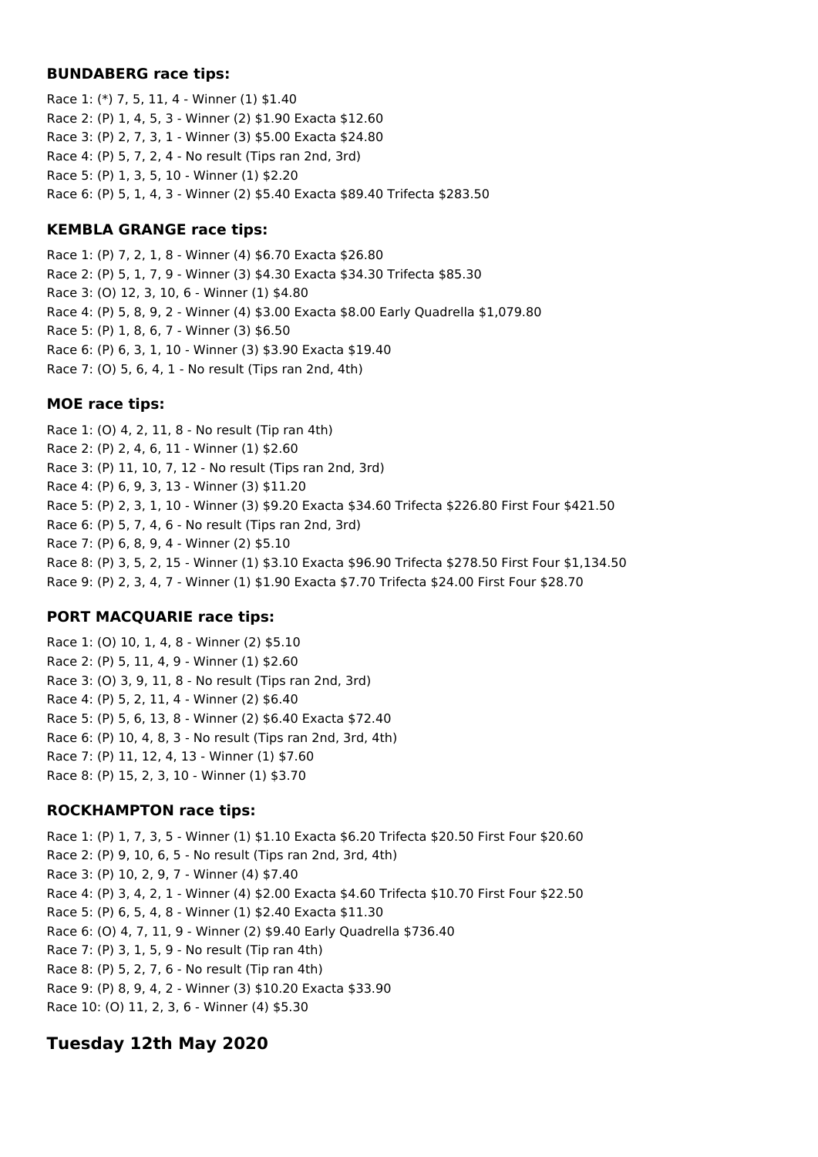#### **BUNDABERG race tips:**

Race 1: (\*) 7, 5, 11, 4 - Winner (1) \$1.40 Race 2: (P) 1, 4, 5, 3 - Winner (2) \$1.90 Exacta \$12.60 Race 3: (P) 2, 7, 3, 1 - Winner (3) \$5.00 Exacta \$24.80 Race 4: (P) 5, 7, 2, 4 - No result (Tips ran 2nd, 3rd) Race 5: (P) 1, 3, 5, 10 - Winner (1) \$2.20 Race 6: (P) 5, 1, 4, 3 - Winner (2) \$5.40 Exacta \$89.40 Trifecta \$283.50

### **KEMBLA GRANGE race tips:**

Race 1: (P) 7, 2, 1, 8 - Winner (4) \$6.70 Exacta \$26.80 Race 2: (P) 5, 1, 7, 9 - Winner (3) \$4.30 Exacta \$34.30 Trifecta \$85.30 Race 3: (O) 12, 3, 10, 6 - Winner (1) \$4.80 Race 4: (P) 5, 8, 9, 2 - Winner (4) \$3.00 Exacta \$8.00 Early Quadrella \$1,079.80 Race 5: (P) 1, 8, 6, 7 - Winner (3) \$6.50 Race 6: (P) 6, 3, 1, 10 - Winner (3) \$3.90 Exacta \$19.40 Race 7: (O) 5, 6, 4, 1 - No result (Tips ran 2nd, 4th)

#### **MOE race tips:**

Race 1: (O) 4, 2, 11, 8 - No result (Tip ran 4th) Race 2: (P) 2, 4, 6, 11 - Winner (1) \$2.60 Race 3: (P) 11, 10, 7, 12 - No result (Tips ran 2nd, 3rd) Race 4: (P) 6, 9, 3, 13 - Winner (3) \$11.20 Race 5: (P) 2, 3, 1, 10 - Winner (3) \$9.20 Exacta \$34.60 Trifecta \$226.80 First Four \$421.50 Race 6: (P) 5, 7, 4, 6 - No result (Tips ran 2nd, 3rd) Race 7: (P) 6, 8, 9, 4 - Winner (2) \$5.10 Race 8: (P) 3, 5, 2, 15 - Winner (1) \$3.10 Exacta \$96.90 Trifecta \$278.50 First Four \$1,134.50 Race 9: (P) 2, 3, 4, 7 - Winner (1) \$1.90 Exacta \$7.70 Trifecta \$24.00 First Four \$28.70

### **PORT MACQUARIE race tips:**

Race 1: (O) 10, 1, 4, 8 - Winner (2) \$5.10 Race 2: (P) 5, 11, 4, 9 - Winner (1) \$2.60 Race 3: (O) 3, 9, 11, 8 - No result (Tips ran 2nd, 3rd) Race 4: (P) 5, 2, 11, 4 - Winner (2) \$6.40 Race 5: (P) 5, 6, 13, 8 - Winner (2) \$6.40 Exacta \$72.40 Race 6: (P) 10, 4, 8, 3 - No result (Tips ran 2nd, 3rd, 4th) Race 7: (P) 11, 12, 4, 13 - Winner (1) \$7.60 Race 8: (P) 15, 2, 3, 10 - Winner (1) \$3.70

### **ROCKHAMPTON race tips:**

Race 1: (P) 1, 7, 3, 5 - Winner (1) \$1.10 Exacta \$6.20 Trifecta \$20.50 First Four \$20.60 Race 2: (P) 9, 10, 6, 5 - No result (Tips ran 2nd, 3rd, 4th) Race 3: (P) 10, 2, 9, 7 - Winner (4) \$7.40 Race 4: (P) 3, 4, 2, 1 - Winner (4) \$2.00 Exacta \$4.60 Trifecta \$10.70 First Four \$22.50 Race 5: (P) 6, 5, 4, 8 - Winner (1) \$2.40 Exacta \$11.30 Race 6: (O) 4, 7, 11, 9 - Winner (2) \$9.40 Early Quadrella \$736.40 Race 7: (P) 3, 1, 5, 9 - No result (Tip ran 4th) Race 8: (P) 5, 2, 7, 6 - No result (Tip ran 4th) Race 9: (P) 8, 9, 4, 2 - Winner (3) \$10.20 Exacta \$33.90 Race 10: (O) 11, 2, 3, 6 - Winner (4) \$5.30

## **Tuesday 12th May 2020**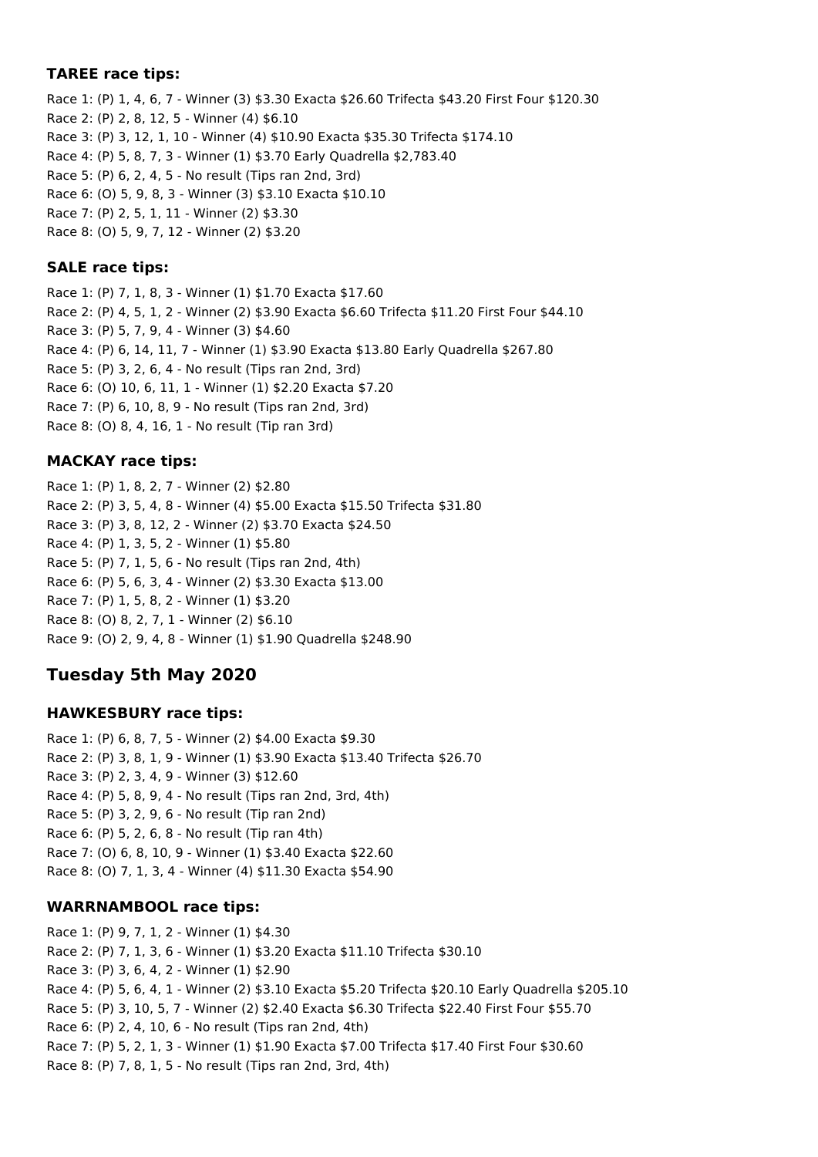### **TAREE race tips:**

Race 1: (P) 1, 4, 6, 7 - Winner (3) \$3.30 Exacta \$26.60 Trifecta \$43.20 First Four \$120.30 Race 2: (P) 2, 8, 12, 5 - Winner (4) \$6.10 Race 3: (P) 3, 12, 1, 10 - Winner (4) \$10.90 Exacta \$35.30 Trifecta \$174.10 Race 4: (P) 5, 8, 7, 3 - Winner (1) \$3.70 Early Quadrella \$2,783.40 Race 5: (P) 6, 2, 4, 5 - No result (Tips ran 2nd, 3rd) Race 6: (O) 5, 9, 8, 3 - Winner (3) \$3.10 Exacta \$10.10 Race 7: (P) 2, 5, 1, 11 - Winner (2) \$3.30 Race 8: (O) 5, 9, 7, 12 - Winner (2) \$3.20

### **SALE race tips:**

Race 1: (P) 7, 1, 8, 3 - Winner (1) \$1.70 Exacta \$17.60 Race 2: (P) 4, 5, 1, 2 - Winner (2) \$3.90 Exacta \$6.60 Trifecta \$11.20 First Four \$44.10 Race 3: (P) 5, 7, 9, 4 - Winner (3) \$4.60 Race 4: (P) 6, 14, 11, 7 - Winner (1) \$3.90 Exacta \$13.80 Early Quadrella \$267.80 Race 5: (P) 3, 2, 6, 4 - No result (Tips ran 2nd, 3rd) Race 6: (O) 10, 6, 11, 1 - Winner (1) \$2.20 Exacta \$7.20 Race 7: (P) 6, 10, 8, 9 - No result (Tips ran 2nd, 3rd) Race 8: (O) 8, 4, 16, 1 - No result (Tip ran 3rd)

### **MACKAY race tips:**

Race 1: (P) 1, 8, 2, 7 - Winner (2) \$2.80 Race 2: (P) 3, 5, 4, 8 - Winner (4) \$5.00 Exacta \$15.50 Trifecta \$31.80 Race 3: (P) 3, 8, 12, 2 - Winner (2) \$3.70 Exacta \$24.50 Race 4: (P) 1, 3, 5, 2 - Winner (1) \$5.80 Race 5: (P) 7, 1, 5, 6 - No result (Tips ran 2nd, 4th) Race 6: (P) 5, 6, 3, 4 - Winner (2) \$3.30 Exacta \$13.00 Race 7: (P) 1, 5, 8, 2 - Winner (1) \$3.20 Race 8: (O) 8, 2, 7, 1 - Winner (2) \$6.10 Race 9: (O) 2, 9, 4, 8 - Winner (1) \$1.90 Quadrella \$248.90

## **Tuesday 5th May 2020**

### **HAWKESBURY race tips:**

Race 1: (P) 6, 8, 7, 5 - Winner (2) \$4.00 Exacta \$9.30 Race 2: (P) 3, 8, 1, 9 - Winner (1) \$3.90 Exacta \$13.40 Trifecta \$26.70 Race 3: (P) 2, 3, 4, 9 - Winner (3) \$12.60 Race 4: (P) 5, 8, 9, 4 - No result (Tips ran 2nd, 3rd, 4th) Race 5: (P) 3, 2, 9, 6 - No result (Tip ran 2nd) Race 6: (P) 5, 2, 6, 8 - No result (Tip ran 4th) Race 7: (O) 6, 8, 10, 9 - Winner (1) \$3.40 Exacta \$22.60 Race 8: (O) 7, 1, 3, 4 - Winner (4) \$11.30 Exacta \$54.90

### **WARRNAMBOOL race tips:**

Race 1: (P) 9, 7, 1, 2 - Winner (1) \$4.30 Race 2: (P) 7, 1, 3, 6 - Winner (1) \$3.20 Exacta \$11.10 Trifecta \$30.10 Race 3: (P) 3, 6, 4, 2 - Winner (1) \$2.90 Race 4: (P) 5, 6, 4, 1 - Winner (2) \$3.10 Exacta \$5.20 Trifecta \$20.10 Early Quadrella \$205.10 Race 5: (P) 3, 10, 5, 7 - Winner (2) \$2.40 Exacta \$6.30 Trifecta \$22.40 First Four \$55.70 Race 6: (P) 2, 4, 10, 6 - No result (Tips ran 2nd, 4th) Race 7: (P) 5, 2, 1, 3 - Winner (1) \$1.90 Exacta \$7.00 Trifecta \$17.40 First Four \$30.60 Race 8: (P) 7, 8, 1, 5 - No result (Tips ran 2nd, 3rd, 4th)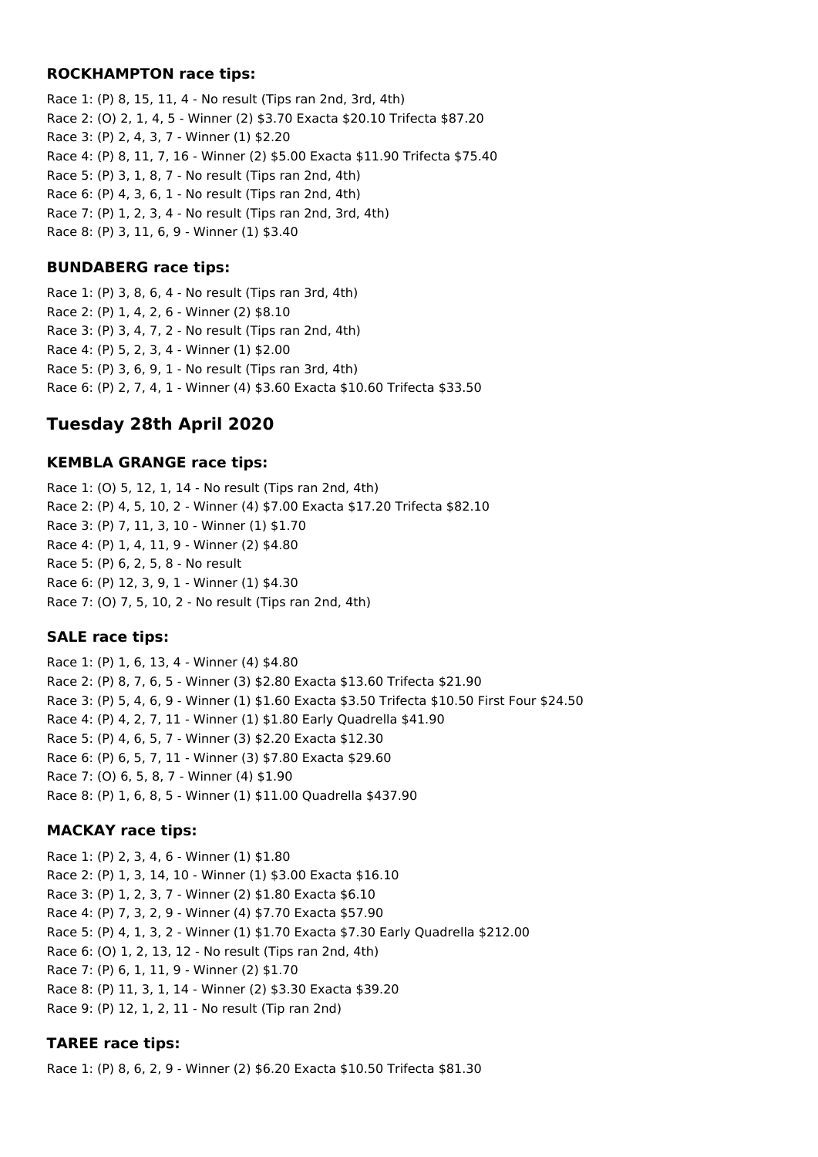#### **ROCKHAMPTON race tips:**

Race 1: (P) 8, 15, 11, 4 - No result (Tips ran 2nd, 3rd, 4th) Race 2: (O) 2, 1, 4, 5 - Winner (2) \$3.70 Exacta \$20.10 Trifecta \$87.20 Race 3: (P) 2, 4, 3, 7 - Winner (1) \$2.20 Race 4: (P) 8, 11, 7, 16 - Winner (2) \$5.00 Exacta \$11.90 Trifecta \$75.40 Race 5: (P) 3, 1, 8, 7 - No result (Tips ran 2nd, 4th) Race 6: (P) 4, 3, 6, 1 - No result (Tips ran 2nd, 4th) Race 7: (P) 1, 2, 3, 4 - No result (Tips ran 2nd, 3rd, 4th) Race 8: (P) 3, 11, 6, 9 - Winner (1) \$3.40

### **BUNDABERG race tips:**

Race 1: (P) 3, 8, 6, 4 - No result (Tips ran 3rd, 4th) Race 2: (P) 1, 4, 2, 6 - Winner (2) \$8.10 Race 3: (P) 3, 4, 7, 2 - No result (Tips ran 2nd, 4th) Race 4: (P) 5, 2, 3, 4 - Winner (1) \$2.00 Race 5: (P) 3, 6, 9, 1 - No result (Tips ran 3rd, 4th) Race 6: (P) 2, 7, 4, 1 - Winner (4) \$3.60 Exacta \$10.60 Trifecta \$33.50

## **Tuesday 28th April 2020**

### **KEMBLA GRANGE race tips:**

Race 1: (O) 5, 12, 1, 14 - No result (Tips ran 2nd, 4th) Race 2: (P) 4, 5, 10, 2 - Winner (4) \$7.00 Exacta \$17.20 Trifecta \$82.10 Race 3: (P) 7, 11, 3, 10 - Winner (1) \$1.70 Race 4: (P) 1, 4, 11, 9 - Winner (2) \$4.80 Race 5: (P) 6, 2, 5, 8 - No result Race 6: (P) 12, 3, 9, 1 - Winner (1) \$4.30 Race 7: (O) 7, 5, 10, 2 - No result (Tips ran 2nd, 4th)

### **SALE race tips:**

Race 1: (P) 1, 6, 13, 4 - Winner (4) \$4.80 Race 2: (P) 8, 7, 6, 5 - Winner (3) \$2.80 Exacta \$13.60 Trifecta \$21.90 Race 3: (P) 5, 4, 6, 9 - Winner (1) \$1.60 Exacta \$3.50 Trifecta \$10.50 First Four \$24.50 Race 4: (P) 4, 2, 7, 11 - Winner (1) \$1.80 Early Quadrella \$41.90 Race 5: (P) 4, 6, 5, 7 - Winner (3) \$2.20 Exacta \$12.30 Race 6: (P) 6, 5, 7, 11 - Winner (3) \$7.80 Exacta \$29.60 Race 7: (O) 6, 5, 8, 7 - Winner (4) \$1.90 Race 8: (P) 1, 6, 8, 5 - Winner (1) \$11.00 Quadrella \$437.90

### **MACKAY race tips:**

Race 1: (P) 2, 3, 4, 6 - Winner (1) \$1.80 Race 2: (P) 1, 3, 14, 10 - Winner (1) \$3.00 Exacta \$16.10 Race 3: (P) 1, 2, 3, 7 - Winner (2) \$1.80 Exacta \$6.10 Race 4: (P) 7, 3, 2, 9 - Winner (4) \$7.70 Exacta \$57.90 Race 5: (P) 4, 1, 3, 2 - Winner (1) \$1.70 Exacta \$7.30 Early Quadrella \$212.00 Race 6: (O) 1, 2, 13, 12 - No result (Tips ran 2nd, 4th) Race 7: (P) 6, 1, 11, 9 - Winner (2) \$1.70 Race 8: (P) 11, 3, 1, 14 - Winner (2) \$3.30 Exacta \$39.20 Race 9: (P) 12, 1, 2, 11 - No result (Tip ran 2nd)

### **TAREE race tips:**

Race 1: (P) 8, 6, 2, 9 - Winner (2) \$6.20 Exacta \$10.50 Trifecta \$81.30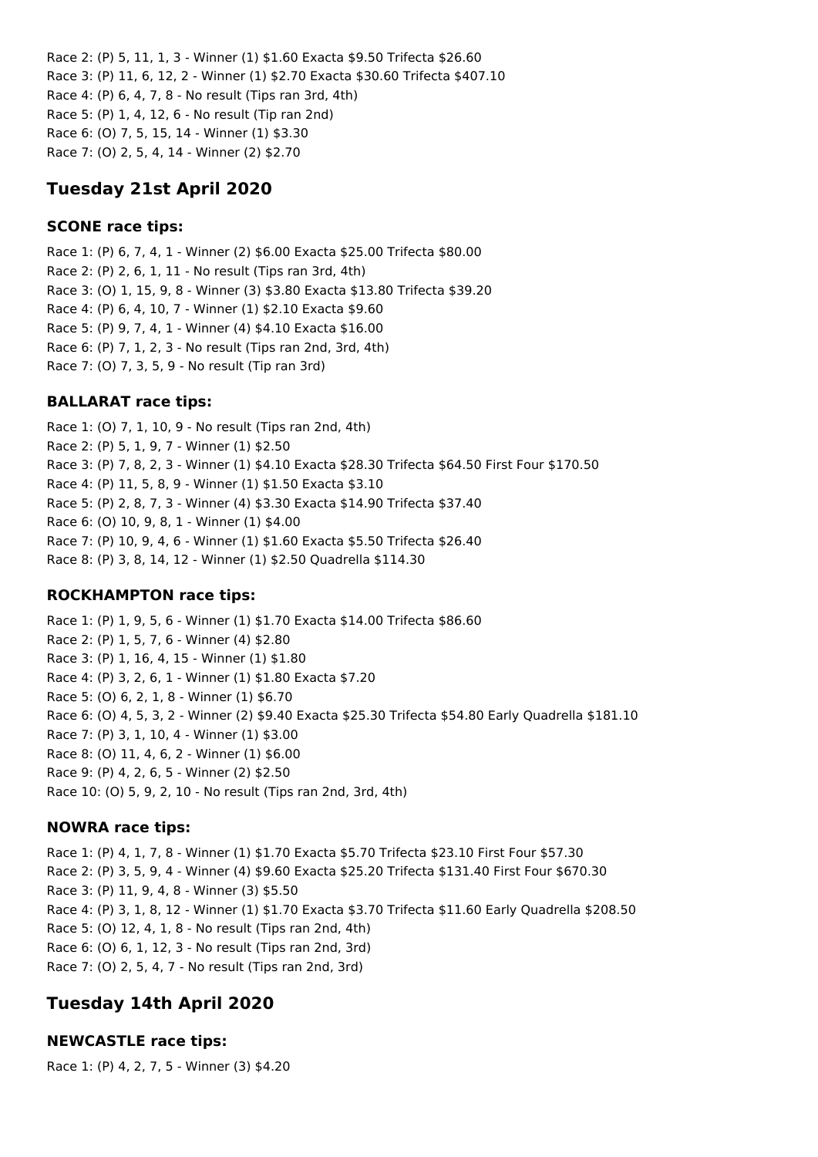Race 2: (P) 5, 11, 1, 3 - Winner (1) \$1.60 Exacta \$9.50 Trifecta \$26.60 Race 3: (P) 11, 6, 12, 2 - Winner (1) \$2.70 Exacta \$30.60 Trifecta \$407.10 Race 4: (P) 6, 4, 7, 8 - No result (Tips ran 3rd, 4th) Race 5: (P) 1, 4, 12, 6 - No result (Tip ran 2nd) Race 6: (O) 7, 5, 15, 14 - Winner (1) \$3.30 Race 7: (O) 2, 5, 4, 14 - Winner (2) \$2.70

## **Tuesday 21st April 2020**

### **SCONE race tips:**

Race 1: (P) 6, 7, 4, 1 - Winner (2) \$6.00 Exacta \$25.00 Trifecta \$80.00 Race 2: (P) 2, 6, 1, 11 - No result (Tips ran 3rd, 4th) Race 3: (O) 1, 15, 9, 8 - Winner (3) \$3.80 Exacta \$13.80 Trifecta \$39.20 Race 4: (P) 6, 4, 10, 7 - Winner (1) \$2.10 Exacta \$9.60 Race 5: (P) 9, 7, 4, 1 - Winner (4) \$4.10 Exacta \$16.00 Race 6: (P) 7, 1, 2, 3 - No result (Tips ran 2nd, 3rd, 4th) Race 7: (O) 7, 3, 5, 9 - No result (Tip ran 3rd)

### **BALLARAT race tips:**

Race 1: (O) 7, 1, 10, 9 - No result (Tips ran 2nd, 4th) Race 2: (P) 5, 1, 9, 7 - Winner (1) \$2.50 Race 3: (P) 7, 8, 2, 3 - Winner (1) \$4.10 Exacta \$28.30 Trifecta \$64.50 First Four \$170.50 Race 4: (P) 11, 5, 8, 9 - Winner (1) \$1.50 Exacta \$3.10 Race 5: (P) 2, 8, 7, 3 - Winner (4) \$3.30 Exacta \$14.90 Trifecta \$37.40 Race 6: (O) 10, 9, 8, 1 - Winner (1) \$4.00 Race 7: (P) 10, 9, 4, 6 - Winner (1) \$1.60 Exacta \$5.50 Trifecta \$26.40 Race 8: (P) 3, 8, 14, 12 - Winner (1) \$2.50 Quadrella \$114.30

### **ROCKHAMPTON race tips:**

Race 1: (P) 1, 9, 5, 6 - Winner (1) \$1.70 Exacta \$14.00 Trifecta \$86.60 Race 2: (P) 1, 5, 7, 6 - Winner (4) \$2.80 Race 3: (P) 1, 16, 4, 15 - Winner (1) \$1.80 Race 4: (P) 3, 2, 6, 1 - Winner (1) \$1.80 Exacta \$7.20 Race 5: (O) 6, 2, 1, 8 - Winner (1) \$6.70 Race 6: (O) 4, 5, 3, 2 - Winner (2) \$9.40 Exacta \$25.30 Trifecta \$54.80 Early Quadrella \$181.10 Race 7: (P) 3, 1, 10, 4 - Winner (1) \$3.00 Race 8: (O) 11, 4, 6, 2 - Winner (1) \$6.00 Race 9: (P) 4, 2, 6, 5 - Winner (2) \$2.50 Race 10: (O) 5, 9, 2, 10 - No result (Tips ran 2nd, 3rd, 4th)

### **NOWRA race tips:**

Race 1: (P) 4, 1, 7, 8 - Winner (1) \$1.70 Exacta \$5.70 Trifecta \$23.10 First Four \$57.30 Race 2: (P) 3, 5, 9, 4 - Winner (4) \$9.60 Exacta \$25.20 Trifecta \$131.40 First Four \$670.30 Race 3: (P) 11, 9, 4, 8 - Winner (3) \$5.50 Race 4: (P) 3, 1, 8, 12 - Winner (1) \$1.70 Exacta \$3.70 Trifecta \$11.60 Early Quadrella \$208.50 Race 5: (O) 12, 4, 1, 8 - No result (Tips ran 2nd, 4th) Race 6: (O) 6, 1, 12, 3 - No result (Tips ran 2nd, 3rd) Race 7: (O) 2, 5, 4, 7 - No result (Tips ran 2nd, 3rd)

## **Tuesday 14th April 2020**

### **NEWCASTLE race tips:**

Race 1: (P) 4, 2, 7, 5 - Winner (3) \$4.20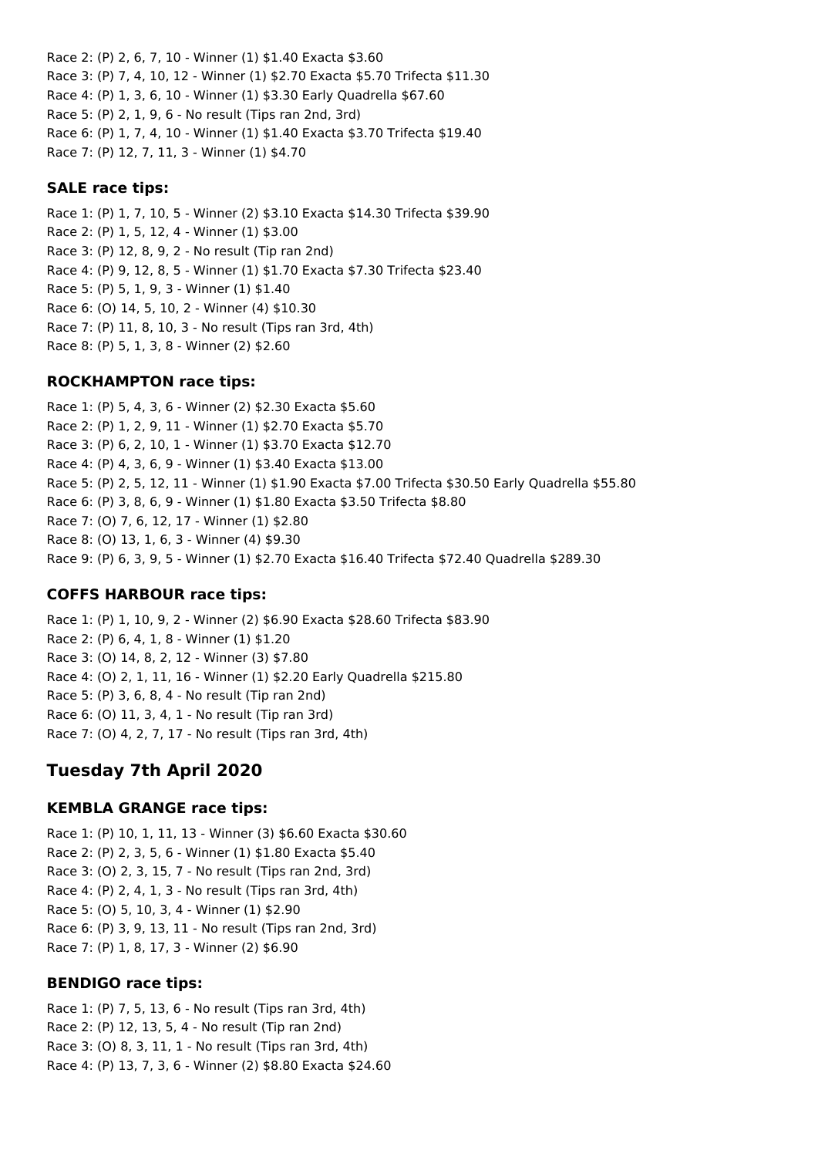Race 2: (P) 2, 6, 7, 10 - Winner (1) \$1.40 Exacta \$3.60 Race 3: (P) 7, 4, 10, 12 - Winner (1) \$2.70 Exacta \$5.70 Trifecta \$11.30 Race 4: (P) 1, 3, 6, 10 - Winner (1) \$3.30 Early Quadrella \$67.60 Race 5: (P) 2, 1, 9, 6 - No result (Tips ran 2nd, 3rd) Race 6: (P) 1, 7, 4, 10 - Winner (1) \$1.40 Exacta \$3.70 Trifecta \$19.40 Race 7: (P) 12, 7, 11, 3 - Winner (1) \$4.70

#### **SALE race tips:**

Race 1: (P) 1, 7, 10, 5 - Winner (2) \$3.10 Exacta \$14.30 Trifecta \$39.90 Race 2: (P) 1, 5, 12, 4 - Winner (1) \$3.00 Race 3: (P) 12, 8, 9, 2 - No result (Tip ran 2nd) Race 4: (P) 9, 12, 8, 5 - Winner (1) \$1.70 Exacta \$7.30 Trifecta \$23.40 Race 5: (P) 5, 1, 9, 3 - Winner (1) \$1.40 Race 6: (O) 14, 5, 10, 2 - Winner (4) \$10.30 Race 7: (P) 11, 8, 10, 3 - No result (Tips ran 3rd, 4th) Race 8: (P) 5, 1, 3, 8 - Winner (2) \$2.60

#### **ROCKHAMPTON race tips:**

Race 1: (P) 5, 4, 3, 6 - Winner (2) \$2.30 Exacta \$5.60 Race 2: (P) 1, 2, 9, 11 - Winner (1) \$2.70 Exacta \$5.70 Race 3: (P) 6, 2, 10, 1 - Winner (1) \$3.70 Exacta \$12.70 Race 4: (P) 4, 3, 6, 9 - Winner (1) \$3.40 Exacta \$13.00 Race 5: (P) 2, 5, 12, 11 - Winner (1) \$1.90 Exacta \$7.00 Trifecta \$30.50 Early Quadrella \$55.80 Race 6: (P) 3, 8, 6, 9 - Winner (1) \$1.80 Exacta \$3.50 Trifecta \$8.80 Race 7: (O) 7, 6, 12, 17 - Winner (1) \$2.80 Race 8: (O) 13, 1, 6, 3 - Winner (4) \$9.30 Race 9: (P) 6, 3, 9, 5 - Winner (1) \$2.70 Exacta \$16.40 Trifecta \$72.40 Quadrella \$289.30

### **COFFS HARBOUR race tips:**

Race 1: (P) 1, 10, 9, 2 - Winner (2) \$6.90 Exacta \$28.60 Trifecta \$83.90 Race 2: (P) 6, 4, 1, 8 - Winner (1) \$1.20 Race 3: (O) 14, 8, 2, 12 - Winner (3) \$7.80 Race 4: (O) 2, 1, 11, 16 - Winner (1) \$2.20 Early Quadrella \$215.80 Race 5: (P) 3, 6, 8, 4 - No result (Tip ran 2nd) Race 6: (O) 11, 3, 4, 1 - No result (Tip ran 3rd) Race 7: (O) 4, 2, 7, 17 - No result (Tips ran 3rd, 4th)

## **Tuesday 7th April 2020**

### **KEMBLA GRANGE race tips:**

Race 1: (P) 10, 1, 11, 13 - Winner (3) \$6.60 Exacta \$30.60 Race 2: (P) 2, 3, 5, 6 - Winner (1) \$1.80 Exacta \$5.40 Race 3: (O) 2, 3, 15, 7 - No result (Tips ran 2nd, 3rd) Race 4: (P) 2, 4, 1, 3 - No result (Tips ran 3rd, 4th) Race 5: (O) 5, 10, 3, 4 - Winner (1) \$2.90 Race 6: (P) 3, 9, 13, 11 - No result (Tips ran 2nd, 3rd) Race 7: (P) 1, 8, 17, 3 - Winner (2) \$6.90

#### **BENDIGO race tips:**

Race 1: (P) 7, 5, 13, 6 - No result (Tips ran 3rd, 4th) Race 2: (P) 12, 13, 5, 4 - No result (Tip ran 2nd) Race 3: (O) 8, 3, 11, 1 - No result (Tips ran 3rd, 4th) Race 4: (P) 13, 7, 3, 6 - Winner (2) \$8.80 Exacta \$24.60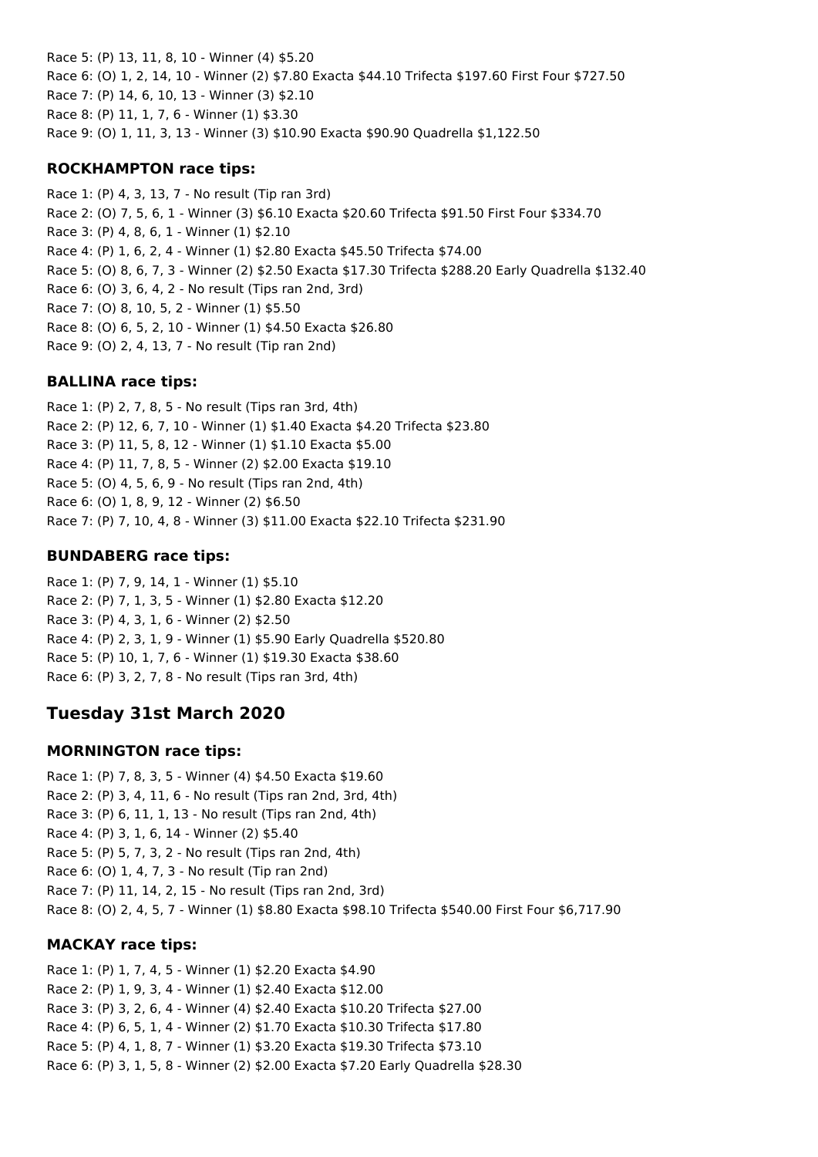Race 5: (P) 13, 11, 8, 10 - Winner (4) \$5.20 Race 6: (O) 1, 2, 14, 10 - Winner (2) \$7.80 Exacta \$44.10 Trifecta \$197.60 First Four \$727.50 Race 7: (P) 14, 6, 10, 13 - Winner (3) \$2.10 Race 8: (P) 11, 1, 7, 6 - Winner (1) \$3.30 Race 9: (O) 1, 11, 3, 13 - Winner (3) \$10.90 Exacta \$90.90 Quadrella \$1,122.50

### **ROCKHAMPTON race tips:**

Race 1: (P) 4, 3, 13, 7 - No result (Tip ran 3rd) Race 2: (O) 7, 5, 6, 1 - Winner (3) \$6.10 Exacta \$20.60 Trifecta \$91.50 First Four \$334.70 Race 3: (P) 4, 8, 6, 1 - Winner (1) \$2.10 Race 4: (P) 1, 6, 2, 4 - Winner (1) \$2.80 Exacta \$45.50 Trifecta \$74.00 Race 5: (O) 8, 6, 7, 3 - Winner (2) \$2.50 Exacta \$17.30 Trifecta \$288.20 Early Quadrella \$132.40 Race 6: (O) 3, 6, 4, 2 - No result (Tips ran 2nd, 3rd) Race 7: (O) 8, 10, 5, 2 - Winner (1) \$5.50 Race 8: (O) 6, 5, 2, 10 - Winner (1) \$4.50 Exacta \$26.80 Race 9: (O) 2, 4, 13, 7 - No result (Tip ran 2nd)

### **BALLINA race tips:**

Race 1: (P) 2, 7, 8, 5 - No result (Tips ran 3rd, 4th) Race 2: (P) 12, 6, 7, 10 - Winner (1) \$1.40 Exacta \$4.20 Trifecta \$23.80 Race 3: (P) 11, 5, 8, 12 - Winner (1) \$1.10 Exacta \$5.00 Race 4: (P) 11, 7, 8, 5 - Winner (2) \$2.00 Exacta \$19.10 Race 5: (O) 4, 5, 6, 9 - No result (Tips ran 2nd, 4th) Race 6: (O) 1, 8, 9, 12 - Winner (2) \$6.50 Race 7: (P) 7, 10, 4, 8 - Winner (3) \$11.00 Exacta \$22.10 Trifecta \$231.90

### **BUNDABERG race tips:**

Race 1: (P) 7, 9, 14, 1 - Winner (1) \$5.10 Race 2: (P) 7, 1, 3, 5 - Winner (1) \$2.80 Exacta \$12.20 Race 3: (P) 4, 3, 1, 6 - Winner (2) \$2.50 Race 4: (P) 2, 3, 1, 9 - Winner (1) \$5.90 Early Quadrella \$520.80 Race 5: (P) 10, 1, 7, 6 - Winner (1) \$19.30 Exacta \$38.60 Race 6: (P) 3, 2, 7, 8 - No result (Tips ran 3rd, 4th)

## **Tuesday 31st March 2020**

#### **MORNINGTON race tips:**

Race 1: (P) 7, 8, 3, 5 - Winner (4) \$4.50 Exacta \$19.60 Race 2: (P) 3, 4, 11, 6 - No result (Tips ran 2nd, 3rd, 4th) Race 3: (P) 6, 11, 1, 13 - No result (Tips ran 2nd, 4th) Race 4: (P) 3, 1, 6, 14 - Winner (2) \$5.40 Race 5: (P) 5, 7, 3, 2 - No result (Tips ran 2nd, 4th) Race 6: (O) 1, 4, 7, 3 - No result (Tip ran 2nd) Race 7: (P) 11, 14, 2, 15 - No result (Tips ran 2nd, 3rd) Race 8: (O) 2, 4, 5, 7 - Winner (1) \$8.80 Exacta \$98.10 Trifecta \$540.00 First Four \$6,717.90

### **MACKAY race tips:**

Race 1: (P) 1, 7, 4, 5 - Winner (1) \$2.20 Exacta \$4.90 Race 2: (P) 1, 9, 3, 4 - Winner (1) \$2.40 Exacta \$12.00 Race 3: (P) 3, 2, 6, 4 - Winner (4) \$2.40 Exacta \$10.20 Trifecta \$27.00 Race 4: (P) 6, 5, 1, 4 - Winner (2) \$1.70 Exacta \$10.30 Trifecta \$17.80 Race 5: (P) 4, 1, 8, 7 - Winner (1) \$3.20 Exacta \$19.30 Trifecta \$73.10 Race 6: (P) 3, 1, 5, 8 - Winner (2) \$2.00 Exacta \$7.20 Early Quadrella \$28.30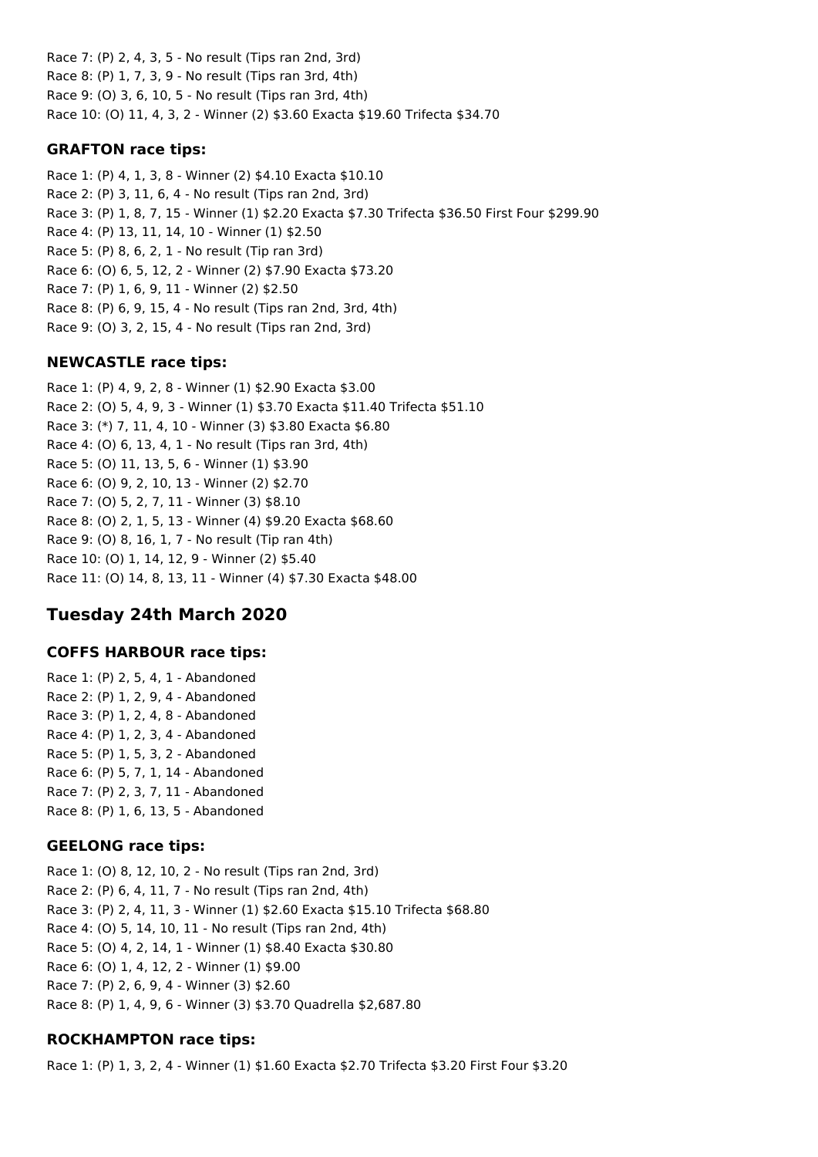Race 7: (P) 2, 4, 3, 5 - No result (Tips ran 2nd, 3rd) Race 8: (P) 1, 7, 3, 9 - No result (Tips ran 3rd, 4th) Race 9: (O) 3, 6, 10, 5 - No result (Tips ran 3rd, 4th) Race 10: (O) 11, 4, 3, 2 - Winner (2) \$3.60 Exacta \$19.60 Trifecta \$34.70

### **GRAFTON race tips:**

Race 1: (P) 4, 1, 3, 8 - Winner (2) \$4.10 Exacta \$10.10 Race 2: (P) 3, 11, 6, 4 - No result (Tips ran 2nd, 3rd) Race 3: (P) 1, 8, 7, 15 - Winner (1) \$2.20 Exacta \$7.30 Trifecta \$36.50 First Four \$299.90 Race 4: (P) 13, 11, 14, 10 - Winner (1) \$2.50 Race 5: (P) 8, 6, 2, 1 - No result (Tip ran 3rd) Race 6: (O) 6, 5, 12, 2 - Winner (2) \$7.90 Exacta \$73.20 Race 7: (P) 1, 6, 9, 11 - Winner (2) \$2.50 Race 8: (P) 6, 9, 15, 4 - No result (Tips ran 2nd, 3rd, 4th) Race 9: (O) 3, 2, 15, 4 - No result (Tips ran 2nd, 3rd)

### **NEWCASTLE race tips:**

Race 1: (P) 4, 9, 2, 8 - Winner (1) \$2.90 Exacta \$3.00 Race 2: (O) 5, 4, 9, 3 - Winner (1) \$3.70 Exacta \$11.40 Trifecta \$51.10 Race 3: (\*) 7, 11, 4, 10 - Winner (3) \$3.80 Exacta \$6.80 Race 4: (O) 6, 13, 4, 1 - No result (Tips ran 3rd, 4th) Race 5: (O) 11, 13, 5, 6 - Winner (1) \$3.90 Race 6: (O) 9, 2, 10, 13 - Winner (2) \$2.70 Race 7: (O) 5, 2, 7, 11 - Winner (3) \$8.10 Race 8: (O) 2, 1, 5, 13 - Winner (4) \$9.20 Exacta \$68.60 Race 9: (O) 8, 16, 1, 7 - No result (Tip ran 4th) Race 10: (O) 1, 14, 12, 9 - Winner (2) \$5.40 Race 11: (O) 14, 8, 13, 11 - Winner (4) \$7.30 Exacta \$48.00

# **Tuesday 24th March 2020**

## **COFFS HARBOUR race tips:**

Race 1: (P) 2, 5, 4, 1 - Abandoned Race 2: (P) 1, 2, 9, 4 - Abandoned Race 3: (P) 1, 2, 4, 8 - Abandoned Race 4: (P) 1, 2, 3, 4 - Abandoned Race 5: (P) 1, 5, 3, 2 - Abandoned Race 6: (P) 5, 7, 1, 14 - Abandoned Race 7: (P) 2, 3, 7, 11 - Abandoned Race 8: (P) 1, 6, 13, 5 - Abandoned

## **GEELONG race tips:**

Race 1: (O) 8, 12, 10, 2 - No result (Tips ran 2nd, 3rd) Race 2: (P) 6, 4, 11, 7 - No result (Tips ran 2nd, 4th) Race 3: (P) 2, 4, 11, 3 - Winner (1) \$2.60 Exacta \$15.10 Trifecta \$68.80 Race 4: (O) 5, 14, 10, 11 - No result (Tips ran 2nd, 4th) Race 5: (O) 4, 2, 14, 1 - Winner (1) \$8.40 Exacta \$30.80 Race 6: (O) 1, 4, 12, 2 - Winner (1) \$9.00 Race 7: (P) 2, 6, 9, 4 - Winner (3) \$2.60 Race 8: (P) 1, 4, 9, 6 - Winner (3) \$3.70 Quadrella \$2,687.80

## **ROCKHAMPTON race tips:**

Race 1: (P) 1, 3, 2, 4 - Winner (1) \$1.60 Exacta \$2.70 Trifecta \$3.20 First Four \$3.20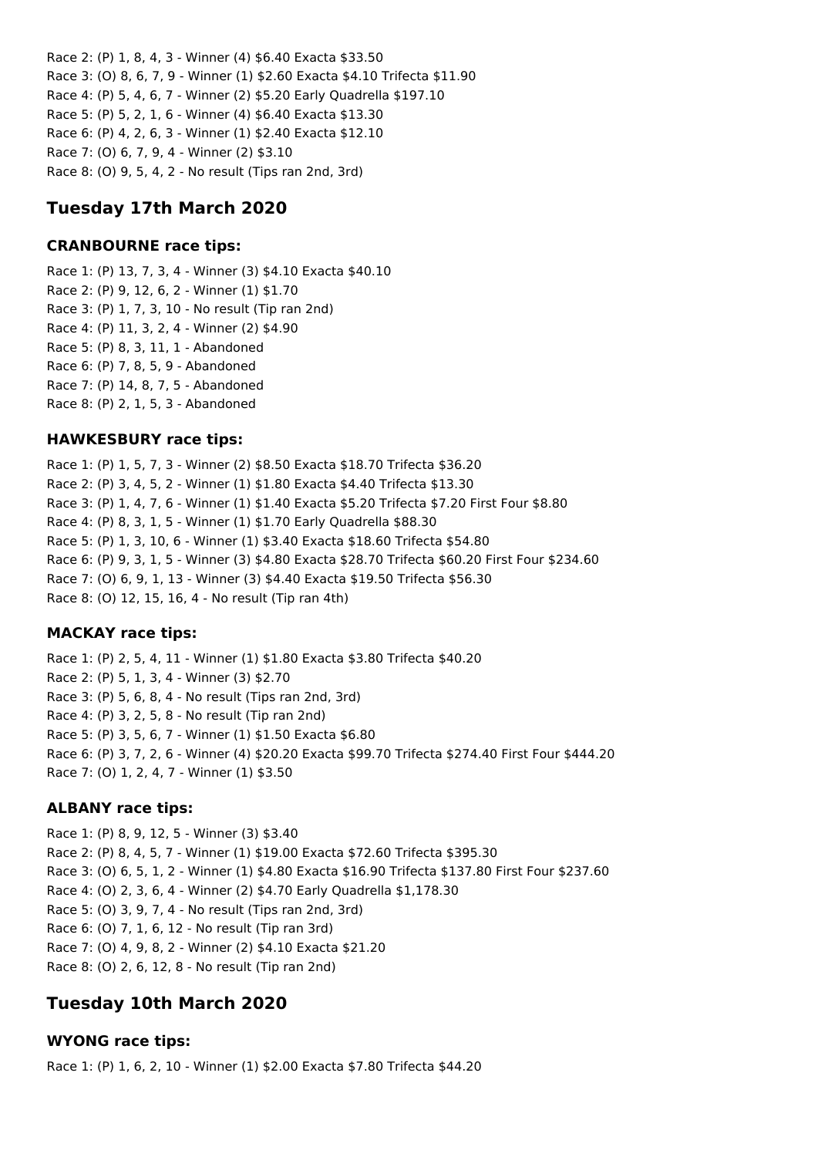Race 2: (P) 1, 8, 4, 3 - Winner (4) \$6.40 Exacta \$33.50 Race 3: (O) 8, 6, 7, 9 - Winner (1) \$2.60 Exacta \$4.10 Trifecta \$11.90 Race 4: (P) 5, 4, 6, 7 - Winner (2) \$5.20 Early Quadrella \$197.10 Race 5: (P) 5, 2, 1, 6 - Winner (4) \$6.40 Exacta \$13.30 Race 6: (P) 4, 2, 6, 3 - Winner (1) \$2.40 Exacta \$12.10 Race 7: (O) 6, 7, 9, 4 - Winner (2) \$3.10 Race 8: (O) 9, 5, 4, 2 - No result (Tips ran 2nd, 3rd)

## **Tuesday 17th March 2020**

### **CRANBOURNE race tips:**

Race 1: (P) 13, 7, 3, 4 - Winner (3) \$4.10 Exacta \$40.10 Race 2: (P) 9, 12, 6, 2 - Winner (1) \$1.70 Race 3: (P) 1, 7, 3, 10 - No result (Tip ran 2nd) Race 4: (P) 11, 3, 2, 4 - Winner (2) \$4.90 Race 5: (P) 8, 3, 11, 1 - Abandoned Race 6: (P) 7, 8, 5, 9 - Abandoned Race 7: (P) 14, 8, 7, 5 - Abandoned Race 8: (P) 2, 1, 5, 3 - Abandoned

### **HAWKESBURY race tips:**

Race 1: (P) 1, 5, 7, 3 - Winner (2) \$8.50 Exacta \$18.70 Trifecta \$36.20 Race 2: (P) 3, 4, 5, 2 - Winner (1) \$1.80 Exacta \$4.40 Trifecta \$13.30 Race 3: (P) 1, 4, 7, 6 - Winner (1) \$1.40 Exacta \$5.20 Trifecta \$7.20 First Four \$8.80 Race 4: (P) 8, 3, 1, 5 - Winner (1) \$1.70 Early Quadrella \$88.30 Race 5: (P) 1, 3, 10, 6 - Winner (1) \$3.40 Exacta \$18.60 Trifecta \$54.80 Race 6: (P) 9, 3, 1, 5 - Winner (3) \$4.80 Exacta \$28.70 Trifecta \$60.20 First Four \$234.60 Race 7: (O) 6, 9, 1, 13 - Winner (3) \$4.40 Exacta \$19.50 Trifecta \$56.30 Race 8: (O) 12, 15, 16, 4 - No result (Tip ran 4th)

### **MACKAY race tips:**

Race 1: (P) 2, 5, 4, 11 - Winner (1) \$1.80 Exacta \$3.80 Trifecta \$40.20 Race 2: (P) 5, 1, 3, 4 - Winner (3) \$2.70 Race 3: (P) 5, 6, 8, 4 - No result (Tips ran 2nd, 3rd) Race 4: (P) 3, 2, 5, 8 - No result (Tip ran 2nd) Race 5: (P) 3, 5, 6, 7 - Winner (1) \$1.50 Exacta \$6.80 Race 6: (P) 3, 7, 2, 6 - Winner (4) \$20.20 Exacta \$99.70 Trifecta \$274.40 First Four \$444.20 Race 7: (O) 1, 2, 4, 7 - Winner (1) \$3.50

### **ALBANY race tips:**

Race 1: (P) 8, 9, 12, 5 - Winner (3) \$3.40 Race 2: (P) 8, 4, 5, 7 - Winner (1) \$19.00 Exacta \$72.60 Trifecta \$395.30 Race 3: (O) 6, 5, 1, 2 - Winner (1) \$4.80 Exacta \$16.90 Trifecta \$137.80 First Four \$237.60 Race 4: (O) 2, 3, 6, 4 - Winner (2) \$4.70 Early Quadrella \$1,178.30 Race 5: (O) 3, 9, 7, 4 - No result (Tips ran 2nd, 3rd) Race 6: (O) 7, 1, 6, 12 - No result (Tip ran 3rd) Race 7: (O) 4, 9, 8, 2 - Winner (2) \$4.10 Exacta \$21.20 Race 8: (O) 2, 6, 12, 8 - No result (Tip ran 2nd)

## **Tuesday 10th March 2020**

### **WYONG race tips:**

Race 1: (P) 1, 6, 2, 10 - Winner (1) \$2.00 Exacta \$7.80 Trifecta \$44.20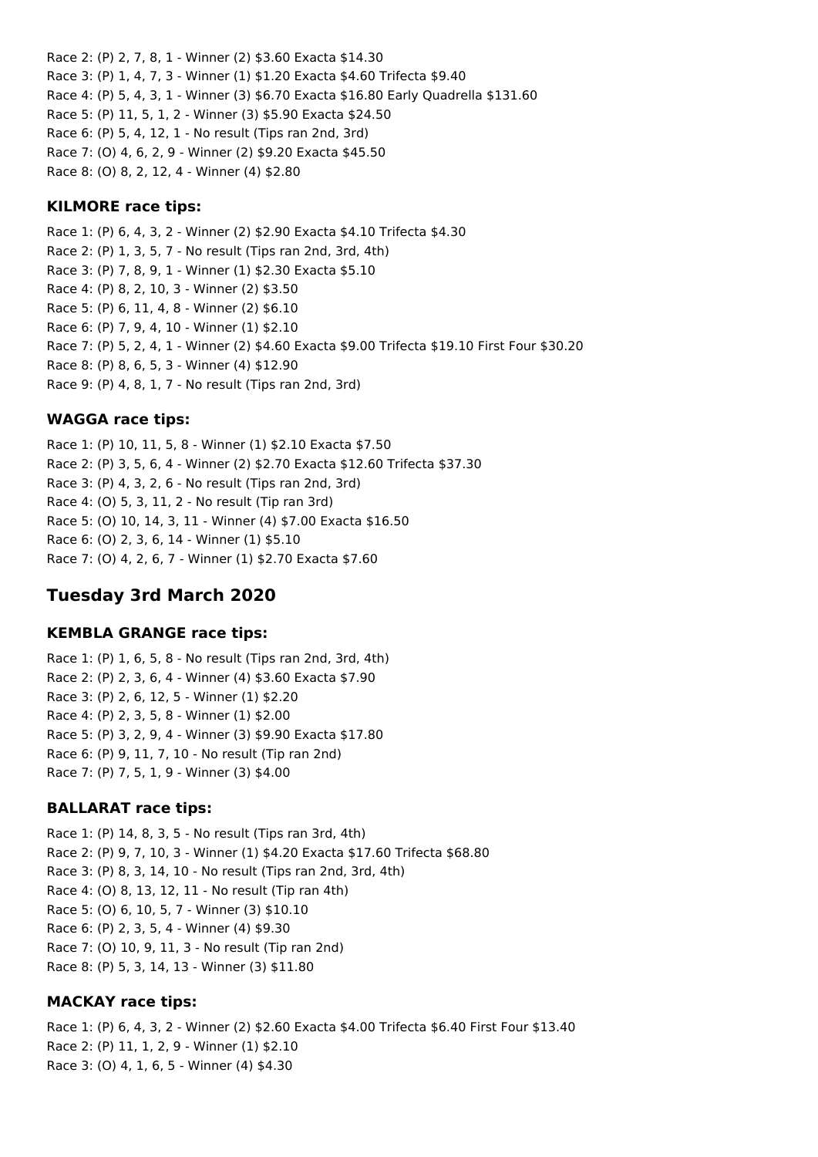Race 2: (P) 2, 7, 8, 1 - Winner (2) \$3.60 Exacta \$14.30 Race 3: (P) 1, 4, 7, 3 - Winner (1) \$1.20 Exacta \$4.60 Trifecta \$9.40 Race 4: (P) 5, 4, 3, 1 - Winner (3) \$6.70 Exacta \$16.80 Early Quadrella \$131.60 Race 5: (P) 11, 5, 1, 2 - Winner (3) \$5.90 Exacta \$24.50 Race 6: (P) 5, 4, 12, 1 - No result (Tips ran 2nd, 3rd) Race 7: (O) 4, 6, 2, 9 - Winner (2) \$9.20 Exacta \$45.50 Race 8: (O) 8, 2, 12, 4 - Winner (4) \$2.80

#### **KILMORE race tips:**

Race 1: (P) 6, 4, 3, 2 - Winner (2) \$2.90 Exacta \$4.10 Trifecta \$4.30 Race 2: (P) 1, 3, 5, 7 - No result (Tips ran 2nd, 3rd, 4th) Race 3: (P) 7, 8, 9, 1 - Winner (1) \$2.30 Exacta \$5.10 Race 4: (P) 8, 2, 10, 3 - Winner (2) \$3.50 Race 5: (P) 6, 11, 4, 8 - Winner (2) \$6.10 Race 6: (P) 7, 9, 4, 10 - Winner (1) \$2.10 Race 7: (P) 5, 2, 4, 1 - Winner (2) \$4.60 Exacta \$9.00 Trifecta \$19.10 First Four \$30.20 Race 8: (P) 8, 6, 5, 3 - Winner (4) \$12.90 Race 9: (P) 4, 8, 1, 7 - No result (Tips ran 2nd, 3rd)

#### **WAGGA race tips:**

Race 1: (P) 10, 11, 5, 8 - Winner (1) \$2.10 Exacta \$7.50 Race 2: (P) 3, 5, 6, 4 - Winner (2) \$2.70 Exacta \$12.60 Trifecta \$37.30 Race 3: (P) 4, 3, 2, 6 - No result (Tips ran 2nd, 3rd) Race 4: (O) 5, 3, 11, 2 - No result (Tip ran 3rd) Race 5: (O) 10, 14, 3, 11 - Winner (4) \$7.00 Exacta \$16.50 Race 6: (O) 2, 3, 6, 14 - Winner (1) \$5.10 Race 7: (O) 4, 2, 6, 7 - Winner (1) \$2.70 Exacta \$7.60

### **Tuesday 3rd March 2020**

#### **KEMBLA GRANGE race tips:**

Race 1: (P) 1, 6, 5, 8 - No result (Tips ran 2nd, 3rd, 4th) Race 2: (P) 2, 3, 6, 4 - Winner (4) \$3.60 Exacta \$7.90 Race 3: (P) 2, 6, 12, 5 - Winner (1) \$2.20 Race 4: (P) 2, 3, 5, 8 - Winner (1) \$2.00 Race 5: (P) 3, 2, 9, 4 - Winner (3) \$9.90 Exacta \$17.80 Race 6: (P) 9, 11, 7, 10 - No result (Tip ran 2nd) Race 7: (P) 7, 5, 1, 9 - Winner (3) \$4.00

#### **BALLARAT race tips:**

Race 1: (P) 14, 8, 3, 5 - No result (Tips ran 3rd, 4th) Race 2: (P) 9, 7, 10, 3 - Winner (1) \$4.20 Exacta \$17.60 Trifecta \$68.80 Race 3: (P) 8, 3, 14, 10 - No result (Tips ran 2nd, 3rd, 4th) Race 4: (O) 8, 13, 12, 11 - No result (Tip ran 4th) Race 5: (O) 6, 10, 5, 7 - Winner (3) \$10.10 Race 6: (P) 2, 3, 5, 4 - Winner (4) \$9.30 Race 7: (O) 10, 9, 11, 3 - No result (Tip ran 2nd) Race 8: (P) 5, 3, 14, 13 - Winner (3) \$11.80

### **MACKAY race tips:**

Race 1: (P) 6, 4, 3, 2 - Winner (2) \$2.60 Exacta \$4.00 Trifecta \$6.40 First Four \$13.40 Race 2: (P) 11, 1, 2, 9 - Winner (1) \$2.10 Race 3: (O) 4, 1, 6, 5 - Winner (4) \$4.30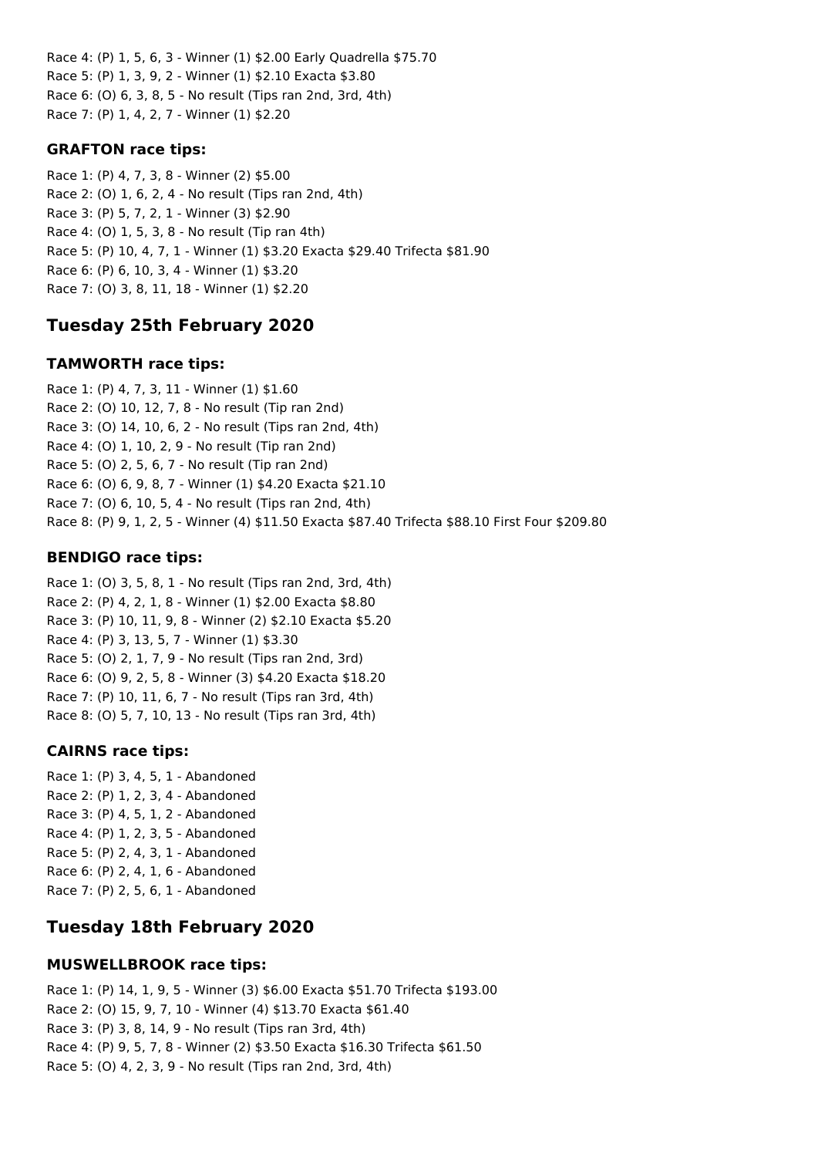Race 4: (P) 1, 5, 6, 3 - Winner (1) \$2.00 Early Quadrella \$75.70 Race 5: (P) 1, 3, 9, 2 - Winner (1) \$2.10 Exacta \$3.80 Race 6: (O) 6, 3, 8, 5 - No result (Tips ran 2nd, 3rd, 4th) Race 7: (P) 1, 4, 2, 7 - Winner (1) \$2.20

### **GRAFTON race tips:**

Race 1: (P) 4, 7, 3, 8 - Winner (2) \$5.00 Race 2: (O) 1, 6, 2, 4 - No result (Tips ran 2nd, 4th) Race 3: (P) 5, 7, 2, 1 - Winner (3) \$2.90 Race 4: (O) 1, 5, 3, 8 - No result (Tip ran 4th) Race 5: (P) 10, 4, 7, 1 - Winner (1) \$3.20 Exacta \$29.40 Trifecta \$81.90 Race 6: (P) 6, 10, 3, 4 - Winner (1) \$3.20 Race 7: (O) 3, 8, 11, 18 - Winner (1) \$2.20

## **Tuesday 25th February 2020**

### **TAMWORTH race tips:**

Race 1: (P) 4, 7, 3, 11 - Winner (1) \$1.60 Race 2: (O) 10, 12, 7, 8 - No result (Tip ran 2nd) Race 3: (O) 14, 10, 6, 2 - No result (Tips ran 2nd, 4th) Race 4: (O) 1, 10, 2, 9 - No result (Tip ran 2nd) Race 5: (O) 2, 5, 6, 7 - No result (Tip ran 2nd) Race 6: (O) 6, 9, 8, 7 - Winner (1) \$4.20 Exacta \$21.10 Race 7: (O) 6, 10, 5, 4 - No result (Tips ran 2nd, 4th) Race 8: (P) 9, 1, 2, 5 - Winner (4) \$11.50 Exacta \$87.40 Trifecta \$88.10 First Four \$209.80

### **BENDIGO race tips:**

Race 1: (O) 3, 5, 8, 1 - No result (Tips ran 2nd, 3rd, 4th) Race 2: (P) 4, 2, 1, 8 - Winner (1) \$2.00 Exacta \$8.80 Race 3: (P) 10, 11, 9, 8 - Winner (2) \$2.10 Exacta \$5.20 Race 4: (P) 3, 13, 5, 7 - Winner (1) \$3.30 Race 5: (O) 2, 1, 7, 9 - No result (Tips ran 2nd, 3rd) Race 6: (O) 9, 2, 5, 8 - Winner (3) \$4.20 Exacta \$18.20 Race 7: (P) 10, 11, 6, 7 - No result (Tips ran 3rd, 4th) Race 8: (O) 5, 7, 10, 13 - No result (Tips ran 3rd, 4th)

### **CAIRNS race tips:**

Race 1: (P) 3, 4, 5, 1 - Abandoned Race 2: (P) 1, 2, 3, 4 - Abandoned Race 3: (P) 4, 5, 1, 2 - Abandoned Race 4: (P) 1, 2, 3, 5 - Abandoned Race 5: (P) 2, 4, 3, 1 - Abandoned Race 6: (P) 2, 4, 1, 6 - Abandoned Race 7: (P) 2, 5, 6, 1 - Abandoned

# **Tuesday 18th February 2020**

### **MUSWELLBROOK race tips:**

Race 1: (P) 14, 1, 9, 5 - Winner (3) \$6.00 Exacta \$51.70 Trifecta \$193.00 Race 2: (O) 15, 9, 7, 10 - Winner (4) \$13.70 Exacta \$61.40 Race 3: (P) 3, 8, 14, 9 - No result (Tips ran 3rd, 4th) Race 4: (P) 9, 5, 7, 8 - Winner (2) \$3.50 Exacta \$16.30 Trifecta \$61.50 Race 5: (O) 4, 2, 3, 9 - No result (Tips ran 2nd, 3rd, 4th)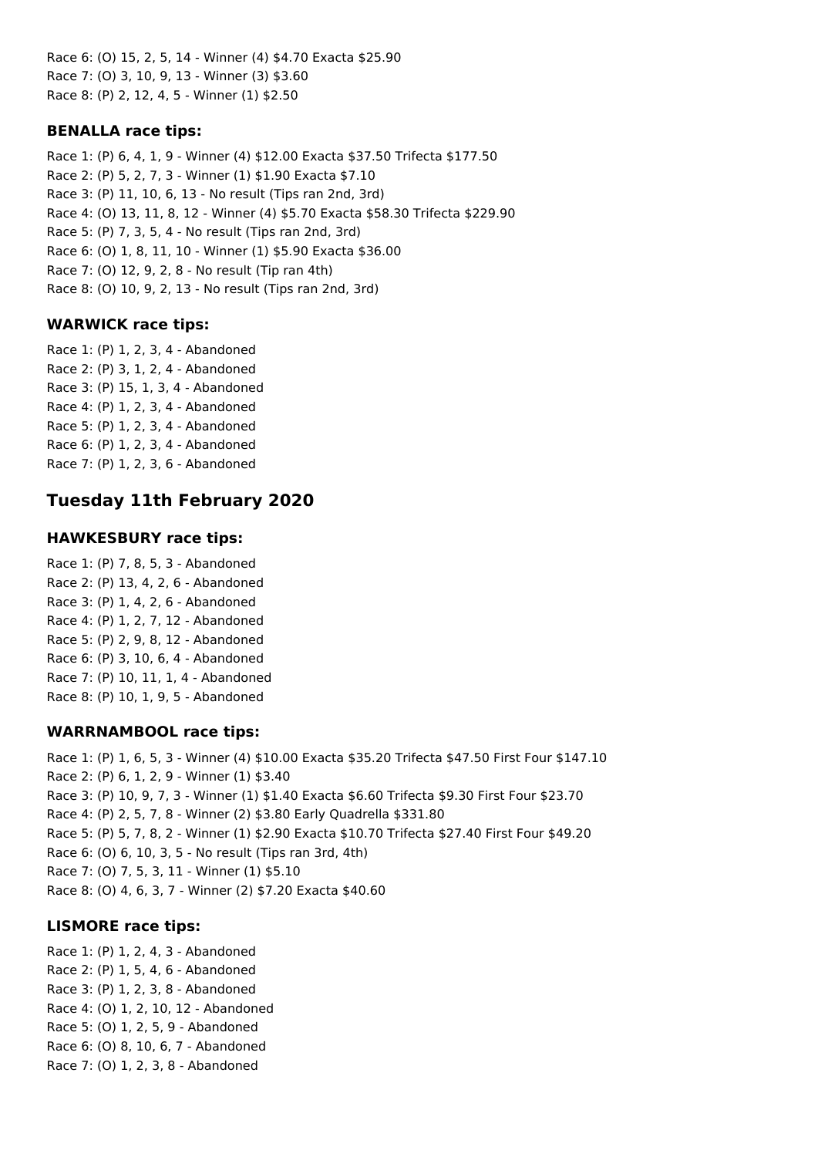Race 6: (O) 15, 2, 5, 14 - Winner (4) \$4.70 Exacta \$25.90 Race 7: (O) 3, 10, 9, 13 - Winner (3) \$3.60 Race 8: (P) 2, 12, 4, 5 - Winner (1) \$2.50

### **BENALLA race tips:**

Race 1: (P) 6, 4, 1, 9 - Winner (4) \$12.00 Exacta \$37.50 Trifecta \$177.50 Race 2: (P) 5, 2, 7, 3 - Winner (1) \$1.90 Exacta \$7.10 Race 3: (P) 11, 10, 6, 13 - No result (Tips ran 2nd, 3rd) Race 4: (O) 13, 11, 8, 12 - Winner (4) \$5.70 Exacta \$58.30 Trifecta \$229.90 Race 5: (P) 7, 3, 5, 4 - No result (Tips ran 2nd, 3rd) Race 6: (O) 1, 8, 11, 10 - Winner (1) \$5.90 Exacta \$36.00 Race 7: (O) 12, 9, 2, 8 - No result (Tip ran 4th) Race 8: (O) 10, 9, 2, 13 - No result (Tips ran 2nd, 3rd)

### **WARWICK race tips:**

Race 1: (P) 1, 2, 3, 4 - Abandoned Race 2: (P) 3, 1, 2, 4 - Abandoned Race 3: (P) 15, 1, 3, 4 - Abandoned Race 4: (P) 1, 2, 3, 4 - Abandoned Race 5: (P) 1, 2, 3, 4 - Abandoned Race 6: (P) 1, 2, 3, 4 - Abandoned Race 7: (P) 1, 2, 3, 6 - Abandoned

# **Tuesday 11th February 2020**

### **HAWKESBURY race tips:**

Race 1: (P) 7, 8, 5, 3 - Abandoned Race 2: (P) 13, 4, 2, 6 - Abandoned Race 3: (P) 1, 4, 2, 6 - Abandoned Race 4: (P) 1, 2, 7, 12 - Abandoned Race 5: (P) 2, 9, 8, 12 - Abandoned Race 6: (P) 3, 10, 6, 4 - Abandoned Race 7: (P) 10, 11, 1, 4 - Abandoned Race 8: (P) 10, 1, 9, 5 - Abandoned

### **WARRNAMBOOL race tips:**

Race 1: (P) 1, 6, 5, 3 - Winner (4) \$10.00 Exacta \$35.20 Trifecta \$47.50 First Four \$147.10 Race 2: (P) 6, 1, 2, 9 - Winner (1) \$3.40 Race 3: (P) 10, 9, 7, 3 - Winner (1) \$1.40 Exacta \$6.60 Trifecta \$9.30 First Four \$23.70 Race 4: (P) 2, 5, 7, 8 - Winner (2) \$3.80 Early Quadrella \$331.80 Race 5: (P) 5, 7, 8, 2 - Winner (1) \$2.90 Exacta \$10.70 Trifecta \$27.40 First Four \$49.20 Race 6: (O) 6, 10, 3, 5 - No result (Tips ran 3rd, 4th) Race 7: (O) 7, 5, 3, 11 - Winner (1) \$5.10 Race 8: (O) 4, 6, 3, 7 - Winner (2) \$7.20 Exacta \$40.60

### **LISMORE race tips:**

Race 1: (P) 1, 2, 4, 3 - Abandoned Race 2: (P) 1, 5, 4, 6 - Abandoned Race 3: (P) 1, 2, 3, 8 - Abandoned Race 4: (O) 1, 2, 10, 12 - Abandoned Race 5: (O) 1, 2, 5, 9 - Abandoned Race 6: (O) 8, 10, 6, 7 - Abandoned Race 7: (O) 1, 2, 3, 8 - Abandoned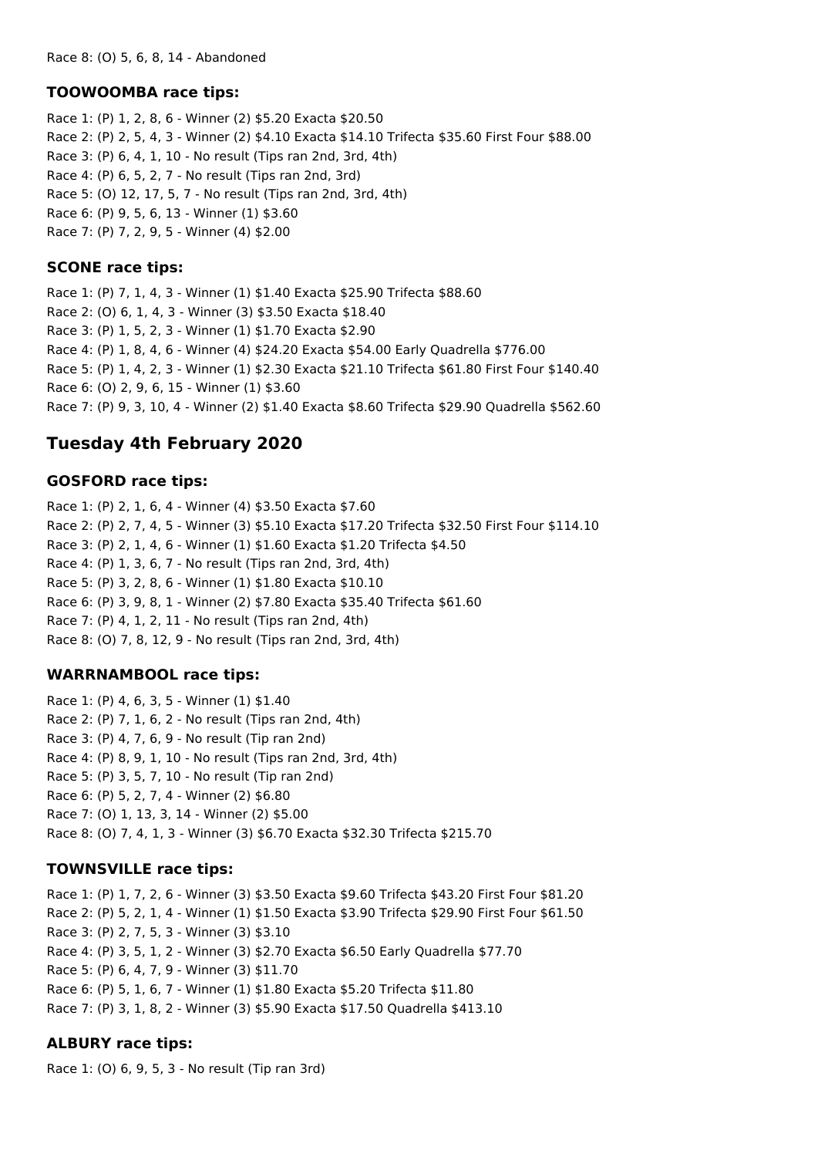#### **TOOWOOMBA race tips:**

Race 1: (P) 1, 2, 8, 6 - Winner (2) \$5.20 Exacta \$20.50 Race 2: (P) 2, 5, 4, 3 - Winner (2) \$4.10 Exacta \$14.10 Trifecta \$35.60 First Four \$88.00 Race 3: (P) 6, 4, 1, 10 - No result (Tips ran 2nd, 3rd, 4th) Race 4: (P) 6, 5, 2, 7 - No result (Tips ran 2nd, 3rd) Race 5: (O) 12, 17, 5, 7 - No result (Tips ran 2nd, 3rd, 4th) Race 6: (P) 9, 5, 6, 13 - Winner (1) \$3.60 Race 7: (P) 7, 2, 9, 5 - Winner (4) \$2.00

#### **SCONE race tips:**

Race 1: (P) 7, 1, 4, 3 - Winner (1) \$1.40 Exacta \$25.90 Trifecta \$88.60 Race 2: (O) 6, 1, 4, 3 - Winner (3) \$3.50 Exacta \$18.40 Race 3: (P) 1, 5, 2, 3 - Winner (1) \$1.70 Exacta \$2.90 Race 4: (P) 1, 8, 4, 6 - Winner (4) \$24.20 Exacta \$54.00 Early Quadrella \$776.00 Race 5: (P) 1, 4, 2, 3 - Winner (1) \$2.30 Exacta \$21.10 Trifecta \$61.80 First Four \$140.40 Race 6: (O) 2, 9, 6, 15 - Winner (1) \$3.60 Race 7: (P) 9, 3, 10, 4 - Winner (2) \$1.40 Exacta \$8.60 Trifecta \$29.90 Quadrella \$562.60

### **Tuesday 4th February 2020**

#### **GOSFORD race tips:**

Race 1: (P) 2, 1, 6, 4 - Winner (4) \$3.50 Exacta \$7.60 Race 2: (P) 2, 7, 4, 5 - Winner (3) \$5.10 Exacta \$17.20 Trifecta \$32.50 First Four \$114.10 Race 3: (P) 2, 1, 4, 6 - Winner (1) \$1.60 Exacta \$1.20 Trifecta \$4.50 Race 4: (P) 1, 3, 6, 7 - No result (Tips ran 2nd, 3rd, 4th) Race 5: (P) 3, 2, 8, 6 - Winner (1) \$1.80 Exacta \$10.10 Race 6: (P) 3, 9, 8, 1 - Winner (2) \$7.80 Exacta \$35.40 Trifecta \$61.60 Race 7: (P) 4, 1, 2, 11 - No result (Tips ran 2nd, 4th) Race 8: (O) 7, 8, 12, 9 - No result (Tips ran 2nd, 3rd, 4th)

#### **WARRNAMBOOL race tips:**

Race 1: (P) 4, 6, 3, 5 - Winner (1) \$1.40 Race 2: (P) 7, 1, 6, 2 - No result (Tips ran 2nd, 4th) Race 3: (P) 4, 7, 6, 9 - No result (Tip ran 2nd) Race 4: (P) 8, 9, 1, 10 - No result (Tips ran 2nd, 3rd, 4th) Race 5: (P) 3, 5, 7, 10 - No result (Tip ran 2nd) Race 6: (P) 5, 2, 7, 4 - Winner (2) \$6.80 Race 7: (O) 1, 13, 3, 14 - Winner (2) \$5.00 Race 8: (O) 7, 4, 1, 3 - Winner (3) \$6.70 Exacta \$32.30 Trifecta \$215.70

### **TOWNSVILLE race tips:**

Race 1: (P) 1, 7, 2, 6 - Winner (3) \$3.50 Exacta \$9.60 Trifecta \$43.20 First Four \$81.20 Race 2: (P) 5, 2, 1, 4 - Winner (1) \$1.50 Exacta \$3.90 Trifecta \$29.90 First Four \$61.50 Race 3: (P) 2, 7, 5, 3 - Winner (3) \$3.10 Race 4: (P) 3, 5, 1, 2 - Winner (3) \$2.70 Exacta \$6.50 Early Quadrella \$77.70 Race 5: (P) 6, 4, 7, 9 - Winner (3) \$11.70 Race 6: (P) 5, 1, 6, 7 - Winner (1) \$1.80 Exacta \$5.20 Trifecta \$11.80 Race 7: (P) 3, 1, 8, 2 - Winner (3) \$5.90 Exacta \$17.50 Quadrella \$413.10

### **ALBURY race tips:**

Race 1: (O) 6, 9, 5, 3 - No result (Tip ran 3rd)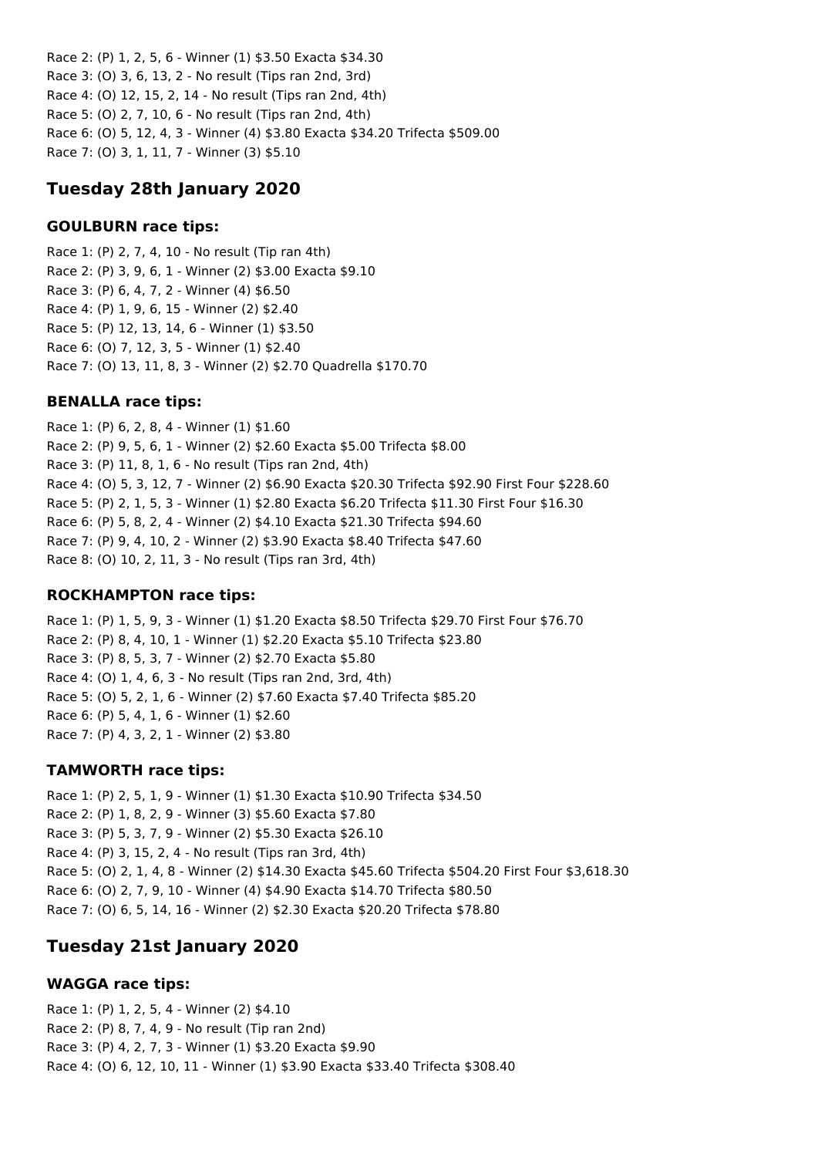Race 2: (P) 1, 2, 5, 6 - Winner (1) \$3.50 Exacta \$34.30 Race 3: (O) 3, 6, 13, 2 - No result (Tips ran 2nd, 3rd) Race 4: (O) 12, 15, 2, 14 - No result (Tips ran 2nd, 4th) Race 5: (O) 2, 7, 10, 6 - No result (Tips ran 2nd, 4th) Race 6: (O) 5, 12, 4, 3 - Winner (4) \$3.80 Exacta \$34.20 Trifecta \$509.00 Race 7: (O) 3, 1, 11, 7 - Winner (3) \$5.10

## **Tuesday 28th January 2020**

#### **GOULBURN race tips:**

Race 1: (P) 2, 7, 4, 10 - No result (Tip ran 4th) Race 2: (P) 3, 9, 6, 1 - Winner (2) \$3.00 Exacta \$9.10 Race 3: (P) 6, 4, 7, 2 - Winner (4) \$6.50 Race 4: (P) 1, 9, 6, 15 - Winner (2) \$2.40 Race 5: (P) 12, 13, 14, 6 - Winner (1) \$3.50 Race 6: (O) 7, 12, 3, 5 - Winner (1) \$2.40 Race 7: (O) 13, 11, 8, 3 - Winner (2) \$2.70 Quadrella \$170.70

#### **BENALLA race tips:**

Race 1: (P) 6, 2, 8, 4 - Winner (1) \$1.60 Race 2: (P) 9, 5, 6, 1 - Winner (2) \$2.60 Exacta \$5.00 Trifecta \$8.00 Race 3: (P) 11, 8, 1, 6 - No result (Tips ran 2nd, 4th) Race 4: (O) 5, 3, 12, 7 - Winner (2) \$6.90 Exacta \$20.30 Trifecta \$92.90 First Four \$228.60 Race 5: (P) 2, 1, 5, 3 - Winner (1) \$2.80 Exacta \$6.20 Trifecta \$11.30 First Four \$16.30 Race 6: (P) 5, 8, 2, 4 - Winner (2) \$4.10 Exacta \$21.30 Trifecta \$94.60 Race 7: (P) 9, 4, 10, 2 - Winner (2) \$3.90 Exacta \$8.40 Trifecta \$47.60 Race 8: (O) 10, 2, 11, 3 - No result (Tips ran 3rd, 4th)

### **ROCKHAMPTON race tips:**

Race 1: (P) 1, 5, 9, 3 - Winner (1) \$1.20 Exacta \$8.50 Trifecta \$29.70 First Four \$76.70 Race 2: (P) 8, 4, 10, 1 - Winner (1) \$2.20 Exacta \$5.10 Trifecta \$23.80 Race 3: (P) 8, 5, 3, 7 - Winner (2) \$2.70 Exacta \$5.80 Race 4: (O) 1, 4, 6, 3 - No result (Tips ran 2nd, 3rd, 4th) Race 5: (O) 5, 2, 1, 6 - Winner (2) \$7.60 Exacta \$7.40 Trifecta \$85.20 Race 6: (P) 5, 4, 1, 6 - Winner (1) \$2.60 Race 7: (P) 4, 3, 2, 1 - Winner (2) \$3.80

### **TAMWORTH race tips:**

Race 1: (P) 2, 5, 1, 9 - Winner (1) \$1.30 Exacta \$10.90 Trifecta \$34.50 Race 2: (P) 1, 8, 2, 9 - Winner (3) \$5.60 Exacta \$7.80 Race 3: (P) 5, 3, 7, 9 - Winner (2) \$5.30 Exacta \$26.10 Race 4: (P) 3, 15, 2, 4 - No result (Tips ran 3rd, 4th) Race 5: (O) 2, 1, 4, 8 - Winner (2) \$14.30 Exacta \$45.60 Trifecta \$504.20 First Four \$3,618.30 Race 6: (O) 2, 7, 9, 10 - Winner (4) \$4.90 Exacta \$14.70 Trifecta \$80.50 Race 7: (O) 6, 5, 14, 16 - Winner (2) \$2.30 Exacta \$20.20 Trifecta \$78.80

## **Tuesday 21st January 2020**

### **WAGGA race tips:**

Race 1: (P) 1, 2, 5, 4 - Winner (2) \$4.10 Race 2: (P) 8, 7, 4, 9 - No result (Tip ran 2nd) Race 3: (P) 4, 2, 7, 3 - Winner (1) \$3.20 Exacta \$9.90 Race 4: (O) 6, 12, 10, 11 - Winner (1) \$3.90 Exacta \$33.40 Trifecta \$308.40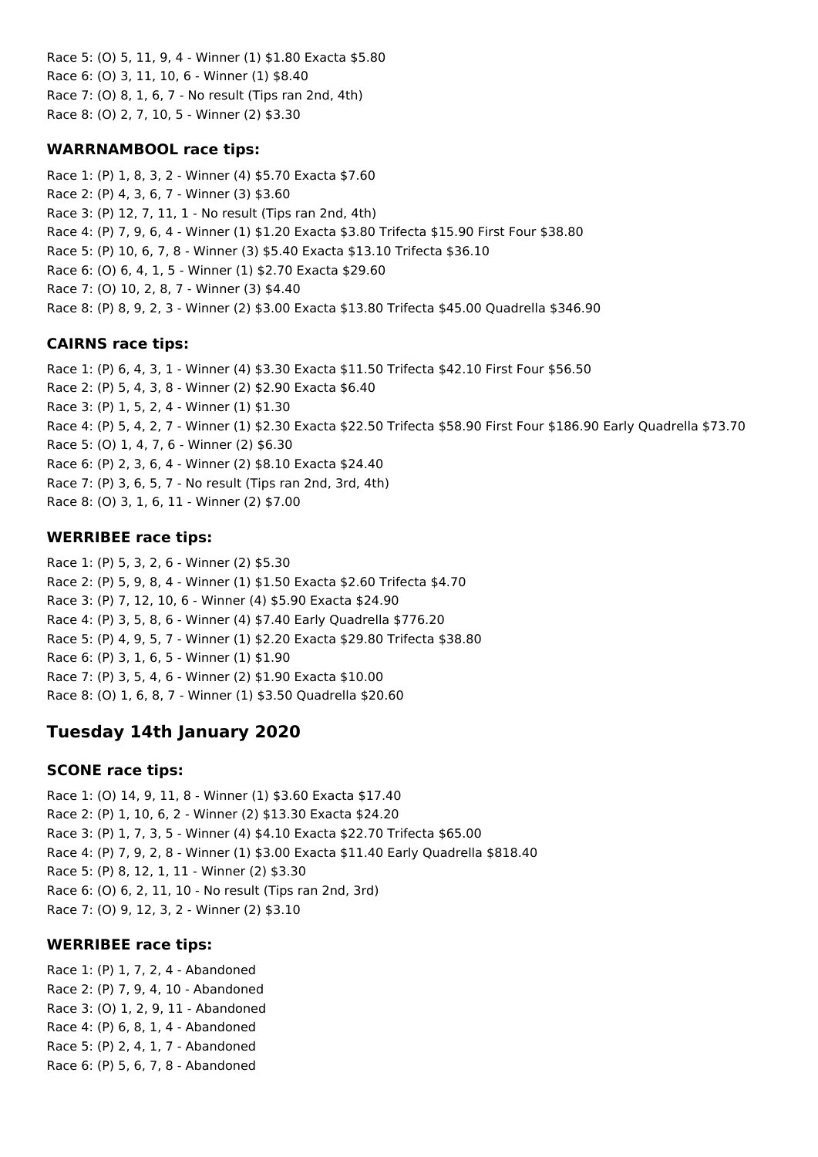Race 5: (O) 5, 11, 9, 4 - Winner (1) \$1.80 Exacta \$5.80 Race 6: (O) 3, 11, 10, 6 - Winner (1) \$8.40 Race 7: (O) 8, 1, 6, 7 - No result (Tips ran 2nd, 4th) Race 8: (O) 2, 7, 10, 5 - Winner (2) \$3.30

### **WARRNAMBOOL race tips:**

Race 1: (P) 1, 8, 3, 2 - Winner (4) \$5.70 Exacta \$7.60 Race 2: (P) 4, 3, 6, 7 - Winner (3) \$3.60 Race 3: (P) 12, 7, 11, 1 - No result (Tips ran 2nd, 4th) Race 4: (P) 7, 9, 6, 4 - Winner (1) \$1.20 Exacta \$3.80 Trifecta \$15.90 First Four \$38.80 Race 5: (P) 10, 6, 7, 8 - Winner (3) \$5.40 Exacta \$13.10 Trifecta \$36.10 Race 6: (O) 6, 4, 1, 5 - Winner (1) \$2.70 Exacta \$29.60 Race 7: (O) 10, 2, 8, 7 - Winner (3) \$4.40 Race 8: (P) 8, 9, 2, 3 - Winner (2) \$3.00 Exacta \$13.80 Trifecta \$45.00 Quadrella \$346.90

### **CAIRNS race tips:**

Race 1: (P) 6, 4, 3, 1 - Winner (4) \$3.30 Exacta \$11.50 Trifecta \$42.10 First Four \$56.50 Race 2: (P) 5, 4, 3, 8 - Winner (2) \$2.90 Exacta \$6.40 Race 3: (P) 1, 5, 2, 4 - Winner (1) \$1.30 Race 4: (P) 5, 4, 2, 7 - Winner (1) \$2.30 Exacta \$22.50 Trifecta \$58.90 First Four \$186.90 Early Quadrella \$73.70 Race 5: (O) 1, 4, 7, 6 - Winner (2) \$6.30 Race 6: (P) 2, 3, 6, 4 - Winner (2) \$8.10 Exacta \$24.40 Race 7: (P) 3, 6, 5, 7 - No result (Tips ran 2nd, 3rd, 4th) Race 8: (O) 3, 1, 6, 11 - Winner (2) \$7.00

### **WERRIBEE race tips:**

Race 1: (P) 5, 3, 2, 6 - Winner (2) \$5.30 Race 2: (P) 5, 9, 8, 4 - Winner (1) \$1.50 Exacta \$2.60 Trifecta \$4.70 Race 3: (P) 7, 12, 10, 6 - Winner (4) \$5.90 Exacta \$24.90 Race 4: (P) 3, 5, 8, 6 - Winner (4) \$7.40 Early Quadrella \$776.20 Race 5: (P) 4, 9, 5, 7 - Winner (1) \$2.20 Exacta \$29.80 Trifecta \$38.80 Race 6: (P) 3, 1, 6, 5 - Winner (1) \$1.90 Race 7: (P) 3, 5, 4, 6 - Winner (2) \$1.90 Exacta \$10.00 Race 8: (O) 1, 6, 8, 7 - Winner (1) \$3.50 Quadrella \$20.60

## **Tuesday 14th January 2020**

### **SCONE race tips:**

Race 1: (O) 14, 9, 11, 8 - Winner (1) \$3.60 Exacta \$17.40 Race 2: (P) 1, 10, 6, 2 - Winner (2) \$13.30 Exacta \$24.20 Race 3: (P) 1, 7, 3, 5 - Winner (4) \$4.10 Exacta \$22.70 Trifecta \$65.00 Race 4: (P) 7, 9, 2, 8 - Winner (1) \$3.00 Exacta \$11.40 Early Quadrella \$818.40 Race 5: (P) 8, 12, 1, 11 - Winner (2) \$3.30 Race 6: (O) 6, 2, 11, 10 - No result (Tips ran 2nd, 3rd) Race 7: (O) 9, 12, 3, 2 - Winner (2) \$3.10

### **WERRIBEE race tips:**

Race 1: (P) 1, 7, 2, 4 - Abandoned Race 2: (P) 7, 9, 4, 10 - Abandoned Race 3: (O) 1, 2, 9, 11 - Abandoned Race 4: (P) 6, 8, 1, 4 - Abandoned Race 5: (P) 2, 4, 1, 7 - Abandoned Race 6: (P) 5, 6, 7, 8 - Abandoned